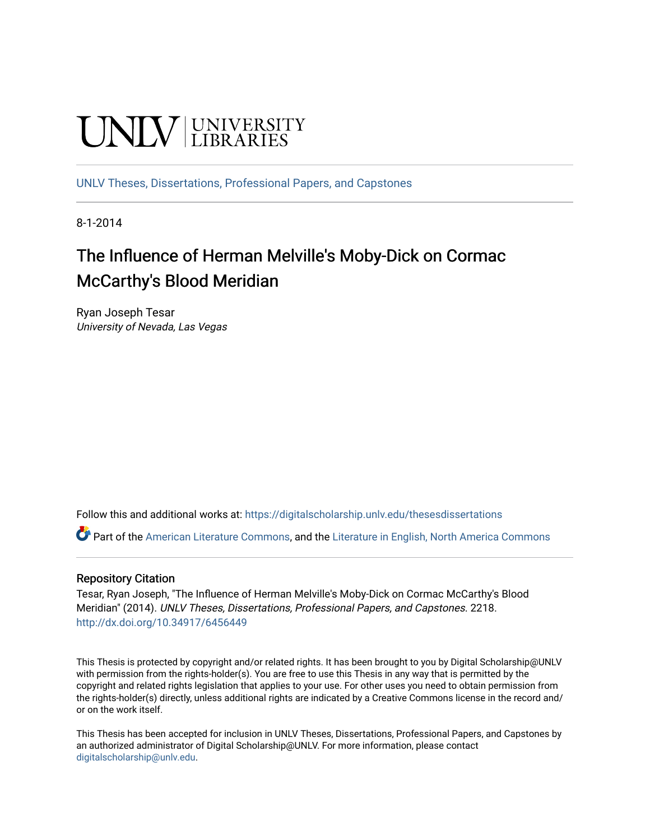# **UNIVERSITY**

[UNLV Theses, Dissertations, Professional Papers, and Capstones](https://digitalscholarship.unlv.edu/thesesdissertations)

8-1-2014

## The Influence of Herman Melville's Moby-Dick on Cormac McCarthy's Blood Meridian

Ryan Joseph Tesar University of Nevada, Las Vegas

Follow this and additional works at: [https://digitalscholarship.unlv.edu/thesesdissertations](https://digitalscholarship.unlv.edu/thesesdissertations?utm_source=digitalscholarship.unlv.edu%2Fthesesdissertations%2F2218&utm_medium=PDF&utm_campaign=PDFCoverPages)

Part of the [American Literature Commons](http://network.bepress.com/hgg/discipline/441?utm_source=digitalscholarship.unlv.edu%2Fthesesdissertations%2F2218&utm_medium=PDF&utm_campaign=PDFCoverPages), and the [Literature in English, North America Commons](http://network.bepress.com/hgg/discipline/458?utm_source=digitalscholarship.unlv.edu%2Fthesesdissertations%2F2218&utm_medium=PDF&utm_campaign=PDFCoverPages) 

#### Repository Citation

Tesar, Ryan Joseph, "The Influence of Herman Melville's Moby-Dick on Cormac McCarthy's Blood Meridian" (2014). UNLV Theses, Dissertations, Professional Papers, and Capstones. 2218. <http://dx.doi.org/10.34917/6456449>

This Thesis is protected by copyright and/or related rights. It has been brought to you by Digital Scholarship@UNLV with permission from the rights-holder(s). You are free to use this Thesis in any way that is permitted by the copyright and related rights legislation that applies to your use. For other uses you need to obtain permission from the rights-holder(s) directly, unless additional rights are indicated by a Creative Commons license in the record and/ or on the work itself.

This Thesis has been accepted for inclusion in UNLV Theses, Dissertations, Professional Papers, and Capstones by an authorized administrator of Digital Scholarship@UNLV. For more information, please contact [digitalscholarship@unlv.edu](mailto:digitalscholarship@unlv.edu).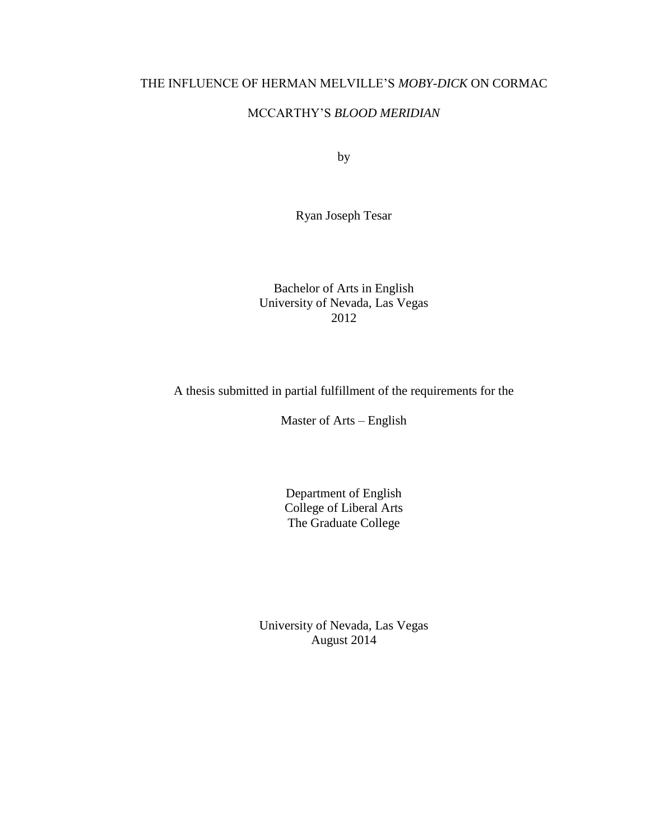#### THE INFLUENCE OF HERMAN MELVILLE'S *MOBY-DICK* ON CORMAC

#### MCCARTHY'S *BLOOD MERIDIAN*

by

Ryan Joseph Tesar

Bachelor of Arts in English University of Nevada, Las Vegas 2012

A thesis submitted in partial fulfillment of the requirements for the

Master of Arts – English

Department of English College of Liberal Arts The Graduate College

University of Nevada, Las Vegas August 2014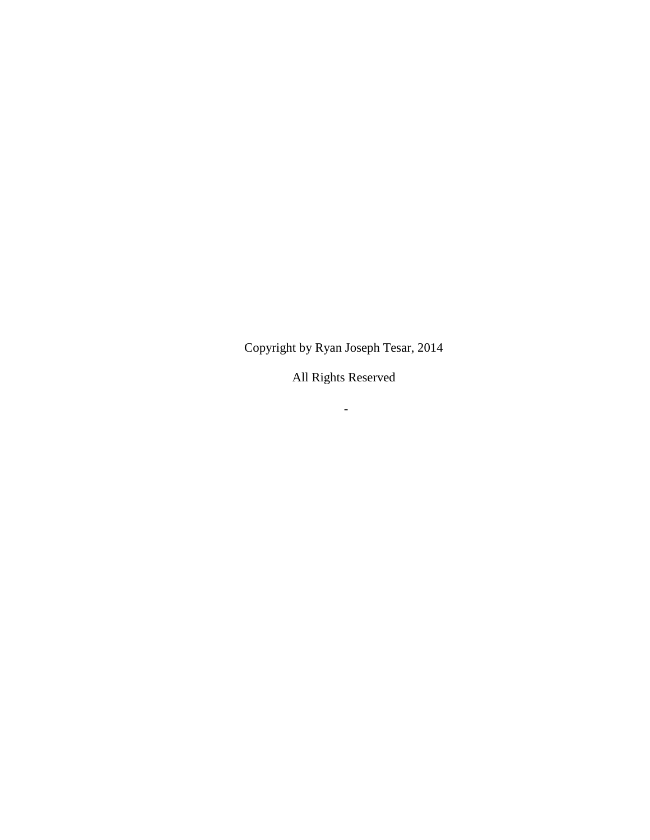Copyright by Ryan Joseph Tesar, 2014

All Rights Reserved

-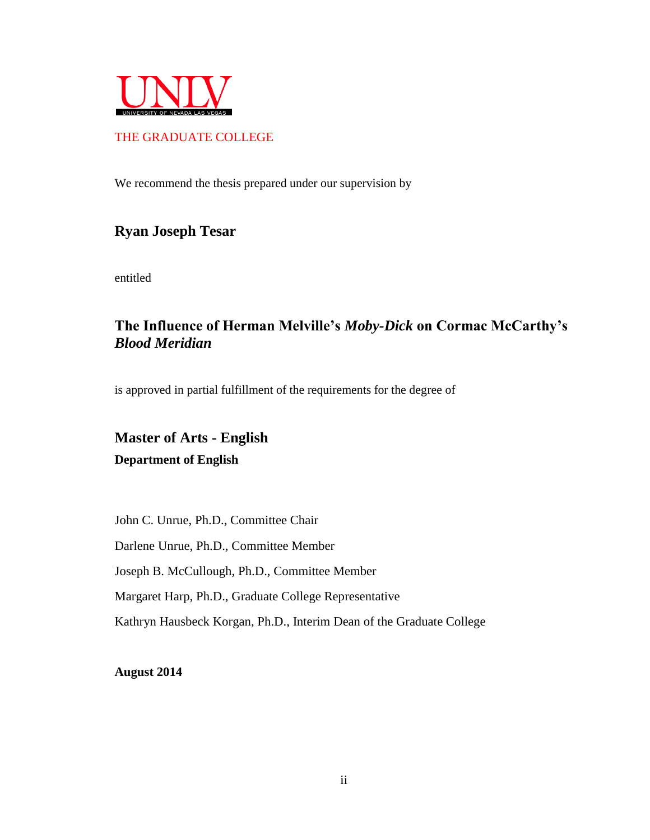

#### THE GRADUATE COLLEGE

We recommend the thesis prepared under our supervision by

## **Ryan Joseph Tesar**

entitled

## **The Influence of Herman Melville's** *Moby-Dick* **on Cormac McCarthy's**  *Blood Meridian*

is approved in partial fulfillment of the requirements for the degree of

## **Master of Arts - English Department of English**

John C. Unrue, Ph.D., Committee Chair

Darlene Unrue, Ph.D., Committee Member

Joseph B. McCullough, Ph.D., Committee Member

Margaret Harp, Ph.D., Graduate College Representative

Kathryn Hausbeck Korgan, Ph.D., Interim Dean of the Graduate College

**August 2014**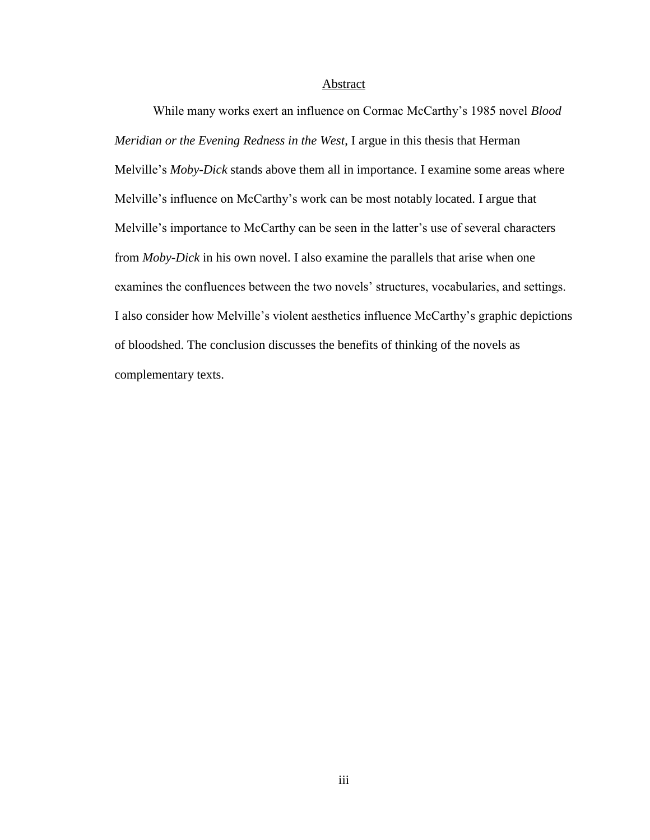#### Abstract

While many works exert an influence on Cormac McCarthy's 1985 novel *Blood Meridian or the Evening Redness in the West*, I argue in this thesis that Herman Melville's *Moby-Dick* stands above them all in importance. I examine some areas where Melville's influence on McCarthy's work can be most notably located. I argue that Melville's importance to McCarthy can be seen in the latter's use of several characters from *Moby-Dick* in his own novel. I also examine the parallels that arise when one examines the confluences between the two novels' structures, vocabularies, and settings. I also consider how Melville's violent aesthetics influence McCarthy's graphic depictions of bloodshed. The conclusion discusses the benefits of thinking of the novels as complementary texts.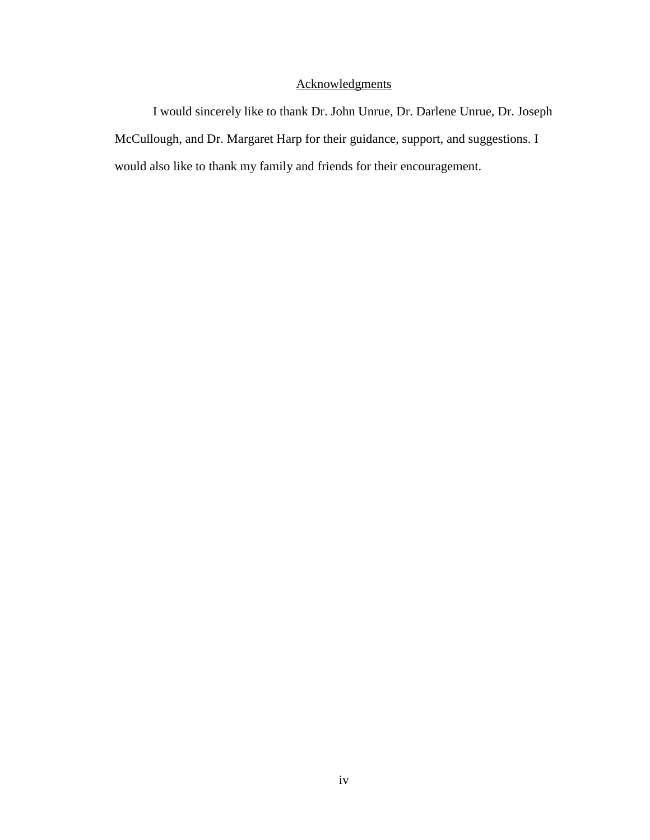### Acknowledgments

I would sincerely like to thank Dr. John Unrue, Dr. Darlene Unrue, Dr. Joseph McCullough, and Dr. Margaret Harp for their guidance, support, and suggestions. I would also like to thank my family and friends for their encouragement.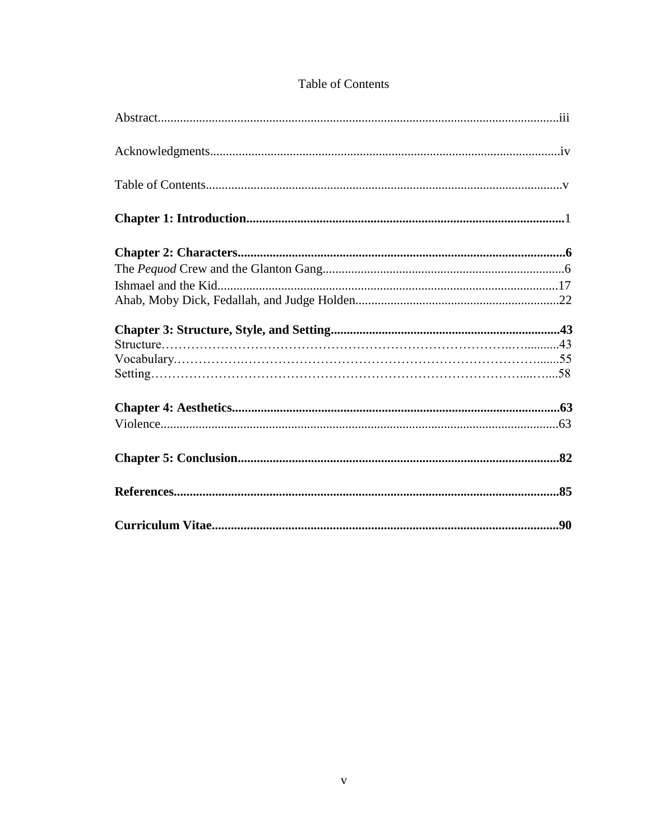## Table of Contents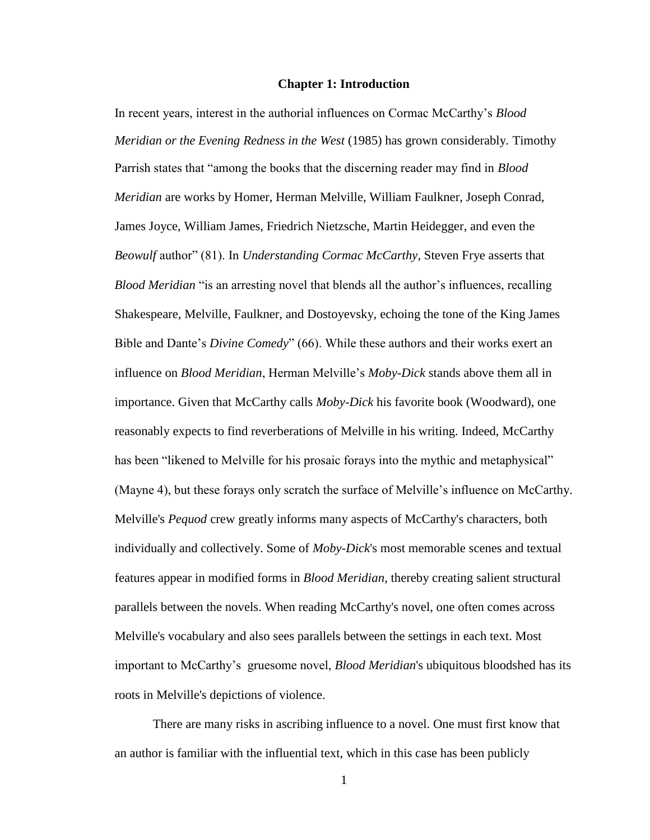#### **Chapter 1: Introduction**

In recent years, interest in the authorial influences on Cormac McCarthy's *Blood Meridian or the Evening Redness in the West* (1985) has grown considerably*.* Timothy Parrish states that "among the books that the discerning reader may find in *Blood Meridian* are works by Homer, Herman Melville, William Faulkner, Joseph Conrad, James Joyce, William James, Friedrich Nietzsche, Martin Heidegger, and even the *Beowulf* author" (81). In *Understanding Cormac McCarthy*, Steven Frye asserts that *Blood Meridian* "is an arresting novel that blends all the author's influences, recalling Shakespeare, Melville, Faulkner, and Dostoyevsky, echoing the tone of the King James Bible and Dante's *Divine Comedy*" (66). While these authors and their works exert an influence on *Blood Meridian*, Herman Melville's *Moby-Dick* stands above them all in importance. Given that McCarthy calls *Moby-Dick* his favorite book (Woodward), one reasonably expects to find reverberations of Melville in his writing. Indeed, McCarthy has been "likened to Melville for his prosaic forays into the mythic and metaphysical" (Mayne 4), but these forays only scratch the surface of Melville's influence on McCarthy. Melville's *Pequod* crew greatly informs many aspects of McCarthy's characters, both individually and collectively. Some of *Moby-Dick*'s most memorable scenes and textual features appear in modified forms in *Blood Meridian*, thereby creating salient structural parallels between the novels. When reading McCarthy's novel, one often comes across Melville's vocabulary and also sees parallels between the settings in each text. Most important to McCarthy's gruesome novel, *Blood Meridian*'s ubiquitous bloodshed has its roots in Melville's depictions of violence.

There are many risks in ascribing influence to a novel. One must first know that an author is familiar with the influential text, which in this case has been publicly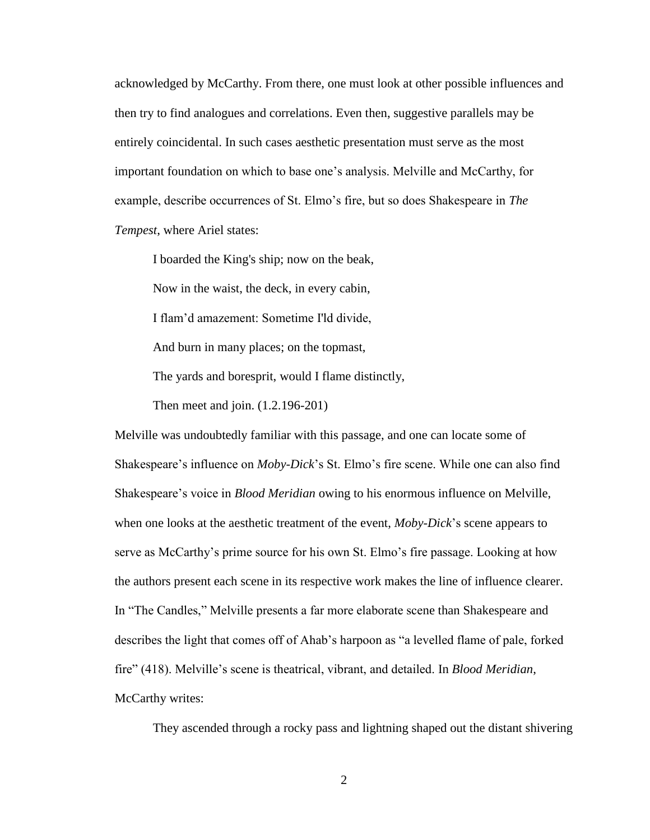acknowledged by McCarthy. From there, one must look at other possible influences and then try to find analogues and correlations. Even then, suggestive parallels may be entirely coincidental. In such cases aesthetic presentation must serve as the most important foundation on which to base one's analysis. Melville and McCarthy, for example, describe occurrences of St. Elmo's fire, but so does Shakespeare in *The Tempest*, where Ariel states:

I boarded the King's ship; now on the beak,

Now in the waist, the deck, in every cabin,

I flam'd amazement: Sometime I'ld divide,

And burn in many places; on the topmast,

The yards and boresprit, would I flame distinctly,

Then meet and join. (1.2.196-201)

Melville was undoubtedly familiar with this passage, and one can locate some of Shakespeare's influence on *Moby-Dick*'s St. Elmo's fire scene. While one can also find Shakespeare's voice in *Blood Meridian* owing to his enormous influence on Melville, when one looks at the aesthetic treatment of the event, *Moby-Dick*'s scene appears to serve as McCarthy's prime source for his own St. Elmo's fire passage. Looking at how the authors present each scene in its respective work makes the line of influence clearer. In "The Candles," Melville presents a far more elaborate scene than Shakespeare and describes the light that comes off of Ahab's harpoon as "a levelled flame of pale, forked fire" (418). Melville's scene is theatrical, vibrant, and detailed. In *Blood Meridian*, McCarthy writes:

They ascended through a rocky pass and lightning shaped out the distant shivering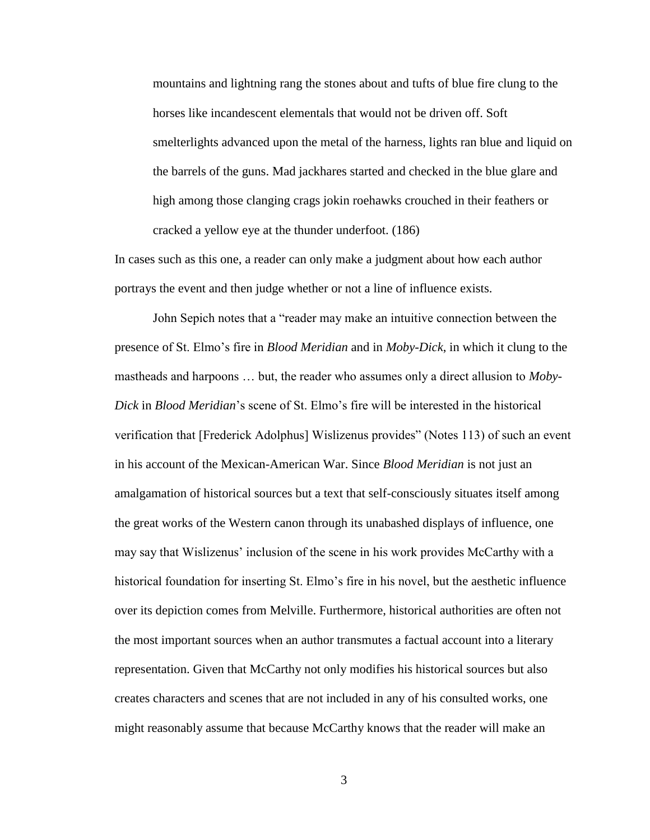mountains and lightning rang the stones about and tufts of blue fire clung to the horses like incandescent elementals that would not be driven off. Soft smelterlights advanced upon the metal of the harness, lights ran blue and liquid on the barrels of the guns. Mad jackhares started and checked in the blue glare and high among those clanging crags jokin roehawks crouched in their feathers or cracked a yellow eye at the thunder underfoot. (186)

In cases such as this one, a reader can only make a judgment about how each author portrays the event and then judge whether or not a line of influence exists.

John Sepich notes that a "reader may make an intuitive connection between the presence of St. Elmo's fire in *Blood Meridian* and in *Moby-Dick*, in which it clung to the mastheads and harpoons … but, the reader who assumes only a direct allusion to *Moby-Dick* in *Blood Meridian*'s scene of St. Elmo's fire will be interested in the historical verification that [Frederick Adolphus] Wislizenus provides" (Notes 113) of such an event in his account of the Mexican-American War. Since *Blood Meridian* is not just an amalgamation of historical sources but a text that self-consciously situates itself among the great works of the Western canon through its unabashed displays of influence, one may say that Wislizenus' inclusion of the scene in his work provides McCarthy with a historical foundation for inserting St. Elmo's fire in his novel, but the aesthetic influence over its depiction comes from Melville. Furthermore, historical authorities are often not the most important sources when an author transmutes a factual account into a literary representation. Given that McCarthy not only modifies his historical sources but also creates characters and scenes that are not included in any of his consulted works, one might reasonably assume that because McCarthy knows that the reader will make an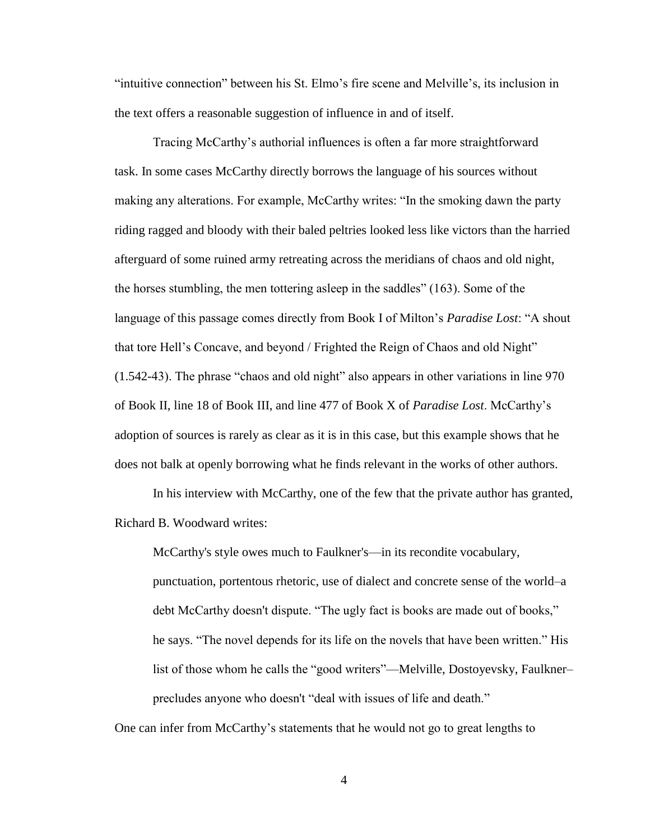"intuitive connection" between his St. Elmo's fire scene and Melville's, its inclusion in the text offers a reasonable suggestion of influence in and of itself.

Tracing McCarthy's authorial influences is often a far more straightforward task. In some cases McCarthy directly borrows the language of his sources without making any alterations. For example, McCarthy writes: "In the smoking dawn the party riding ragged and bloody with their baled peltries looked less like victors than the harried afterguard of some ruined army retreating across the meridians of chaos and old night, the horses stumbling, the men tottering asleep in the saddles" (163). Some of the language of this passage comes directly from Book I of Milton's *Paradise Lost*: "A shout that tore Hell's Concave, and beyond / Frighted the Reign of Chaos and old Night" (1.542-43). The phrase "chaos and old night" also appears in other variations in line 970 of Book II, line 18 of Book III, and line 477 of Book X of *Paradise Lost*. McCarthy's adoption of sources is rarely as clear as it is in this case, but this example shows that he does not balk at openly borrowing what he finds relevant in the works of other authors.

In his interview with McCarthy, one of the few that the private author has granted, Richard B. Woodward writes:

McCarthy's style owes much to Faulkner's—in its recondite vocabulary, punctuation, portentous rhetoric, use of dialect and concrete sense of the world–a debt McCarthy doesn't dispute. "The ugly fact is books are made out of books," he says. "The novel depends for its life on the novels that have been written." His list of those whom he calls the "good writers"—Melville, Dostoyevsky, Faulkner– precludes anyone who doesn't "deal with issues of life and death."

One can infer from McCarthy's statements that he would not go to great lengths to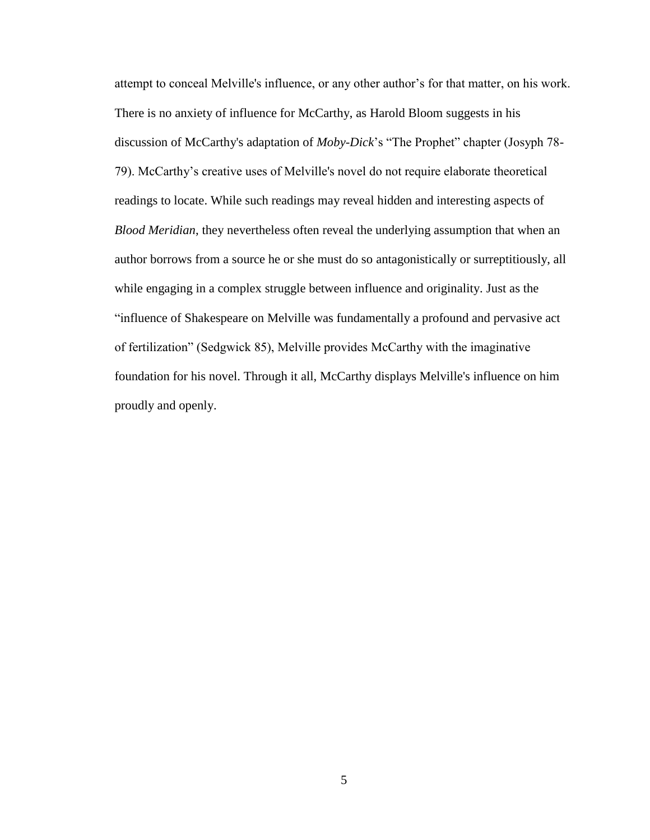attempt to conceal Melville's influence, or any other author's for that matter, on his work. There is no anxiety of influence for McCarthy, as Harold Bloom suggests in his discussion of McCarthy's adaptation of *Moby-Dick*'s "The Prophet" chapter (Josyph 78- 79). McCarthy's creative uses of Melville's novel do not require elaborate theoretical readings to locate. While such readings may reveal hidden and interesting aspects of *Blood Meridian*, they nevertheless often reveal the underlying assumption that when an author borrows from a source he or she must do so antagonistically or surreptitiously, all while engaging in a complex struggle between influence and originality. Just as the "influence of Shakespeare on Melville was fundamentally a profound and pervasive act of fertilization" (Sedgwick 85), Melville provides McCarthy with the imaginative foundation for his novel. Through it all, McCarthy displays Melville's influence on him proudly and openly.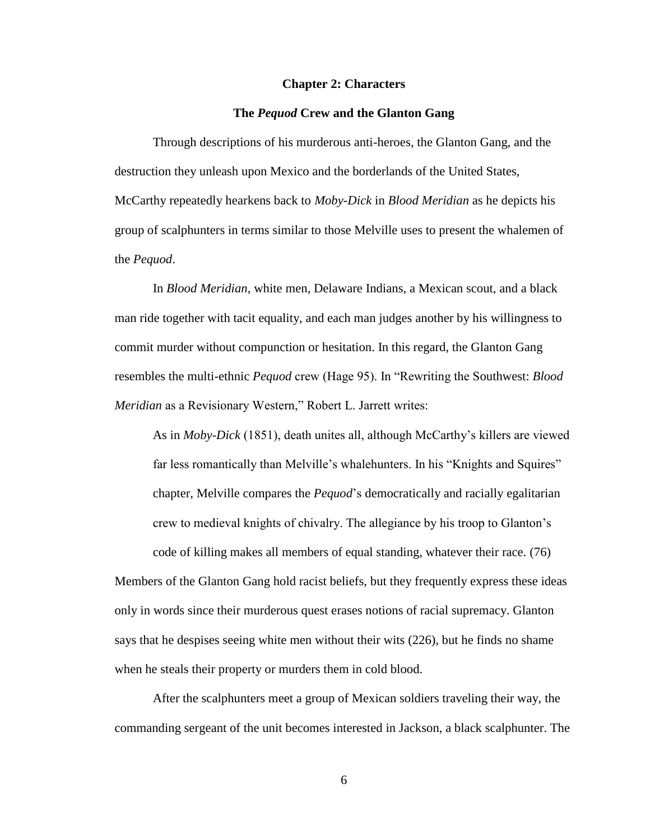#### **Chapter 2: Characters**

#### **The** *Pequod* **Crew and the Glanton Gang**

Through descriptions of his murderous anti-heroes, the Glanton Gang, and the destruction they unleash upon Mexico and the borderlands of the United States, McCarthy repeatedly hearkens back to *Moby-Dick* in *Blood Meridian* as he depicts his group of scalphunters in terms similar to those Melville uses to present the whalemen of the *Pequod*.

In *Blood Meridian*, white men, Delaware Indians, a Mexican scout, and a black man ride together with tacit equality, and each man judges another by his willingness to commit murder without compunction or hesitation. In this regard, the Glanton Gang resembles the multi-ethnic *Pequod* crew (Hage 95). In "Rewriting the Southwest: *Blood Meridian* as a Revisionary Western," Robert L. Jarrett writes:

As in *Moby-Dick* (1851), death unites all, although McCarthy's killers are viewed far less romantically than Melville's whalehunters. In his "Knights and Squires" chapter, Melville compares the *Pequod*'s democratically and racially egalitarian crew to medieval knights of chivalry. The allegiance by his troop to Glanton's code of killing makes all members of equal standing, whatever their race. (76)

Members of the Glanton Gang hold racist beliefs, but they frequently express these ideas only in words since their murderous quest erases notions of racial supremacy. Glanton says that he despises seeing white men without their wits (226), but he finds no shame when he steals their property or murders them in cold blood.

After the scalphunters meet a group of Mexican soldiers traveling their way, the commanding sergeant of the unit becomes interested in Jackson, a black scalphunter. The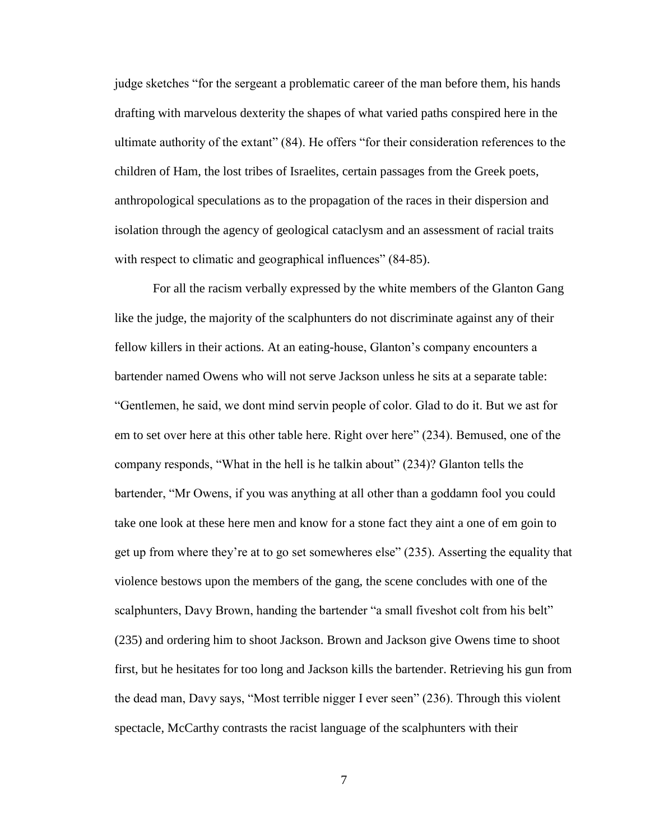judge sketches "for the sergeant a problematic career of the man before them, his hands drafting with marvelous dexterity the shapes of what varied paths conspired here in the ultimate authority of the extant" (84). He offers "for their consideration references to the children of Ham, the lost tribes of Israelites, certain passages from the Greek poets, anthropological speculations as to the propagation of the races in their dispersion and isolation through the agency of geological cataclysm and an assessment of racial traits with respect to climatic and geographical influences" (84-85).

For all the racism verbally expressed by the white members of the Glanton Gang like the judge, the majority of the scalphunters do not discriminate against any of their fellow killers in their actions. At an eating-house, Glanton's company encounters a bartender named Owens who will not serve Jackson unless he sits at a separate table: "Gentlemen, he said, we dont mind servin people of color. Glad to do it. But we ast for em to set over here at this other table here. Right over here" (234). Bemused, one of the company responds, "What in the hell is he talkin about" (234)? Glanton tells the bartender, "Mr Owens, if you was anything at all other than a goddamn fool you could take one look at these here men and know for a stone fact they aint a one of em goin to get up from where they're at to go set somewheres else" (235). Asserting the equality that violence bestows upon the members of the gang, the scene concludes with one of the scalphunters, Davy Brown, handing the bartender "a small fiveshot colt from his belt" (235) and ordering him to shoot Jackson. Brown and Jackson give Owens time to shoot first, but he hesitates for too long and Jackson kills the bartender. Retrieving his gun from the dead man, Davy says, "Most terrible nigger I ever seen" (236). Through this violent spectacle, McCarthy contrasts the racist language of the scalphunters with their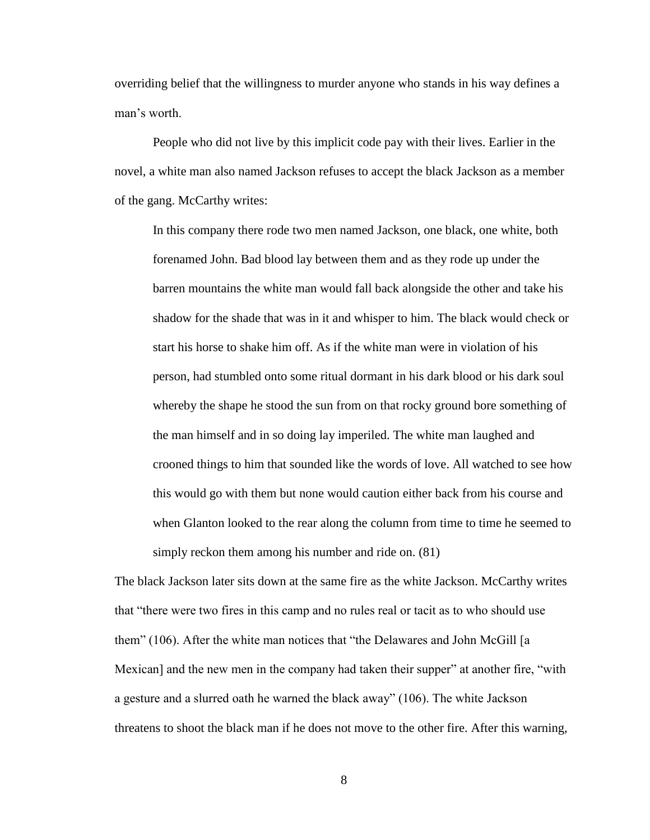overriding belief that the willingness to murder anyone who stands in his way defines a man's worth.

People who did not live by this implicit code pay with their lives. Earlier in the novel, a white man also named Jackson refuses to accept the black Jackson as a member of the gang. McCarthy writes:

In this company there rode two men named Jackson, one black, one white, both forenamed John. Bad blood lay between them and as they rode up under the barren mountains the white man would fall back alongside the other and take his shadow for the shade that was in it and whisper to him. The black would check or start his horse to shake him off. As if the white man were in violation of his person, had stumbled onto some ritual dormant in his dark blood or his dark soul whereby the shape he stood the sun from on that rocky ground bore something of the man himself and in so doing lay imperiled. The white man laughed and crooned things to him that sounded like the words of love. All watched to see how this would go with them but none would caution either back from his course and when Glanton looked to the rear along the column from time to time he seemed to simply reckon them among his number and ride on. (81)

The black Jackson later sits down at the same fire as the white Jackson. McCarthy writes that "there were two fires in this camp and no rules real or tacit as to who should use them" (106). After the white man notices that "the Delawares and John McGill [a Mexican] and the new men in the company had taken their supper" at another fire, "with a gesture and a slurred oath he warned the black away" (106). The white Jackson threatens to shoot the black man if he does not move to the other fire. After this warning,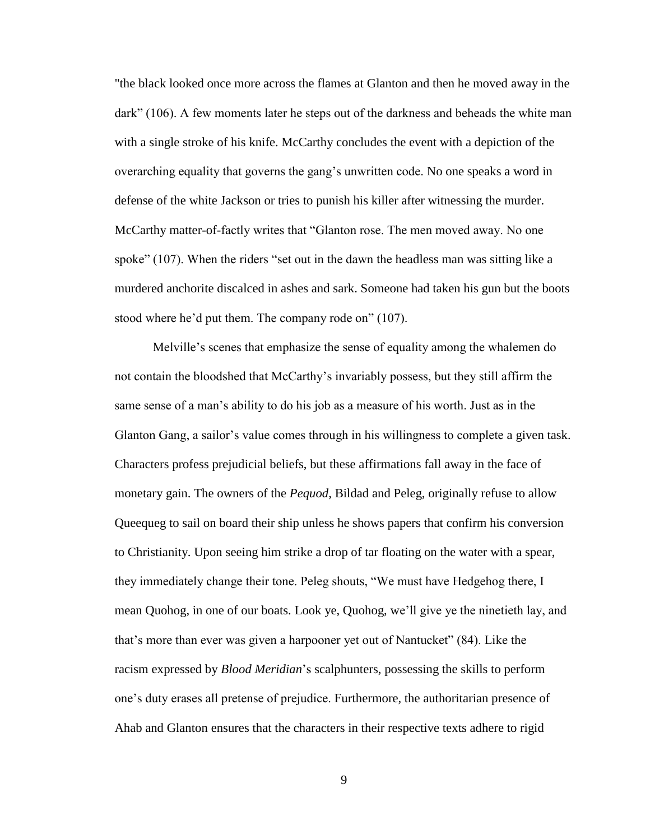"the black looked once more across the flames at Glanton and then he moved away in the dark" (106). A few moments later he steps out of the darkness and beheads the white man with a single stroke of his knife. McCarthy concludes the event with a depiction of the overarching equality that governs the gang's unwritten code. No one speaks a word in defense of the white Jackson or tries to punish his killer after witnessing the murder. McCarthy matter-of-factly writes that "Glanton rose. The men moved away. No one spoke" (107). When the riders "set out in the dawn the headless man was sitting like a murdered anchorite discalced in ashes and sark. Someone had taken his gun but the boots stood where he'd put them. The company rode on" (107).

Melville's scenes that emphasize the sense of equality among the whalemen do not contain the bloodshed that McCarthy's invariably possess, but they still affirm the same sense of a man's ability to do his job as a measure of his worth. Just as in the Glanton Gang, a sailor's value comes through in his willingness to complete a given task. Characters profess prejudicial beliefs, but these affirmations fall away in the face of monetary gain. The owners of the *Pequod*, Bildad and Peleg, originally refuse to allow Queequeg to sail on board their ship unless he shows papers that confirm his conversion to Christianity. Upon seeing him strike a drop of tar floating on the water with a spear, they immediately change their tone. Peleg shouts, "We must have Hedgehog there, I mean Quohog, in one of our boats. Look ye, Quohog, we'll give ye the ninetieth lay, and that's more than ever was given a harpooner yet out of Nantucket" (84). Like the racism expressed by *Blood Meridian*'s scalphunters, possessing the skills to perform one's duty erases all pretense of prejudice. Furthermore, the authoritarian presence of Ahab and Glanton ensures that the characters in their respective texts adhere to rigid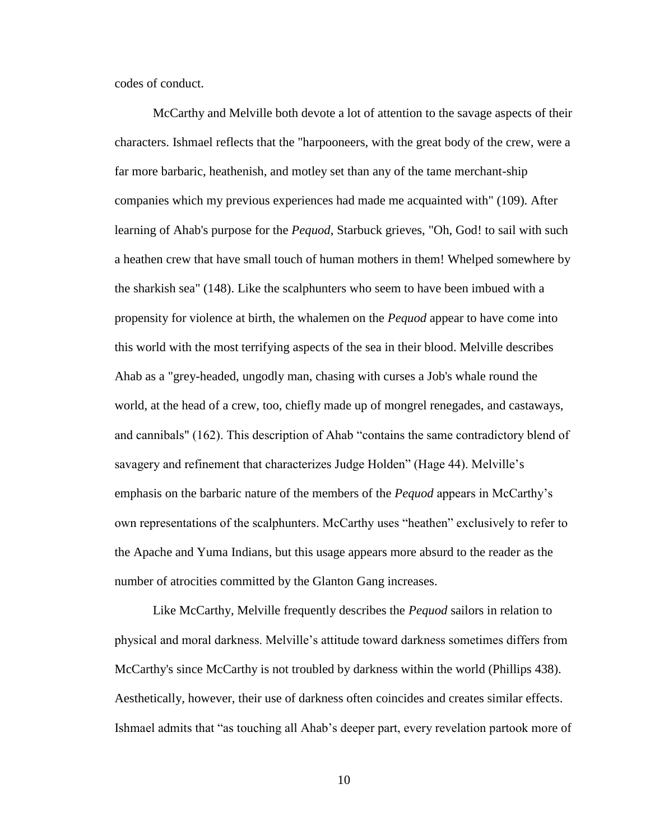codes of conduct.

McCarthy and Melville both devote a lot of attention to the savage aspects of their characters. Ishmael reflects that the "harpooneers, with the great body of the crew, were a far more barbaric, heathenish, and motley set than any of the tame merchant-ship companies which my previous experiences had made me acquainted with" (109). After learning of Ahab's purpose for the *Pequod*, Starbuck grieves, "Oh, God! to sail with such a heathen crew that have small touch of human mothers in them! Whelped somewhere by the sharkish sea" (148). Like the scalphunters who seem to have been imbued with a propensity for violence at birth, the whalemen on the *Pequod* appear to have come into this world with the most terrifying aspects of the sea in their blood. Melville describes Ahab as a "grey-headed, ungodly man, chasing with curses a Job's whale round the world, at the head of a crew, too, chiefly made up of mongrel renegades, and castaways, and cannibals" (162). This description of Ahab "contains the same contradictory blend of savagery and refinement that characterizes Judge Holden" (Hage 44). Melville's emphasis on the barbaric nature of the members of the *Pequod* appears in McCarthy's own representations of the scalphunters. McCarthy uses "heathen" exclusively to refer to the Apache and Yuma Indians, but this usage appears more absurd to the reader as the number of atrocities committed by the Glanton Gang increases.

Like McCarthy, Melville frequently describes the *Pequod* sailors in relation to physical and moral darkness. Melville's attitude toward darkness sometimes differs from McCarthy's since McCarthy is not troubled by darkness within the world (Phillips 438). Aesthetically, however, their use of darkness often coincides and creates similar effects. Ishmael admits that "as touching all Ahab's deeper part, every revelation partook more of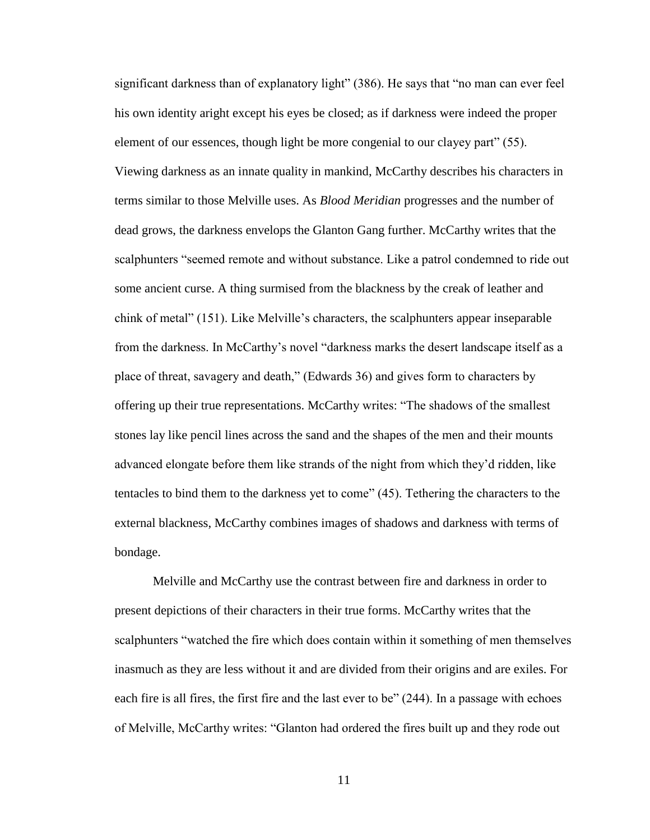significant darkness than of explanatory light" (386). He says that "no man can ever feel his own identity aright except his eyes be closed; as if darkness were indeed the proper element of our essences, though light be more congenial to our clayey part" (55). Viewing darkness as an innate quality in mankind, McCarthy describes his characters in terms similar to those Melville uses. As *Blood Meridian* progresses and the number of dead grows, the darkness envelops the Glanton Gang further. McCarthy writes that the scalphunters "seemed remote and without substance. Like a patrol condemned to ride out some ancient curse. A thing surmised from the blackness by the creak of leather and chink of metal" (151). Like Melville's characters, the scalphunters appear inseparable from the darkness. In McCarthy's novel "darkness marks the desert landscape itself as a place of threat, savagery and death," (Edwards 36) and gives form to characters by offering up their true representations. McCarthy writes: "The shadows of the smallest stones lay like pencil lines across the sand and the shapes of the men and their mounts advanced elongate before them like strands of the night from which they'd ridden, like tentacles to bind them to the darkness yet to come" (45). Tethering the characters to the external blackness, McCarthy combines images of shadows and darkness with terms of bondage.

Melville and McCarthy use the contrast between fire and darkness in order to present depictions of their characters in their true forms. McCarthy writes that the scalphunters "watched the fire which does contain within it something of men themselves inasmuch as they are less without it and are divided from their origins and are exiles. For each fire is all fires, the first fire and the last ever to be" (244). In a passage with echoes of Melville, McCarthy writes: "Glanton had ordered the fires built up and they rode out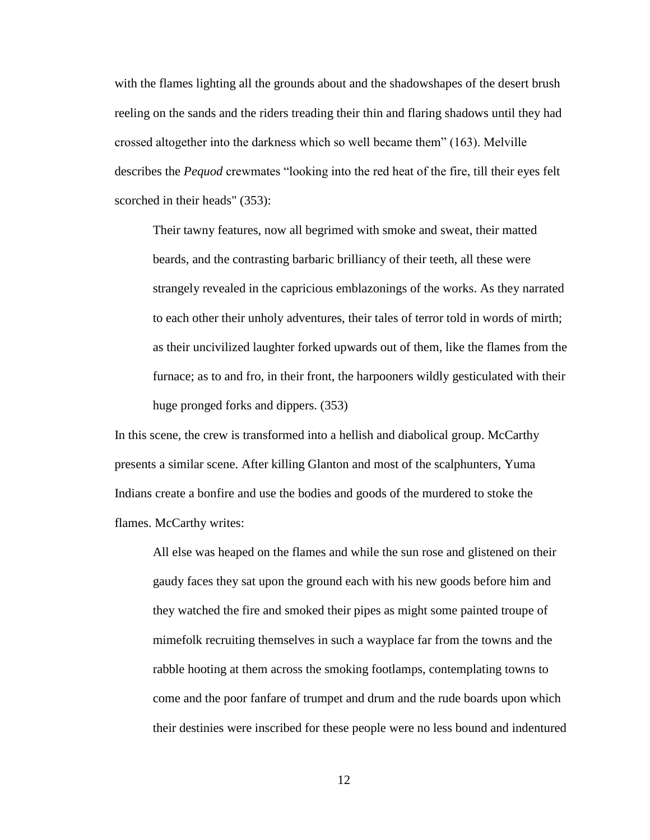with the flames lighting all the grounds about and the shadowshapes of the desert brush reeling on the sands and the riders treading their thin and flaring shadows until they had crossed altogether into the darkness which so well became them" (163). Melville describes the *Pequod* crewmates "looking into the red heat of the fire, till their eyes felt scorched in their heads" (353):

Their tawny features, now all begrimed with smoke and sweat, their matted beards, and the contrasting barbaric brilliancy of their teeth, all these were strangely revealed in the capricious emblazonings of the works. As they narrated to each other their unholy adventures, their tales of terror told in words of mirth; as their uncivilized laughter forked upwards out of them, like the flames from the furnace; as to and fro, in their front, the harpooners wildly gesticulated with their huge pronged forks and dippers. (353)

In this scene, the crew is transformed into a hellish and diabolical group. McCarthy presents a similar scene. After killing Glanton and most of the scalphunters, Yuma Indians create a bonfire and use the bodies and goods of the murdered to stoke the flames. McCarthy writes:

All else was heaped on the flames and while the sun rose and glistened on their gaudy faces they sat upon the ground each with his new goods before him and they watched the fire and smoked their pipes as might some painted troupe of mimefolk recruiting themselves in such a wayplace far from the towns and the rabble hooting at them across the smoking footlamps, contemplating towns to come and the poor fanfare of trumpet and drum and the rude boards upon which their destinies were inscribed for these people were no less bound and indentured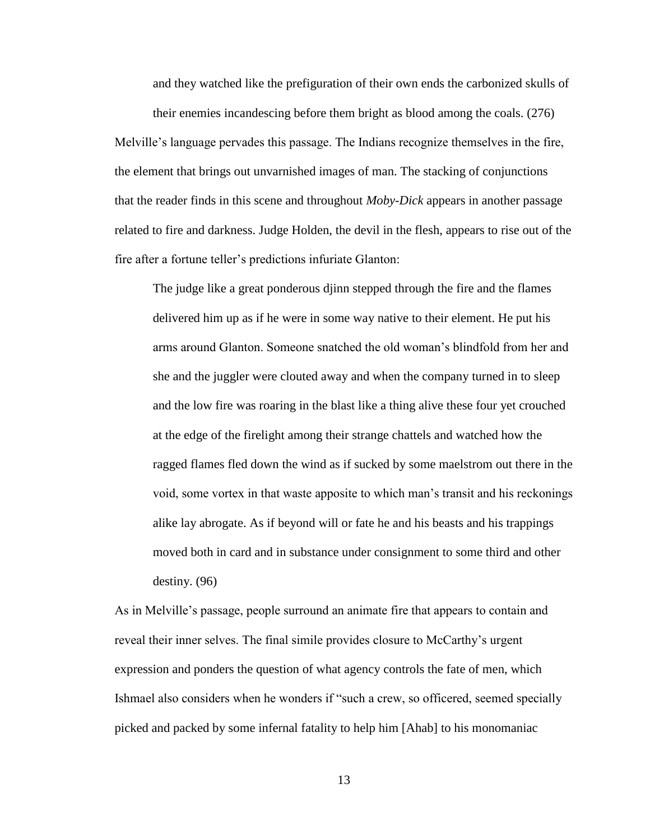and they watched like the prefiguration of their own ends the carbonized skulls of

their enemies incandescing before them bright as blood among the coals. (276) Melville's language pervades this passage. The Indians recognize themselves in the fire, the element that brings out unvarnished images of man. The stacking of conjunctions that the reader finds in this scene and throughout *Moby-Dick* appears in another passage related to fire and darkness. Judge Holden, the devil in the flesh, appears to rise out of the fire after a fortune teller's predictions infuriate Glanton:

The judge like a great ponderous djinn stepped through the fire and the flames delivered him up as if he were in some way native to their element. He put his arms around Glanton. Someone snatched the old woman's blindfold from her and she and the juggler were clouted away and when the company turned in to sleep and the low fire was roaring in the blast like a thing alive these four yet crouched at the edge of the firelight among their strange chattels and watched how the ragged flames fled down the wind as if sucked by some maelstrom out there in the void, some vortex in that waste apposite to which man's transit and his reckonings alike lay abrogate. As if beyond will or fate he and his beasts and his trappings moved both in card and in substance under consignment to some third and other destiny. (96)

As in Melville's passage, people surround an animate fire that appears to contain and reveal their inner selves. The final simile provides closure to McCarthy's urgent expression and ponders the question of what agency controls the fate of men, which Ishmael also considers when he wonders if "such a crew, so officered, seemed specially picked and packed by some infernal fatality to help him [Ahab] to his monomaniac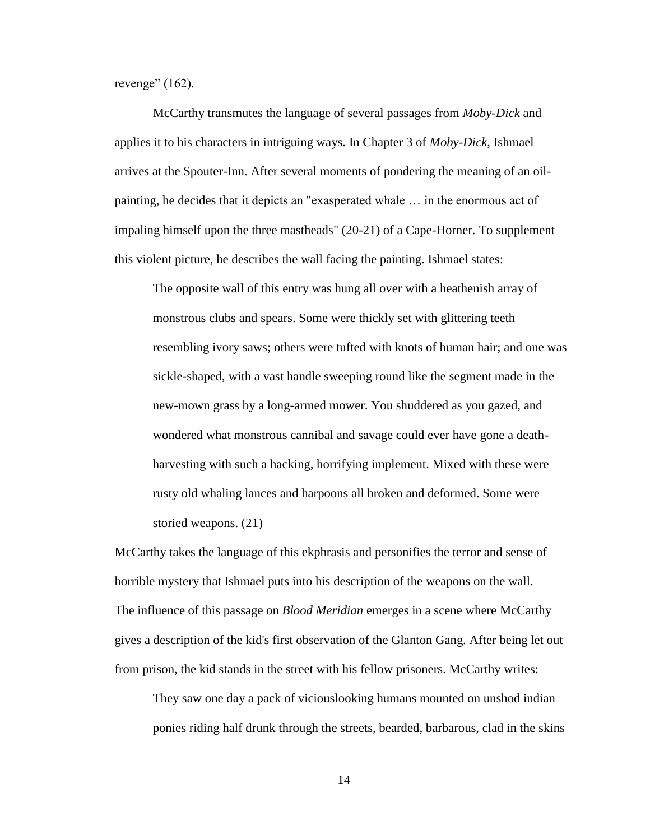revenge" (162).

McCarthy transmutes the language of several passages from *Moby-Dick* and applies it to his characters in intriguing ways. In Chapter 3 of *Moby-Dick*, Ishmael arrives at the Spouter-Inn. After several moments of pondering the meaning of an oilpainting, he decides that it depicts an "exasperated whale … in the enormous act of impaling himself upon the three mastheads" (20-21) of a Cape-Horner. To supplement this violent picture, he describes the wall facing the painting. Ishmael states:

The opposite wall of this entry was hung all over with a heathenish array of monstrous clubs and spears. Some were thickly set with glittering teeth resembling ivory saws; others were tufted with knots of human hair; and one was sickle-shaped, with a vast handle sweeping round like the segment made in the new-mown grass by a long-armed mower. You shuddered as you gazed, and wondered what monstrous cannibal and savage could ever have gone a deathharvesting with such a hacking, horrifying implement. Mixed with these were rusty old whaling lances and harpoons all broken and deformed. Some were storied weapons. (21)

McCarthy takes the language of this ekphrasis and personifies the terror and sense of horrible mystery that Ishmael puts into his description of the weapons on the wall. The influence of this passage on *Blood Meridian* emerges in a scene where McCarthy gives a description of the kid's first observation of the Glanton Gang. After being let out from prison, the kid stands in the street with his fellow prisoners. McCarthy writes:

They saw one day a pack of viciouslooking humans mounted on unshod indian ponies riding half drunk through the streets, bearded, barbarous, clad in the skins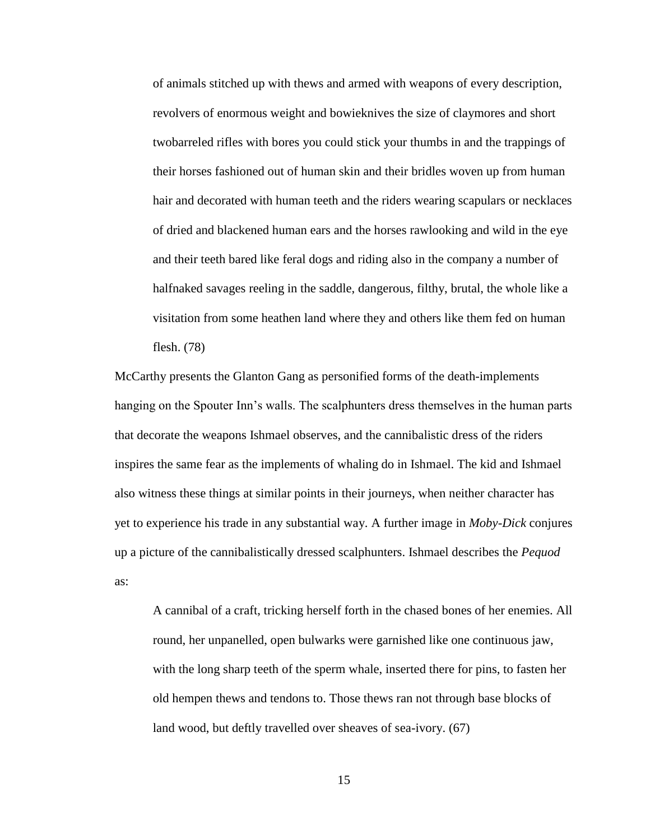of animals stitched up with thews and armed with weapons of every description, revolvers of enormous weight and bowieknives the size of claymores and short twobarreled rifles with bores you could stick your thumbs in and the trappings of their horses fashioned out of human skin and their bridles woven up from human hair and decorated with human teeth and the riders wearing scapulars or necklaces of dried and blackened human ears and the horses rawlooking and wild in the eye and their teeth bared like feral dogs and riding also in the company a number of halfnaked savages reeling in the saddle, dangerous, filthy, brutal, the whole like a visitation from some heathen land where they and others like them fed on human flesh. (78)

McCarthy presents the Glanton Gang as personified forms of the death-implements hanging on the Spouter Inn's walls. The scalphunters dress themselves in the human parts that decorate the weapons Ishmael observes, and the cannibalistic dress of the riders inspires the same fear as the implements of whaling do in Ishmael. The kid and Ishmael also witness these things at similar points in their journeys, when neither character has yet to experience his trade in any substantial way. A further image in *Moby-Dick* conjures up a picture of the cannibalistically dressed scalphunters. Ishmael describes the *Pequod*  as:

A cannibal of a craft, tricking herself forth in the chased bones of her enemies. All round, her unpanelled, open bulwarks were garnished like one continuous jaw, with the long sharp teeth of the sperm whale, inserted there for pins, to fasten her old hempen thews and tendons to. Those thews ran not through base blocks of land wood, but deftly travelled over sheaves of sea-ivory. (67)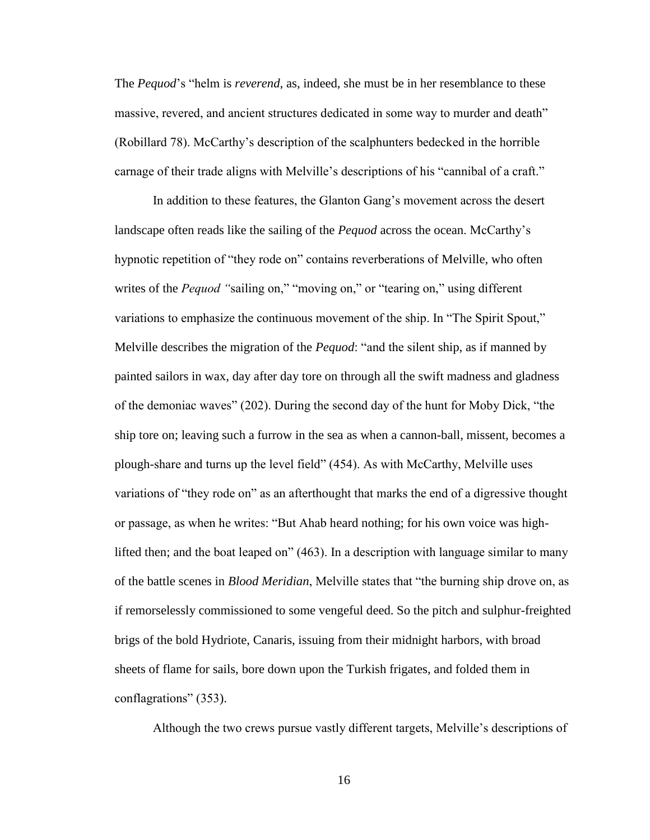The *Pequod*'s "helm is *reverend*, as, indeed, she must be in her resemblance to these massive, revered, and ancient structures dedicated in some way to murder and death" (Robillard 78). McCarthy's description of the scalphunters bedecked in the horrible carnage of their trade aligns with Melville's descriptions of his "cannibal of a craft."

In addition to these features, the Glanton Gang's movement across the desert landscape often reads like the sailing of the *Pequod* across the ocean. McCarthy's hypnotic repetition of "they rode on" contains reverberations of Melville, who often writes of the *Pequod* "sailing on," "moving on," or "tearing on," using different variations to emphasize the continuous movement of the ship. In "The Spirit Spout," Melville describes the migration of the *Pequod*: "and the silent ship, as if manned by painted sailors in wax, day after day tore on through all the swift madness and gladness of the demoniac waves" (202). During the second day of the hunt for Moby Dick, "the ship tore on; leaving such a furrow in the sea as when a cannon-ball, missent, becomes a plough-share and turns up the level field" (454). As with McCarthy, Melville uses variations of "they rode on" as an afterthought that marks the end of a digressive thought or passage, as when he writes: "But Ahab heard nothing; for his own voice was highlifted then; and the boat leaped on" (463). In a description with language similar to many of the battle scenes in *Blood Meridian*, Melville states that "the burning ship drove on, as if remorselessly commissioned to some vengeful deed. So the pitch and sulphur-freighted brigs of the bold Hydriote, Canaris, issuing from their midnight harbors, with broad sheets of flame for sails, bore down upon the Turkish frigates, and folded them in conflagrations" (353).

Although the two crews pursue vastly different targets, Melville's descriptions of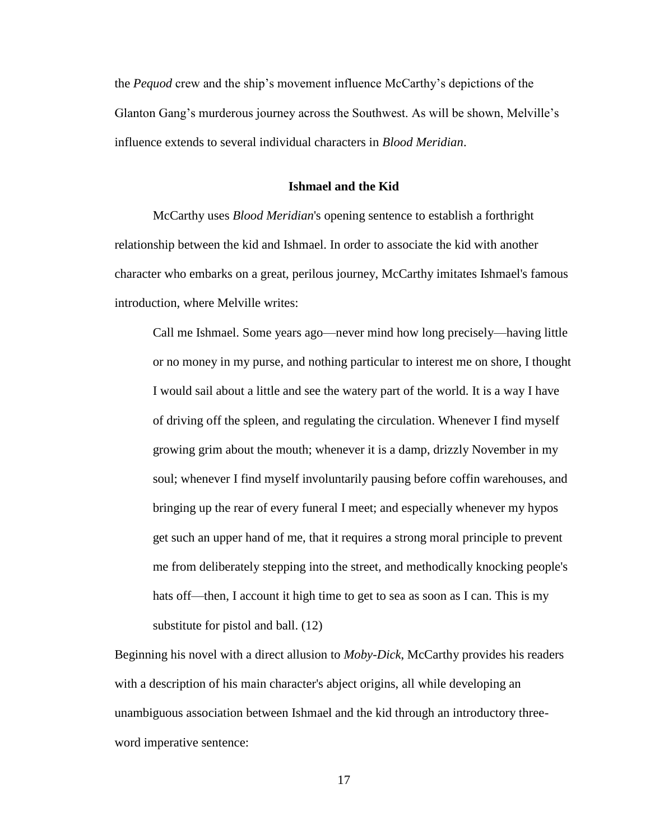the *Pequod* crew and the ship's movement influence McCarthy's depictions of the Glanton Gang's murderous journey across the Southwest. As will be shown, Melville's influence extends to several individual characters in *Blood Meridian*.

#### **Ishmael and the Kid**

McCarthy uses *Blood Meridian*'s opening sentence to establish a forthright relationship between the kid and Ishmael. In order to associate the kid with another character who embarks on a great, perilous journey, McCarthy imitates Ishmael's famous introduction, where Melville writes:

Call me Ishmael. Some years ago—never mind how long precisely—having little or no money in my purse, and nothing particular to interest me on shore, I thought I would sail about a little and see the watery part of the world. It is a way I have of driving off the spleen, and regulating the circulation. Whenever I find myself growing grim about the mouth; whenever it is a damp, drizzly November in my soul; whenever I find myself involuntarily pausing before coffin warehouses, and bringing up the rear of every funeral I meet; and especially whenever my hypos get such an upper hand of me, that it requires a strong moral principle to prevent me from deliberately stepping into the street, and methodically knocking people's hats of f—then, I account it high time to get to sea as soon as I can. This is my substitute for pistol and ball. (12)

Beginning his novel with a direct allusion to *Moby-Dick*, McCarthy provides his readers with a description of his main character's abject origins, all while developing an unambiguous association between Ishmael and the kid through an introductory threeword imperative sentence: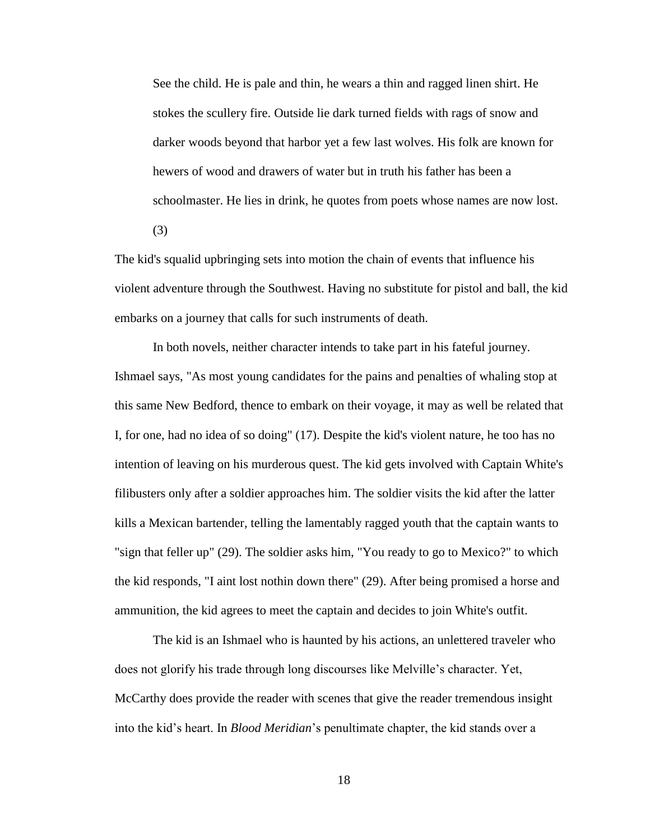See the child. He is pale and thin, he wears a thin and ragged linen shirt. He stokes the scullery fire. Outside lie dark turned fields with rags of snow and darker woods beyond that harbor yet a few last wolves. His folk are known for hewers of wood and drawers of water but in truth his father has been a schoolmaster. He lies in drink, he quotes from poets whose names are now lost. (3)

The kid's squalid upbringing sets into motion the chain of events that influence his violent adventure through the Southwest. Having no substitute for pistol and ball, the kid embarks on a journey that calls for such instruments of death.

In both novels, neither character intends to take part in his fateful journey. Ishmael says, "As most young candidates for the pains and penalties of whaling stop at this same New Bedford, thence to embark on their voyage, it may as well be related that I, for one, had no idea of so doing" (17). Despite the kid's violent nature, he too has no intention of leaving on his murderous quest. The kid gets involved with Captain White's filibusters only after a soldier approaches him. The soldier visits the kid after the latter kills a Mexican bartender, telling the lamentably ragged youth that the captain wants to "sign that feller up" (29). The soldier asks him, "You ready to go to Mexico?" to which the kid responds, "I aint lost nothin down there" (29). After being promised a horse and ammunition, the kid agrees to meet the captain and decides to join White's outfit.

The kid is an Ishmael who is haunted by his actions, an unlettered traveler who does not glorify his trade through long discourses like Melville's character. Yet, McCarthy does provide the reader with scenes that give the reader tremendous insight into the kid's heart. In *Blood Meridian*'s penultimate chapter, the kid stands over a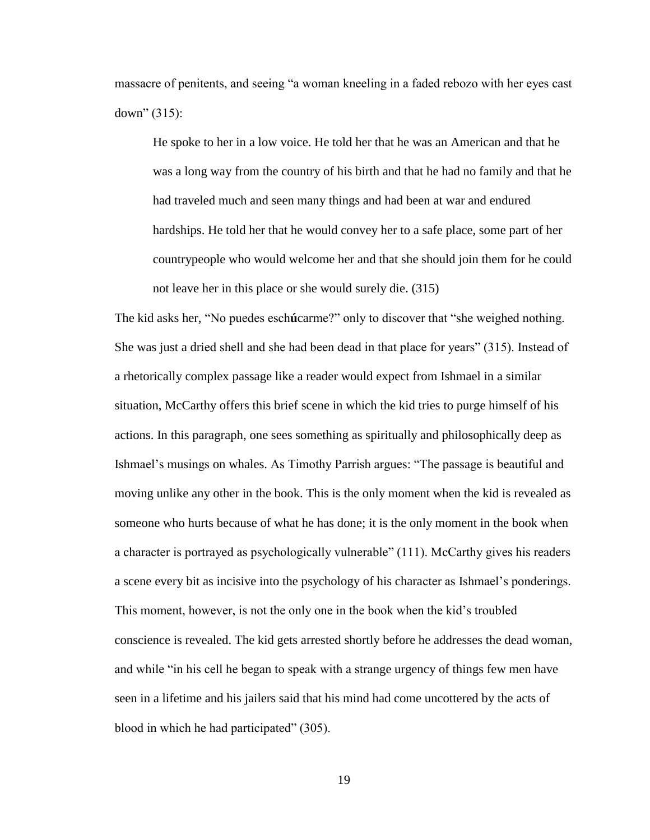massacre of penitents, and seeing "a woman kneeling in a faded rebozo with her eyes cast down" (315):

He spoke to her in a low voice. He told her that he was an American and that he was a long way from the country of his birth and that he had no family and that he had traveled much and seen many things and had been at war and endured hardships. He told her that he would convey her to a safe place, some part of her countrypeople who would welcome her and that she should join them for he could not leave her in this place or she would surely die. (315)

The kid asks her, "No puedes esch**ú**carme?" only to discover that "she weighed nothing. She was just a dried shell and she had been dead in that place for years" (315). Instead of a rhetorically complex passage like a reader would expect from Ishmael in a similar situation, McCarthy offers this brief scene in which the kid tries to purge himself of his actions. In this paragraph, one sees something as spiritually and philosophically deep as Ishmael's musings on whales. As Timothy Parrish argues: "The passage is beautiful and moving unlike any other in the book. This is the only moment when the kid is revealed as someone who hurts because of what he has done; it is the only moment in the book when a character is portrayed as psychologically vulnerable" (111). McCarthy gives his readers a scene every bit as incisive into the psychology of his character as Ishmael's ponderings. This moment, however, is not the only one in the book when the kid's troubled conscience is revealed. The kid gets arrested shortly before he addresses the dead woman, and while "in his cell he began to speak with a strange urgency of things few men have seen in a lifetime and his jailers said that his mind had come uncottered by the acts of blood in which he had participated" (305).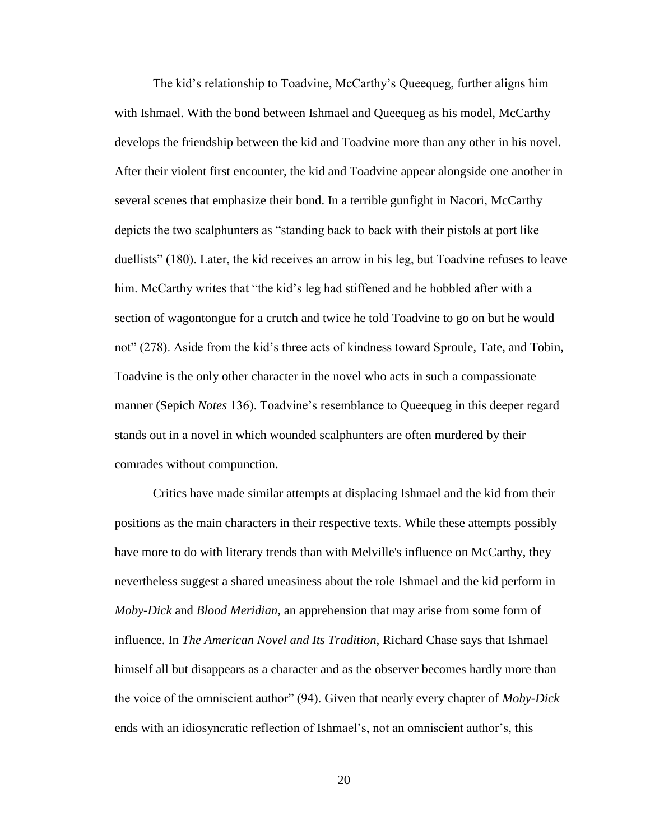The kid's relationship to Toadvine, McCarthy's Queequeg, further aligns him with Ishmael. With the bond between Ishmael and Queequeg as his model, McCarthy develops the friendship between the kid and Toadvine more than any other in his novel. After their violent first encounter, the kid and Toadvine appear alongside one another in several scenes that emphasize their bond. In a terrible gunfight in Nacori, McCarthy depicts the two scalphunters as "standing back to back with their pistols at port like duellists" (180). Later, the kid receives an arrow in his leg, but Toadvine refuses to leave him. McCarthy writes that "the kid's leg had stiffened and he hobbled after with a section of wagontongue for a crutch and twice he told Toadvine to go on but he would not" (278). Aside from the kid's three acts of kindness toward Sproule, Tate, and Tobin, Toadvine is the only other character in the novel who acts in such a compassionate manner (Sepich *Notes* 136). Toadvine's resemblance to Queequeg in this deeper regard stands out in a novel in which wounded scalphunters are often murdered by their comrades without compunction.

Critics have made similar attempts at displacing Ishmael and the kid from their positions as the main characters in their respective texts. While these attempts possibly have more to do with literary trends than with Melville's influence on McCarthy, they nevertheless suggest a shared uneasiness about the role Ishmael and the kid perform in *Moby-Dick* and *Blood Meridian*, an apprehension that may arise from some form of influence. In *The American Novel and Its Tradition*, Richard Chase says that Ishmael himself all but disappears as a character and as the observer becomes hardly more than the voice of the omniscient author" (94). Given that nearly every chapter of *Moby-Dick*  ends with an idiosyncratic reflection of Ishmael's, not an omniscient author's, this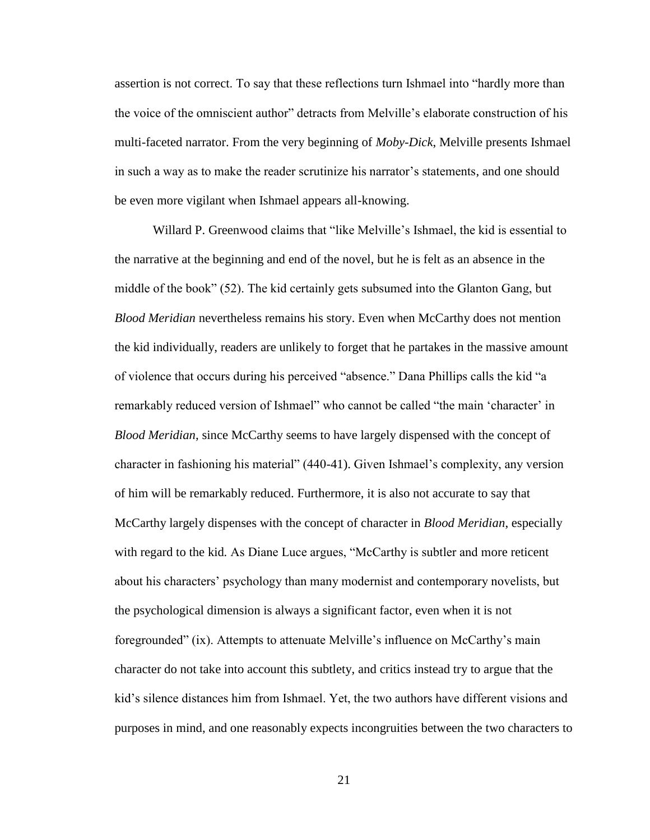assertion is not correct. To say that these reflections turn Ishmael into "hardly more than the voice of the omniscient author" detracts from Melville's elaborate construction of his multi-faceted narrator. From the very beginning of *Moby-Dick*, Melville presents Ishmael in such a way as to make the reader scrutinize his narrator's statements, and one should be even more vigilant when Ishmael appears all-knowing.

Willard P. Greenwood claims that "like Melville's Ishmael, the kid is essential to the narrative at the beginning and end of the novel, but he is felt as an absence in the middle of the book" (52). The kid certainly gets subsumed into the Glanton Gang, but *Blood Meridian* nevertheless remains his story. Even when McCarthy does not mention the kid individually, readers are unlikely to forget that he partakes in the massive amount of violence that occurs during his perceived "absence." Dana Phillips calls the kid "a remarkably reduced version of Ishmael" who cannot be called "the main 'character' in *Blood Meridian*, since McCarthy seems to have largely dispensed with the concept of character in fashioning his material" (440-41). Given Ishmael's complexity, any version of him will be remarkably reduced. Furthermore, it is also not accurate to say that McCarthy largely dispenses with the concept of character in *Blood Meridian*, especially with regard to the kid*.* As Diane Luce argues, "McCarthy is subtler and more reticent about his characters' psychology than many modernist and contemporary novelists, but the psychological dimension is always a significant factor, even when it is not foregrounded" (ix). Attempts to attenuate Melville's influence on McCarthy's main character do not take into account this subtlety, and critics instead try to argue that the kid's silence distances him from Ishmael. Yet, the two authors have different visions and purposes in mind, and one reasonably expects incongruities between the two characters to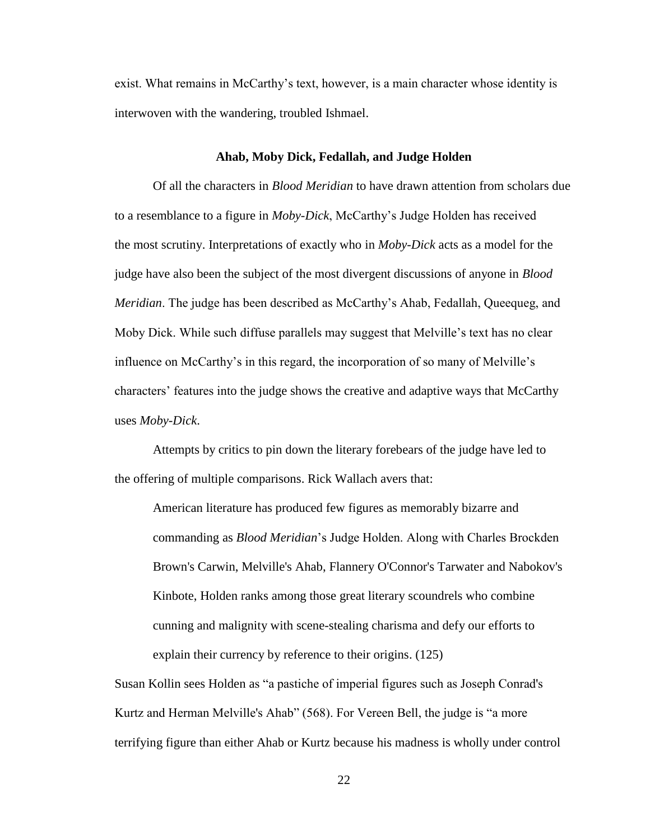exist. What remains in McCarthy's text, however, is a main character whose identity is interwoven with the wandering, troubled Ishmael.

#### **Ahab, Moby Dick, Fedallah, and Judge Holden**

Of all the characters in *Blood Meridian* to have drawn attention from scholars due to a resemblance to a figure in *Moby-Dick*, McCarthy's Judge Holden has received the most scrutiny. Interpretations of exactly who in *Moby-Dick* acts as a model for the judge have also been the subject of the most divergent discussions of anyone in *Blood Meridian*. The judge has been described as McCarthy's Ahab, Fedallah, Queequeg, and Moby Dick. While such diffuse parallels may suggest that Melville's text has no clear influence on McCarthy's in this regard, the incorporation of so many of Melville's characters' features into the judge shows the creative and adaptive ways that McCarthy uses *Moby-Dick*.

Attempts by critics to pin down the literary forebears of the judge have led to the offering of multiple comparisons. Rick Wallach avers that:

American literature has produced few figures as memorably bizarre and commanding as *Blood Meridian*'s Judge Holden. Along with Charles Brockden Brown's Carwin, Melville's Ahab, Flannery O'Connor's Tarwater and Nabokov's Kinbote, Holden ranks among those great literary scoundrels who combine cunning and malignity with scene-stealing charisma and defy our efforts to explain their currency by reference to their origins. (125)

Susan Kollin sees Holden as "a pastiche of imperial figures such as Joseph Conrad's Kurtz and Herman Melville's Ahab" (568). For Vereen Bell, the judge is "a more terrifying figure than either Ahab or Kurtz because his madness is wholly under control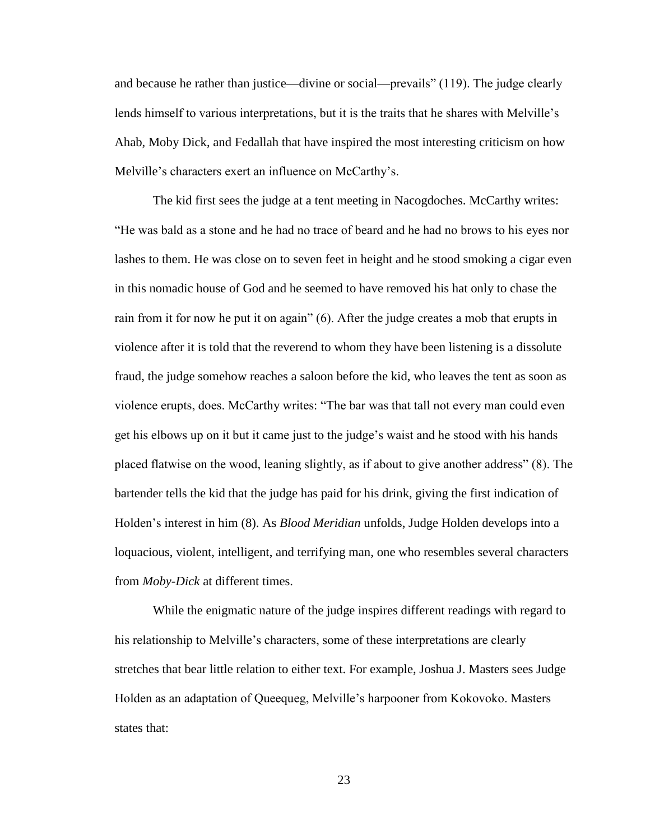and because he rather than justice—divine or social—prevails" (119). The judge clearly lends himself to various interpretations, but it is the traits that he shares with Melville's Ahab, Moby Dick, and Fedallah that have inspired the most interesting criticism on how Melville's characters exert an influence on McCarthy's.

The kid first sees the judge at a tent meeting in Nacogdoches. McCarthy writes: "He was bald as a stone and he had no trace of beard and he had no brows to his eyes nor lashes to them. He was close on to seven feet in height and he stood smoking a cigar even in this nomadic house of God and he seemed to have removed his hat only to chase the rain from it for now he put it on again" (6). After the judge creates a mob that erupts in violence after it is told that the reverend to whom they have been listening is a dissolute fraud, the judge somehow reaches a saloon before the kid, who leaves the tent as soon as violence erupts, does. McCarthy writes: "The bar was that tall not every man could even get his elbows up on it but it came just to the judge's waist and he stood with his hands placed flatwise on the wood, leaning slightly, as if about to give another address" (8). The bartender tells the kid that the judge has paid for his drink, giving the first indication of Holden's interest in him (8). As *Blood Meridian* unfolds, Judge Holden develops into a loquacious, violent, intelligent, and terrifying man, one who resembles several characters from *Moby-Dick* at different times.

While the enigmatic nature of the judge inspires different readings with regard to his relationship to Melville's characters, some of these interpretations are clearly stretches that bear little relation to either text. For example, Joshua J. Masters sees Judge Holden as an adaptation of Queequeg, Melville's harpooner from Kokovoko. Masters states that: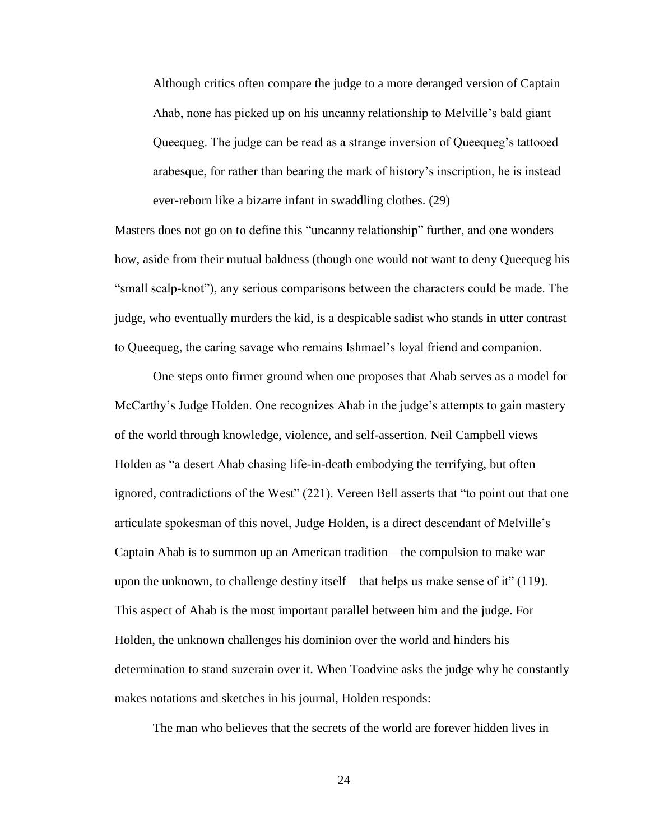Although critics often compare the judge to a more deranged version of Captain Ahab, none has picked up on his uncanny relationship to Melville's bald giant Queequeg. The judge can be read as a strange inversion of Queequeg's tattooed arabesque, for rather than bearing the mark of history's inscription, he is instead ever-reborn like a bizarre infant in swaddling clothes. (29)

Masters does not go on to define this "uncanny relationship" further, and one wonders how, aside from their mutual baldness (though one would not want to deny Queequeg his "small scalp-knot"), any serious comparisons between the characters could be made. The judge, who eventually murders the kid, is a despicable sadist who stands in utter contrast to Queequeg, the caring savage who remains Ishmael's loyal friend and companion.

One steps onto firmer ground when one proposes that Ahab serves as a model for McCarthy's Judge Holden. One recognizes Ahab in the judge's attempts to gain mastery of the world through knowledge, violence, and self-assertion. Neil Campbell views Holden as "a desert Ahab chasing life-in-death embodying the terrifying, but often ignored, contradictions of the West" (221). Vereen Bell asserts that "to point out that one articulate spokesman of this novel, Judge Holden, is a direct descendant of Melville's Captain Ahab is to summon up an American tradition—the compulsion to make war upon the unknown, to challenge destiny itself—that helps us make sense of it" (119). This aspect of Ahab is the most important parallel between him and the judge. For Holden, the unknown challenges his dominion over the world and hinders his determination to stand suzerain over it. When Toadvine asks the judge why he constantly makes notations and sketches in his journal, Holden responds:

The man who believes that the secrets of the world are forever hidden lives in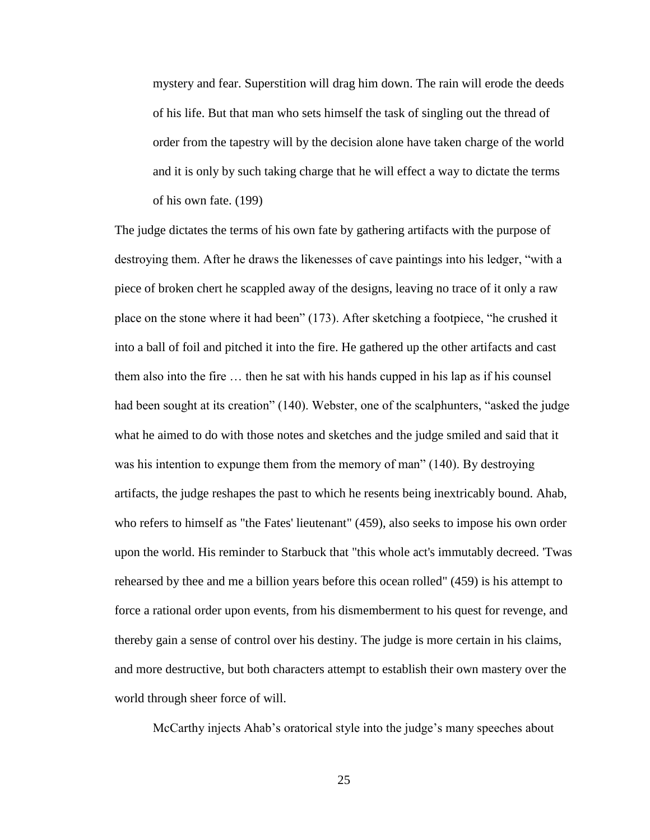mystery and fear. Superstition will drag him down. The rain will erode the deeds of his life. But that man who sets himself the task of singling out the thread of order from the tapestry will by the decision alone have taken charge of the world and it is only by such taking charge that he will effect a way to dictate the terms of his own fate. (199)

The judge dictates the terms of his own fate by gathering artifacts with the purpose of destroying them. After he draws the likenesses of cave paintings into his ledger, "with a piece of broken chert he scappled away of the designs, leaving no trace of it only a raw place on the stone where it had been" (173). After sketching a footpiece, "he crushed it into a ball of foil and pitched it into the fire. He gathered up the other artifacts and cast them also into the fire … then he sat with his hands cupped in his lap as if his counsel had been sought at its creation" (140). Webster, one of the scalphunters, "asked the judge what he aimed to do with those notes and sketches and the judge smiled and said that it was his intention to expunge them from the memory of man" (140). By destroying artifacts, the judge reshapes the past to which he resents being inextricably bound. Ahab, who refers to himself as "the Fates' lieutenant" (459), also seeks to impose his own order upon the world. His reminder to Starbuck that "this whole act's immutably decreed. 'Twas rehearsed by thee and me a billion years before this ocean rolled" (459) is his attempt to force a rational order upon events, from his dismemberment to his quest for revenge, and thereby gain a sense of control over his destiny. The judge is more certain in his claims, and more destructive, but both characters attempt to establish their own mastery over the world through sheer force of will.

McCarthy injects Ahab's oratorical style into the judge's many speeches about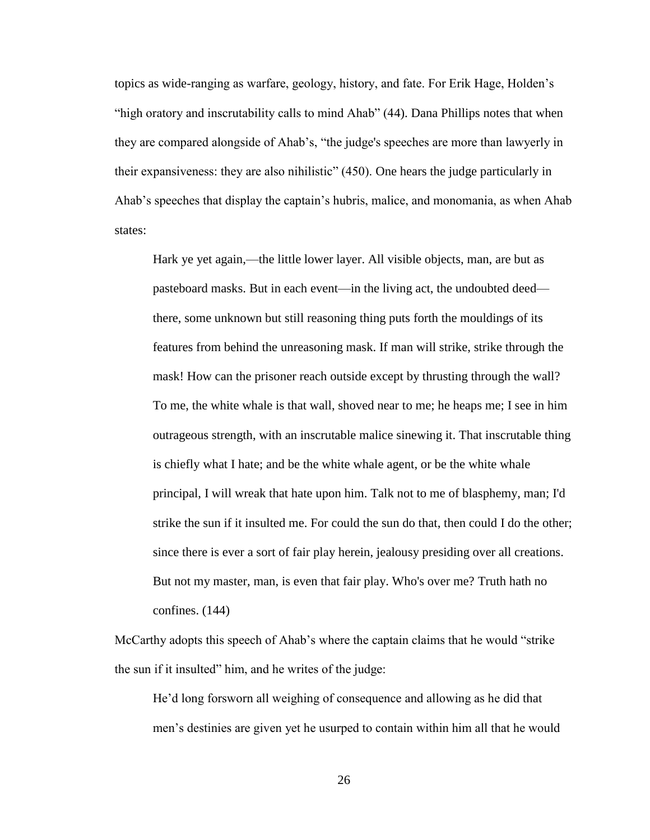topics as wide-ranging as warfare, geology, history, and fate. For Erik Hage, Holden's "high oratory and inscrutability calls to mind Ahab" (44). Dana Phillips notes that when they are compared alongside of Ahab's, "the judge's speeches are more than lawyerly in their expansiveness: they are also nihilistic" (450). One hears the judge particularly in Ahab's speeches that display the captain's hubris, malice, and monomania, as when Ahab states:

Hark ye yet again,—the little lower layer. All visible objects, man, are but as pasteboard masks. But in each event—in the living act, the undoubted deed there, some unknown but still reasoning thing puts forth the mouldings of its features from behind the unreasoning mask. If man will strike, strike through the mask! How can the prisoner reach outside except by thrusting through the wall? To me, the white whale is that wall, shoved near to me; he heaps me; I see in him outrageous strength, with an inscrutable malice sinewing it. That inscrutable thing is chiefly what I hate; and be the white whale agent, or be the white whale principal, I will wreak that hate upon him. Talk not to me of blasphemy, man; I'd strike the sun if it insulted me. For could the sun do that, then could I do the other; since there is ever a sort of fair play herein, jealousy presiding over all creations. But not my master, man, is even that fair play. Who's over me? Truth hath no confines. (144)

McCarthy adopts this speech of Ahab's where the captain claims that he would "strike the sun if it insulted" him, and he writes of the judge:

He'd long forsworn all weighing of consequence and allowing as he did that men's destinies are given yet he usurped to contain within him all that he would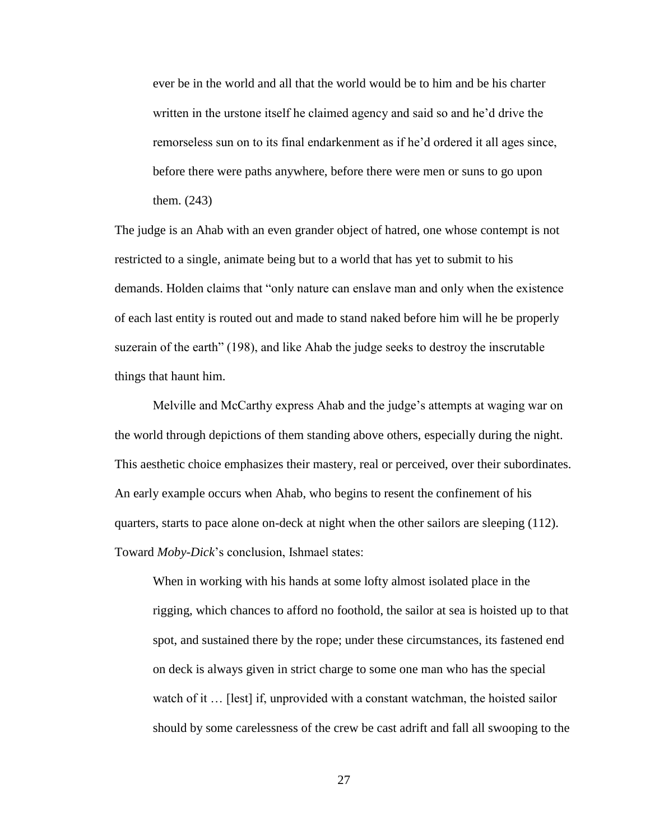ever be in the world and all that the world would be to him and be his charter written in the urstone itself he claimed agency and said so and he'd drive the remorseless sun on to its final endarkenment as if he'd ordered it all ages since, before there were paths anywhere, before there were men or suns to go upon them. (243)

The judge is an Ahab with an even grander object of hatred, one whose contempt is not restricted to a single, animate being but to a world that has yet to submit to his demands. Holden claims that "only nature can enslave man and only when the existence of each last entity is routed out and made to stand naked before him will he be properly suzerain of the earth" (198), and like Ahab the judge seeks to destroy the inscrutable things that haunt him.

Melville and McCarthy express Ahab and the judge's attempts at waging war on the world through depictions of them standing above others, especially during the night. This aesthetic choice emphasizes their mastery, real or perceived, over their subordinates. An early example occurs when Ahab, who begins to resent the confinement of his quarters, starts to pace alone on-deck at night when the other sailors are sleeping (112). Toward *Moby-Dick*'s conclusion, Ishmael states:

When in working with his hands at some lofty almost isolated place in the rigging, which chances to afford no foothold, the sailor at sea is hoisted up to that spot, and sustained there by the rope; under these circumstances, its fastened end on deck is always given in strict charge to some one man who has the special watch of it … [lest] if, unprovided with a constant watchman, the hoisted sailor should by some carelessness of the crew be cast adrift and fall all swooping to the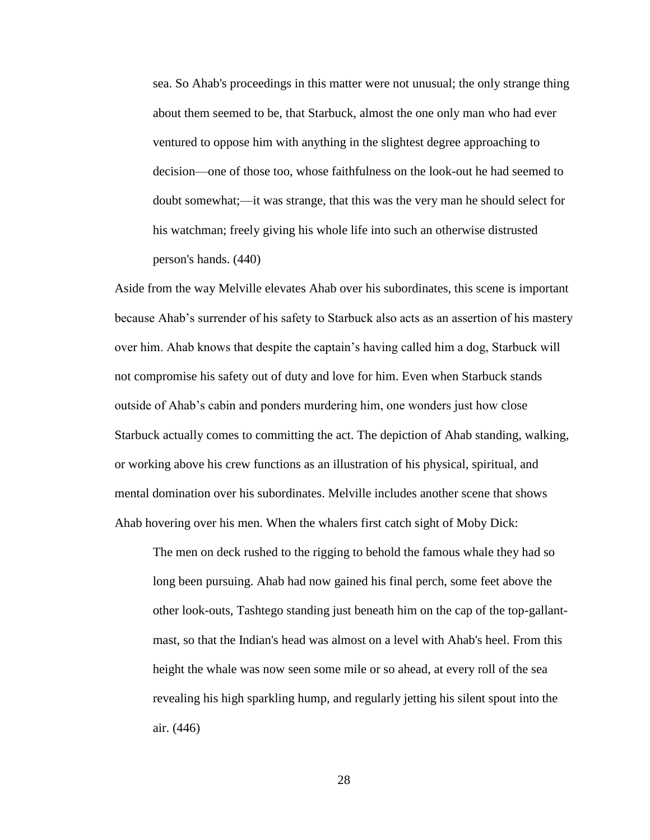sea. So Ahab's proceedings in this matter were not unusual; the only strange thing about them seemed to be, that Starbuck, almost the one only man who had ever ventured to oppose him with anything in the slightest degree approaching to decision—one of those too, whose faithfulness on the look-out he had seemed to doubt somewhat;—it was strange, that this was the very man he should select for his watchman; freely giving his whole life into such an otherwise distrusted person's hands. (440)

Aside from the way Melville elevates Ahab over his subordinates, this scene is important because Ahab's surrender of his safety to Starbuck also acts as an assertion of his mastery over him. Ahab knows that despite the captain's having called him a dog, Starbuck will not compromise his safety out of duty and love for him. Even when Starbuck stands outside of Ahab's cabin and ponders murdering him, one wonders just how close Starbuck actually comes to committing the act. The depiction of Ahab standing, walking, or working above his crew functions as an illustration of his physical, spiritual, and mental domination over his subordinates. Melville includes another scene that shows Ahab hovering over his men. When the whalers first catch sight of Moby Dick:

The men on deck rushed to the rigging to behold the famous whale they had so long been pursuing. Ahab had now gained his final perch, some feet above the other look-outs, Tashtego standing just beneath him on the cap of the top-gallantmast, so that the Indian's head was almost on a level with Ahab's heel. From this height the whale was now seen some mile or so ahead, at every roll of the sea revealing his high sparkling hump, and regularly jetting his silent spout into the air. (446)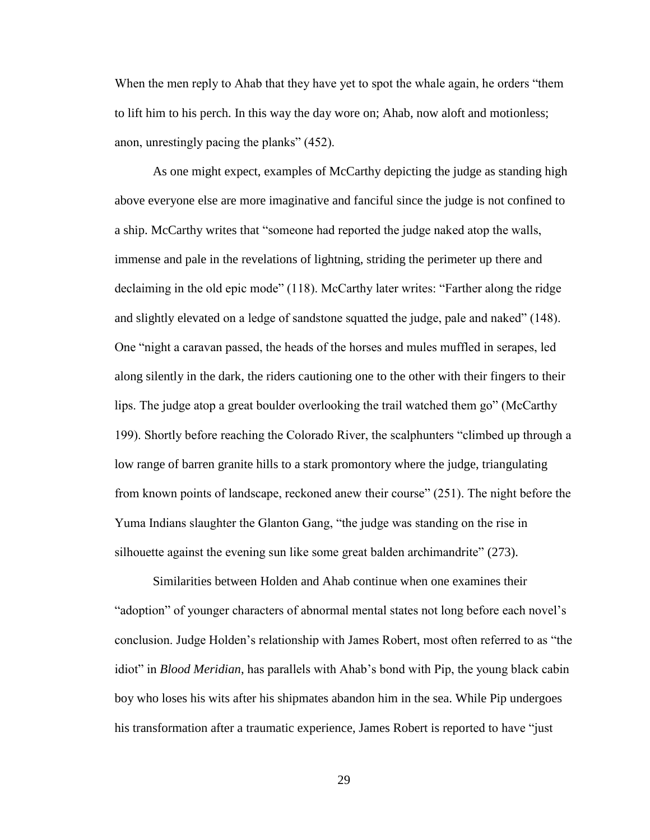When the men reply to Ahab that they have yet to spot the whale again, he orders "them to lift him to his perch. In this way the day wore on; Ahab, now aloft and motionless; anon, unrestingly pacing the planks" (452).

As one might expect, examples of McCarthy depicting the judge as standing high above everyone else are more imaginative and fanciful since the judge is not confined to a ship. McCarthy writes that "someone had reported the judge naked atop the walls, immense and pale in the revelations of lightning, striding the perimeter up there and declaiming in the old epic mode" (118). McCarthy later writes: "Farther along the ridge and slightly elevated on a ledge of sandstone squatted the judge, pale and naked" (148). One "night a caravan passed, the heads of the horses and mules muffled in serapes, led along silently in the dark, the riders cautioning one to the other with their fingers to their lips. The judge atop a great boulder overlooking the trail watched them go" (McCarthy 199). Shortly before reaching the Colorado River, the scalphunters "climbed up through a low range of barren granite hills to a stark promontory where the judge, triangulating from known points of landscape, reckoned anew their course" (251). The night before the Yuma Indians slaughter the Glanton Gang, "the judge was standing on the rise in silhouette against the evening sun like some great balden archimandrite" (273).

Similarities between Holden and Ahab continue when one examines their "adoption" of younger characters of abnormal mental states not long before each novel's conclusion. Judge Holden's relationship with James Robert, most often referred to as "the idiot" in *Blood Meridian*, has parallels with Ahab's bond with Pip, the young black cabin boy who loses his wits after his shipmates abandon him in the sea. While Pip undergoes his transformation after a traumatic experience, James Robert is reported to have "just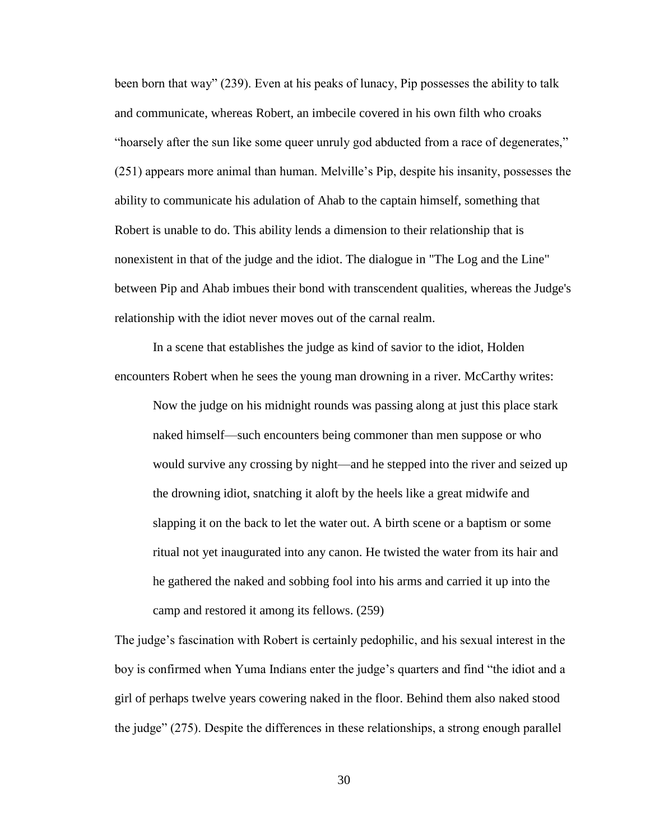been born that way" (239). Even at his peaks of lunacy, Pip possesses the ability to talk and communicate, whereas Robert, an imbecile covered in his own filth who croaks "hoarsely after the sun like some queer unruly god abducted from a race of degenerates," (251) appears more animal than human. Melville's Pip, despite his insanity, possesses the ability to communicate his adulation of Ahab to the captain himself, something that Robert is unable to do. This ability lends a dimension to their relationship that is nonexistent in that of the judge and the idiot. The dialogue in "The Log and the Line" between Pip and Ahab imbues their bond with transcendent qualities, whereas the Judge's relationship with the idiot never moves out of the carnal realm.

In a scene that establishes the judge as kind of savior to the idiot, Holden encounters Robert when he sees the young man drowning in a river. McCarthy writes:

Now the judge on his midnight rounds was passing along at just this place stark naked himself—such encounters being commoner than men suppose or who would survive any crossing by night—and he stepped into the river and seized up the drowning idiot, snatching it aloft by the heels like a great midwife and slapping it on the back to let the water out. A birth scene or a baptism or some ritual not yet inaugurated into any canon. He twisted the water from its hair and he gathered the naked and sobbing fool into his arms and carried it up into the camp and restored it among its fellows. (259)

The judge's fascination with Robert is certainly pedophilic, and his sexual interest in the boy is confirmed when Yuma Indians enter the judge's quarters and find "the idiot and a girl of perhaps twelve years cowering naked in the floor. Behind them also naked stood the judge" (275). Despite the differences in these relationships, a strong enough parallel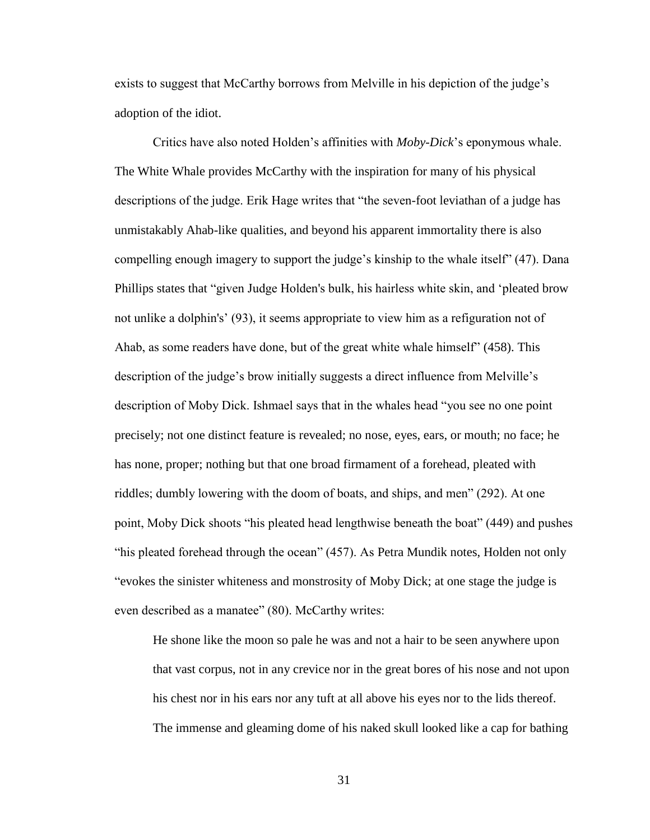exists to suggest that McCarthy borrows from Melville in his depiction of the judge's adoption of the idiot.

Critics have also noted Holden's affinities with *Moby-Dick*'s eponymous whale. The White Whale provides McCarthy with the inspiration for many of his physical descriptions of the judge. Erik Hage writes that "the seven-foot leviathan of a judge has unmistakably Ahab-like qualities, and beyond his apparent immortality there is also compelling enough imagery to support the judge's kinship to the whale itself" (47). Dana Phillips states that "given Judge Holden's bulk, his hairless white skin, and 'pleated brow not unlike a dolphin's' (93), it seems appropriate to view him as a refiguration not of Ahab, as some readers have done, but of the great white whale himself" (458). This description of the judge's brow initially suggests a direct influence from Melville's description of Moby Dick. Ishmael says that in the whales head "you see no one point precisely; not one distinct feature is revealed; no nose, eyes, ears, or mouth; no face; he has none, proper; nothing but that one broad firmament of a forehead, pleated with riddles; dumbly lowering with the doom of boats, and ships, and men" (292). At one point, Moby Dick shoots "his pleated head lengthwise beneath the boat" (449) and pushes "his pleated forehead through the ocean" (457). As Petra Mundik notes, Holden not only "evokes the sinister whiteness and monstrosity of Moby Dick; at one stage the judge is even described as a manatee" (80). McCarthy writes:

He shone like the moon so pale he was and not a hair to be seen anywhere upon that vast corpus, not in any crevice nor in the great bores of his nose and not upon his chest nor in his ears nor any tuft at all above his eyes nor to the lids thereof. The immense and gleaming dome of his naked skull looked like a cap for bathing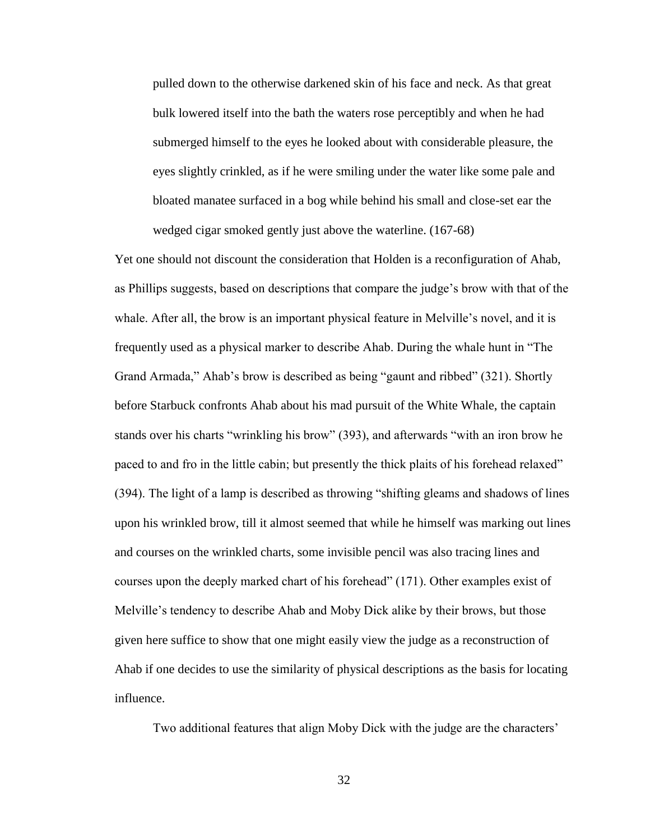pulled down to the otherwise darkened skin of his face and neck. As that great bulk lowered itself into the bath the waters rose perceptibly and when he had submerged himself to the eyes he looked about with considerable pleasure, the eyes slightly crinkled, as if he were smiling under the water like some pale and bloated manatee surfaced in a bog while behind his small and close-set ear the wedged cigar smoked gently just above the waterline. (167-68)

Yet one should not discount the consideration that Holden is a reconfiguration of Ahab, as Phillips suggests, based on descriptions that compare the judge's brow with that of the whale. After all, the brow is an important physical feature in Melville's novel, and it is frequently used as a physical marker to describe Ahab. During the whale hunt in "The Grand Armada," Ahab's brow is described as being "gaunt and ribbed" (321). Shortly before Starbuck confronts Ahab about his mad pursuit of the White Whale, the captain stands over his charts "wrinkling his brow" (393), and afterwards "with an iron brow he paced to and fro in the little cabin; but presently the thick plaits of his forehead relaxed" (394). The light of a lamp is described as throwing "shifting gleams and shadows of lines upon his wrinkled brow, till it almost seemed that while he himself was marking out lines and courses on the wrinkled charts, some invisible pencil was also tracing lines and courses upon the deeply marked chart of his forehead" (171). Other examples exist of Melville's tendency to describe Ahab and Moby Dick alike by their brows, but those given here suffice to show that one might easily view the judge as a reconstruction of Ahab if one decides to use the similarity of physical descriptions as the basis for locating influence.

Two additional features that align Moby Dick with the judge are the characters'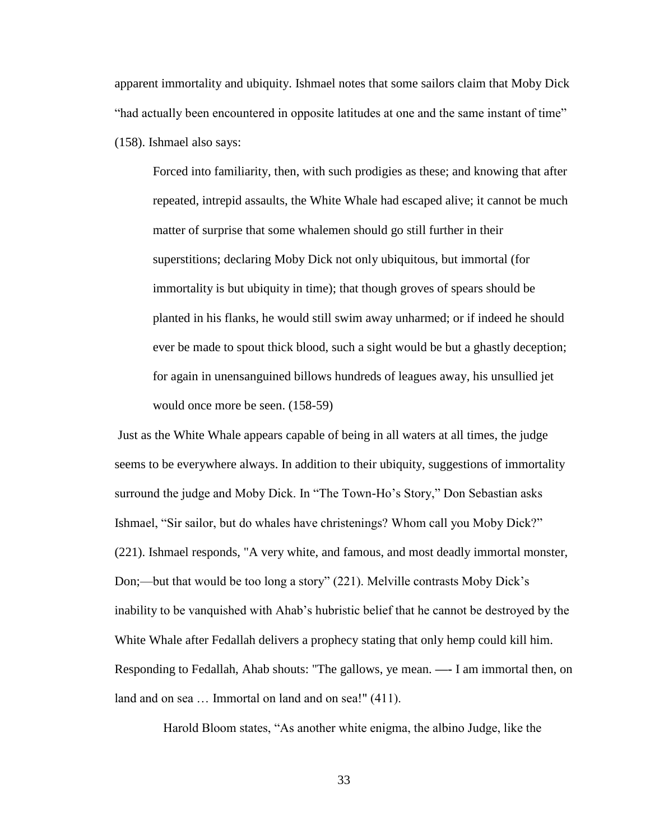apparent immortality and ubiquity. Ishmael notes that some sailors claim that Moby Dick "had actually been encountered in opposite latitudes at one and the same instant of time" (158). Ishmael also says:

Forced into familiarity, then, with such prodigies as these; and knowing that after repeated, intrepid assaults, the White Whale had escaped alive; it cannot be much matter of surprise that some whalemen should go still further in their superstitions; declaring Moby Dick not only ubiquitous, but immortal (for immortality is but ubiquity in time); that though groves of spears should be planted in his flanks, he would still swim away unharmed; or if indeed he should ever be made to spout thick blood, such a sight would be but a ghastly deception; for again in unensanguined billows hundreds of leagues away, his unsullied jet would once more be seen. (158-59)

Just as the White Whale appears capable of being in all waters at all times, the judge seems to be everywhere always. In addition to their ubiquity, suggestions of immortality surround the judge and Moby Dick. In "The Town-Ho's Story," Don Sebastian asks Ishmael, "Sir sailor, but do whales have christenings? Whom call you Moby Dick?" (221). Ishmael responds, "A very white, and famous, and most deadly immortal monster, Don;—but that would be too long a story" (221). Melville contrasts Moby Dick's inability to be vanquished with Ahab's hubristic belief that he cannot be destroyed by the White Whale after Fedallah delivers a prophecy stating that only hemp could kill him. Responding to Fedallah, Ahab shouts: "The gallows, ye mean. **—-** I am immortal then, on land and on sea … Immortal on land and on sea!" (411).

Harold Bloom states, "As another white enigma, the albino Judge, like the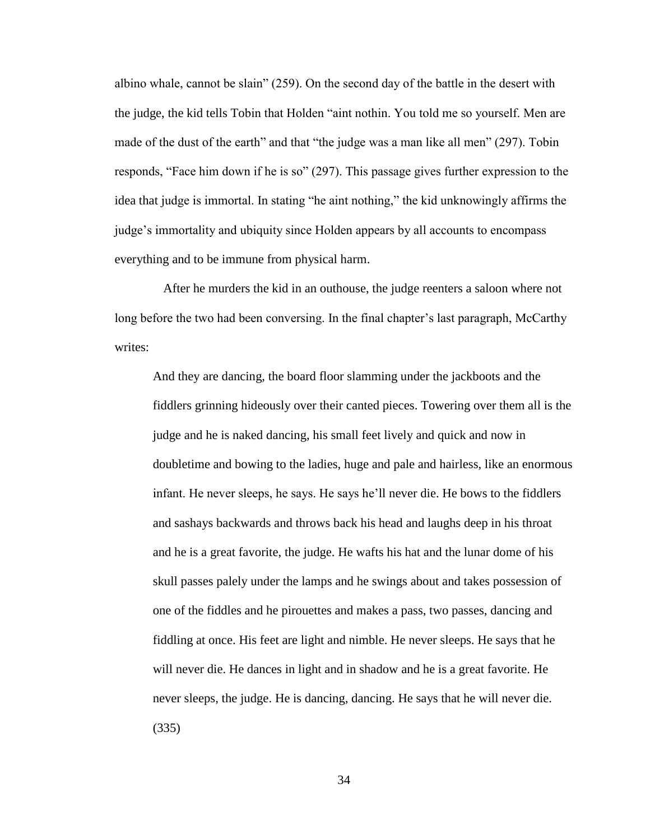albino whale, cannot be slain" (259). On the second day of the battle in the desert with the judge, the kid tells Tobin that Holden "aint nothin. You told me so yourself. Men are made of the dust of the earth" and that "the judge was a man like all men" (297). Tobin responds, "Face him down if he is so" (297). This passage gives further expression to the idea that judge is immortal. In stating "he aint nothing," the kid unknowingly affirms the judge's immortality and ubiquity since Holden appears by all accounts to encompass everything and to be immune from physical harm.

After he murders the kid in an outhouse, the judge reenters a saloon where not long before the two had been conversing. In the final chapter's last paragraph, McCarthy writes:

And they are dancing, the board floor slamming under the jackboots and the fiddlers grinning hideously over their canted pieces. Towering over them all is the judge and he is naked dancing, his small feet lively and quick and now in doubletime and bowing to the ladies, huge and pale and hairless, like an enormous infant. He never sleeps, he says. He says he'll never die. He bows to the fiddlers and sashays backwards and throws back his head and laughs deep in his throat and he is a great favorite, the judge. He wafts his hat and the lunar dome of his skull passes palely under the lamps and he swings about and takes possession of one of the fiddles and he pirouettes and makes a pass, two passes, dancing and fiddling at once. His feet are light and nimble. He never sleeps. He says that he will never die. He dances in light and in shadow and he is a great favorite. He never sleeps, the judge. He is dancing, dancing. He says that he will never die. (335)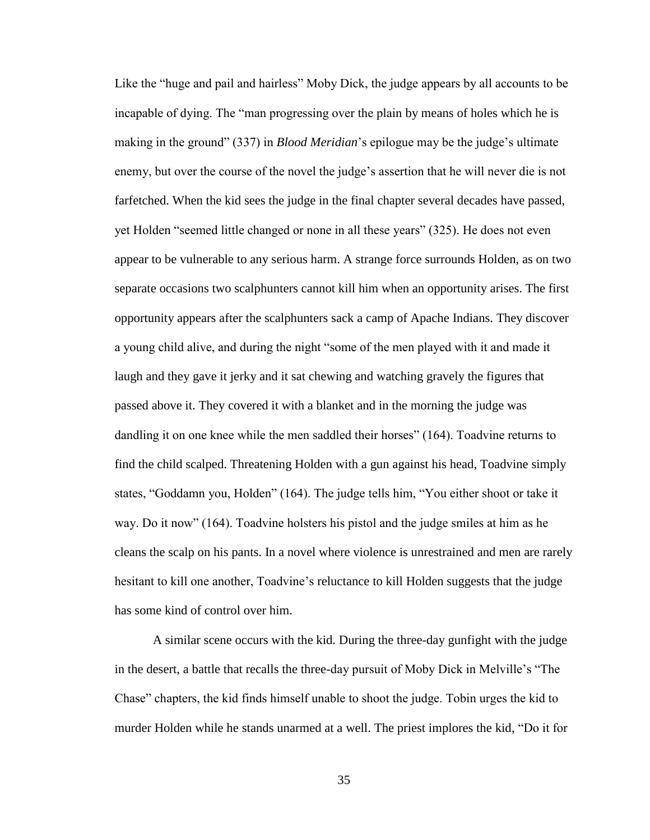Like the "huge and pail and hairless" Moby Dick, the judge appears by all accounts to be incapable of dying. The "man progressing over the plain by means of holes which he is making in the ground" (337) in *Blood Meridian*'s epilogue may be the judge's ultimate enemy, but over the course of the novel the judge's assertion that he will never die is not farfetched. When the kid sees the judge in the final chapter several decades have passed, yet Holden "seemed little changed or none in all these years" (325). He does not even appear to be vulnerable to any serious harm. A strange force surrounds Holden, as on two separate occasions two scalphunters cannot kill him when an opportunity arises. The first opportunity appears after the scalphunters sack a camp of Apache Indians. They discover a young child alive, and during the night "some of the men played with it and made it laugh and they gave it jerky and it sat chewing and watching gravely the figures that passed above it. They covered it with a blanket and in the morning the judge was dandling it on one knee while the men saddled their horses" (164). Toadvine returns to find the child scalped. Threatening Holden with a gun against his head, Toadvine simply states, "Goddamn you, Holden" (164). The judge tells him, "You either shoot or take it way. Do it now" (164). Toadvine holsters his pistol and the judge smiles at him as he cleans the scalp on his pants. In a novel where violence is unrestrained and men are rarely hesitant to kill one another, Toadvine's reluctance to kill Holden suggests that the judge has some kind of control over him.

A similar scene occurs with the kid. During the three-day gunfight with the judge in the desert, a battle that recalls the three-day pursuit of Moby Dick in Melville's "The Chase" chapters, the kid finds himself unable to shoot the judge. Tobin urges the kid to murder Holden while he stands unarmed at a well. The priest implores the kid, "Do it for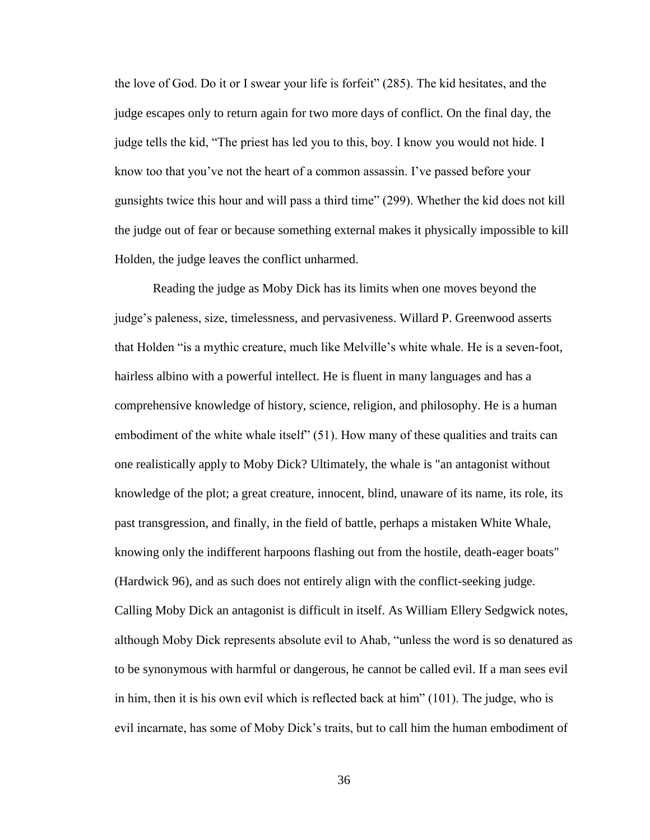the love of God. Do it or I swear your life is forfeit" (285). The kid hesitates, and the judge escapes only to return again for two more days of conflict. On the final day, the judge tells the kid, "The priest has led you to this, boy. I know you would not hide. I know too that you've not the heart of a common assassin. I've passed before your gunsights twice this hour and will pass a third time" (299). Whether the kid does not kill the judge out of fear or because something external makes it physically impossible to kill Holden, the judge leaves the conflict unharmed.

Reading the judge as Moby Dick has its limits when one moves beyond the judge's paleness, size, timelessness, and pervasiveness. Willard P. Greenwood asserts that Holden "is a mythic creature, much like Melville's white whale. He is a seven-foot, hairless albino with a powerful intellect. He is fluent in many languages and has a comprehensive knowledge of history, science, religion, and philosophy. He is a human embodiment of the white whale itself" (51). How many of these qualities and traits can one realistically apply to Moby Dick? Ultimately, the whale is "an antagonist without knowledge of the plot; a great creature, innocent, blind, unaware of its name, its role, its past transgression, and finally, in the field of battle, perhaps a mistaken White Whale, knowing only the indifferent harpoons flashing out from the hostile, death-eager boats" (Hardwick 96), and as such does not entirely align with the conflict-seeking judge. Calling Moby Dick an antagonist is difficult in itself. As William Ellery Sedgwick notes, although Moby Dick represents absolute evil to Ahab, "unless the word is so denatured as to be synonymous with harmful or dangerous, he cannot be called evil. If a man sees evil in him, then it is his own evil which is reflected back at him" (101). The judge, who is evil incarnate, has some of Moby Dick's traits, but to call him the human embodiment of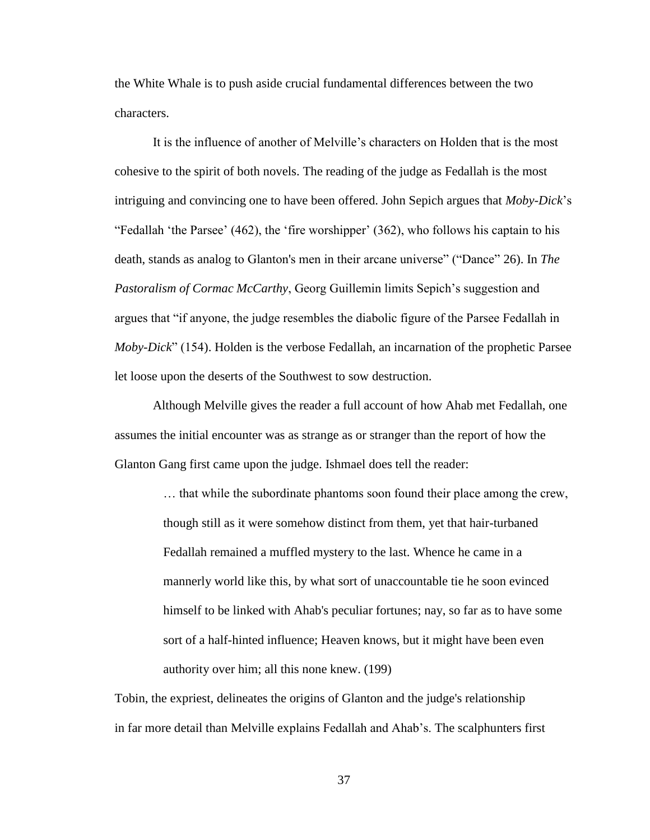the White Whale is to push aside crucial fundamental differences between the two characters.

It is the influence of another of Melville's characters on Holden that is the most cohesive to the spirit of both novels. The reading of the judge as Fedallah is the most intriguing and convincing one to have been offered. John Sepich argues that *Moby-Dick*'s "Fedallah 'the Parsee' (462), the 'fire worshipper' (362), who follows his captain to his death, stands as analog to Glanton's men in their arcane universe" ("Dance" 26). In *The Pastoralism of Cormac McCarthy*, Georg Guillemin limits Sepich's suggestion and argues that "if anyone, the judge resembles the diabolic figure of the Parsee Fedallah in *Moby-Dick*" (154). Holden is the verbose Fedallah, an incarnation of the prophetic Parsee let loose upon the deserts of the Southwest to sow destruction.

Although Melville gives the reader a full account of how Ahab met Fedallah, one assumes the initial encounter was as strange as or stranger than the report of how the Glanton Gang first came upon the judge. Ishmael does tell the reader:

> … that while the subordinate phantoms soon found their place among the crew, though still as it were somehow distinct from them, yet that hair-turbaned Fedallah remained a muffled mystery to the last. Whence he came in a mannerly world like this, by what sort of unaccountable tie he soon evinced himself to be linked with Ahab's peculiar fortunes; nay, so far as to have some sort of a half-hinted influence; Heaven knows, but it might have been even authority over him; all this none knew. (199)

Tobin, the expriest, delineates the origins of Glanton and the judge's relationship in far more detail than Melville explains Fedallah and Ahab's. The scalphunters first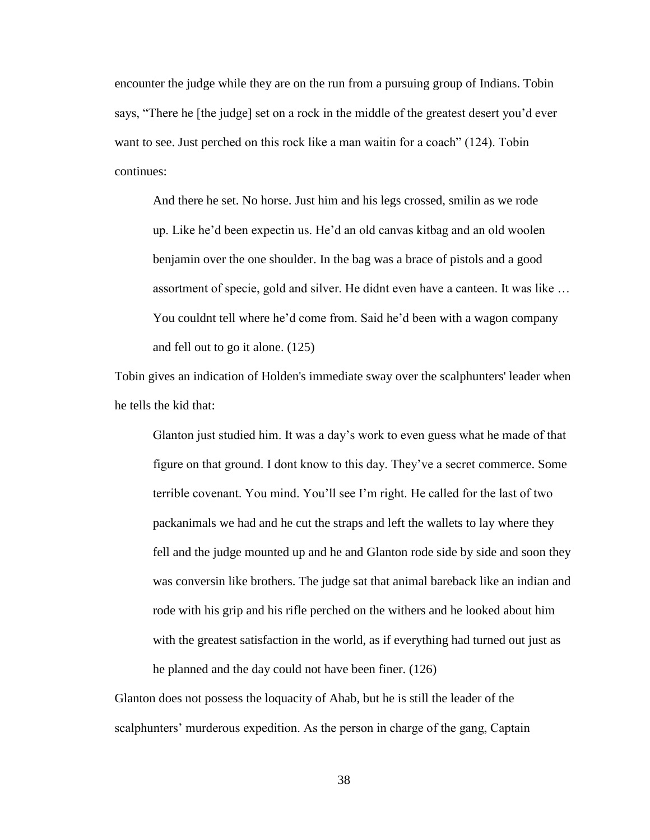encounter the judge while they are on the run from a pursuing group of Indians. Tobin says, "There he [the judge] set on a rock in the middle of the greatest desert you'd ever want to see. Just perched on this rock like a man waitin for a coach" (124). Tobin continues:

And there he set. No horse. Just him and his legs crossed, smilin as we rode up. Like he'd been expectin us. He'd an old canvas kitbag and an old woolen benjamin over the one shoulder. In the bag was a brace of pistols and a good assortment of specie, gold and silver. He didnt even have a canteen. It was like … You couldnt tell where he'd come from. Said he'd been with a wagon company and fell out to go it alone. (125)

Tobin gives an indication of Holden's immediate sway over the scalphunters' leader when he tells the kid that:

Glanton just studied him. It was a day's work to even guess what he made of that figure on that ground. I dont know to this day. They've a secret commerce. Some terrible covenant. You mind. You'll see I'm right. He called for the last of two packanimals we had and he cut the straps and left the wallets to lay where they fell and the judge mounted up and he and Glanton rode side by side and soon they was conversin like brothers. The judge sat that animal bareback like an indian and rode with his grip and his rifle perched on the withers and he looked about him with the greatest satisfaction in the world, as if everything had turned out just as he planned and the day could not have been finer. (126)

Glanton does not possess the loquacity of Ahab, but he is still the leader of the scalphunters' murderous expedition. As the person in charge of the gang, Captain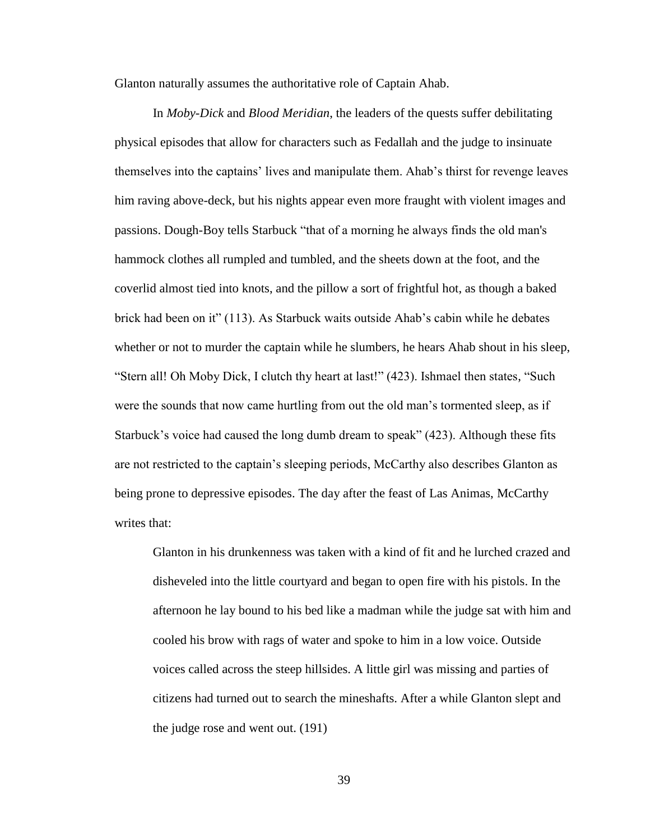Glanton naturally assumes the authoritative role of Captain Ahab.

In *Moby-Dick* and *Blood Meridian*, the leaders of the quests suffer debilitating physical episodes that allow for characters such as Fedallah and the judge to insinuate themselves into the captains' lives and manipulate them. Ahab's thirst for revenge leaves him raving above-deck, but his nights appear even more fraught with violent images and passions. Dough-Boy tells Starbuck "that of a morning he always finds the old man's hammock clothes all rumpled and tumbled, and the sheets down at the foot, and the coverlid almost tied into knots, and the pillow a sort of frightful hot, as though a baked brick had been on it" (113). As Starbuck waits outside Ahab's cabin while he debates whether or not to murder the captain while he slumbers, he hears Ahab shout in his sleep, "Stern all! Oh Moby Dick, I clutch thy heart at last!" (423). Ishmael then states, "Such were the sounds that now came hurtling from out the old man's tormented sleep, as if Starbuck's voice had caused the long dumb dream to speak" (423). Although these fits are not restricted to the captain's sleeping periods, McCarthy also describes Glanton as being prone to depressive episodes. The day after the feast of Las Animas, McCarthy writes that:

Glanton in his drunkenness was taken with a kind of fit and he lurched crazed and disheveled into the little courtyard and began to open fire with his pistols. In the afternoon he lay bound to his bed like a madman while the judge sat with him and cooled his brow with rags of water and spoke to him in a low voice. Outside voices called across the steep hillsides. A little girl was missing and parties of citizens had turned out to search the mineshafts. After a while Glanton slept and the judge rose and went out. (191)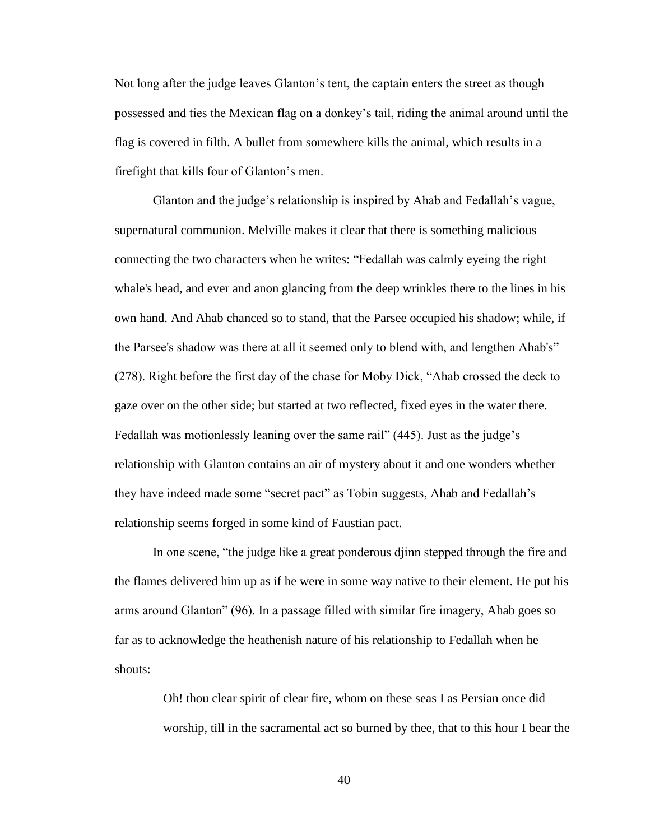Not long after the judge leaves Glanton's tent, the captain enters the street as though possessed and ties the Mexican flag on a donkey's tail, riding the animal around until the flag is covered in filth. A bullet from somewhere kills the animal, which results in a firefight that kills four of Glanton's men.

Glanton and the judge's relationship is inspired by Ahab and Fedallah's vague, supernatural communion. Melville makes it clear that there is something malicious connecting the two characters when he writes: "Fedallah was calmly eyeing the right whale's head, and ever and anon glancing from the deep wrinkles there to the lines in his own hand. And Ahab chanced so to stand, that the Parsee occupied his shadow; while, if the Parsee's shadow was there at all it seemed only to blend with, and lengthen Ahab's" (278). Right before the first day of the chase for Moby Dick, "Ahab crossed the deck to gaze over on the other side; but started at two reflected, fixed eyes in the water there. Fedallah was motionlessly leaning over the same rail" (445). Just as the judge's relationship with Glanton contains an air of mystery about it and one wonders whether they have indeed made some "secret pact" as Tobin suggests, Ahab and Fedallah's relationship seems forged in some kind of Faustian pact.

In one scene, "the judge like a great ponderous djinn stepped through the fire and the flames delivered him up as if he were in some way native to their element. He put his arms around Glanton" (96). In a passage filled with similar fire imagery, Ahab goes so far as to acknowledge the heathenish nature of his relationship to Fedallah when he shouts:

> Oh! thou clear spirit of clear fire, whom on these seas I as Persian once did worship, till in the sacramental act so burned by thee, that to this hour I bear the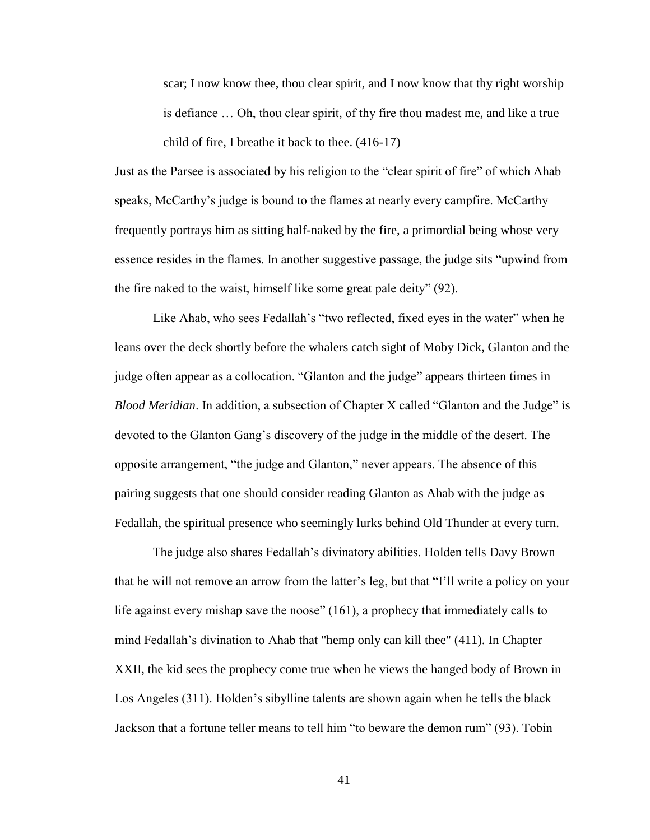scar; I now know thee, thou clear spirit, and I now know that thy right worship is defiance … Oh, thou clear spirit, of thy fire thou madest me, and like a true child of fire, I breathe it back to thee. (416-17)

Just as the Parsee is associated by his religion to the "clear spirit of fire" of which Ahab speaks, McCarthy's judge is bound to the flames at nearly every campfire. McCarthy frequently portrays him as sitting half-naked by the fire, a primordial being whose very essence resides in the flames. In another suggestive passage, the judge sits "upwind from the fire naked to the waist, himself like some great pale deity" (92).

Like Ahab, who sees Fedallah's "two reflected, fixed eyes in the water" when he leans over the deck shortly before the whalers catch sight of Moby Dick, Glanton and the judge often appear as a collocation. "Glanton and the judge" appears thirteen times in *Blood Meridian*. In addition, a subsection of Chapter X called "Glanton and the Judge" is devoted to the Glanton Gang's discovery of the judge in the middle of the desert. The opposite arrangement, "the judge and Glanton," never appears. The absence of this pairing suggests that one should consider reading Glanton as Ahab with the judge as Fedallah, the spiritual presence who seemingly lurks behind Old Thunder at every turn.

The judge also shares Fedallah's divinatory abilities. Holden tells Davy Brown that he will not remove an arrow from the latter's leg, but that "I'll write a policy on your life against every mishap save the noose" (161), a prophecy that immediately calls to mind Fedallah's divination to Ahab that "hemp only can kill thee" (411). In Chapter XXII, the kid sees the prophecy come true when he views the hanged body of Brown in Los Angeles (311). Holden's sibylline talents are shown again when he tells the black Jackson that a fortune teller means to tell him "to beware the demon rum" (93). Tobin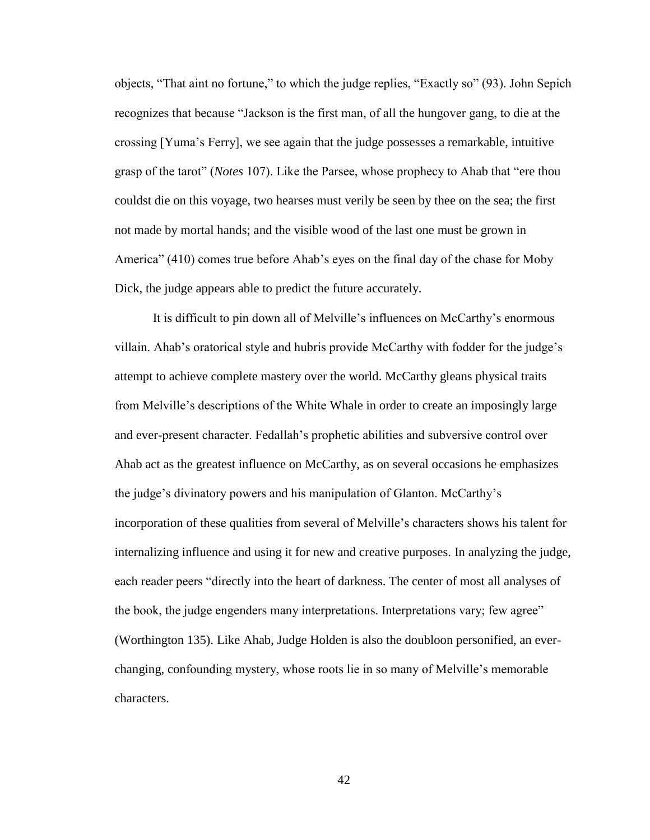objects, "That aint no fortune," to which the judge replies, "Exactly so" (93). John Sepich recognizes that because "Jackson is the first man, of all the hungover gang, to die at the crossing [Yuma's Ferry], we see again that the judge possesses a remarkable, intuitive grasp of the tarot" (*Notes* 107). Like the Parsee, whose prophecy to Ahab that "ere thou couldst die on this voyage, two hearses must verily be seen by thee on the sea; the first not made by mortal hands; and the visible wood of the last one must be grown in America" (410) comes true before Ahab's eyes on the final day of the chase for Moby Dick, the judge appears able to predict the future accurately.

It is difficult to pin down all of Melville's influences on McCarthy's enormous villain. Ahab's oratorical style and hubris provide McCarthy with fodder for the judge's attempt to achieve complete mastery over the world. McCarthy gleans physical traits from Melville's descriptions of the White Whale in order to create an imposingly large and ever-present character. Fedallah's prophetic abilities and subversive control over Ahab act as the greatest influence on McCarthy, as on several occasions he emphasizes the judge's divinatory powers and his manipulation of Glanton. McCarthy's incorporation of these qualities from several of Melville's characters shows his talent for internalizing influence and using it for new and creative purposes. In analyzing the judge, each reader peers "directly into the heart of darkness. The center of most all analyses of the book, the judge engenders many interpretations. Interpretations vary; few agree" (Worthington 135). Like Ahab, Judge Holden is also the doubloon personified, an everchanging, confounding mystery, whose roots lie in so many of Melville's memorable characters.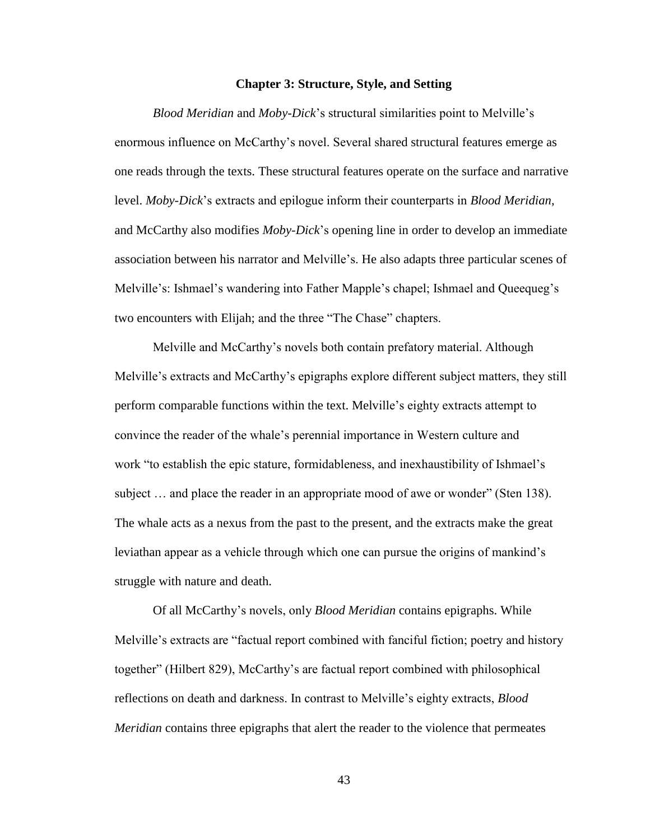### **Chapter 3: Structure, Style, and Setting**

*Blood Meridian* and *Moby-Dick*'s structural similarities point to Melville's enormous influence on McCarthy's novel. Several shared structural features emerge as one reads through the texts. These structural features operate on the surface and narrative level. *Moby-Dick*'s extracts and epilogue inform their counterparts in *Blood Meridian*, and McCarthy also modifies *Moby-Dick*'s opening line in order to develop an immediate association between his narrator and Melville's. He also adapts three particular scenes of Melville's: Ishmael's wandering into Father Mapple's chapel; Ishmael and Queequeg's two encounters with Elijah; and the three "The Chase" chapters.

Melville and McCarthy's novels both contain prefatory material. Although Melville's extracts and McCarthy's epigraphs explore different subject matters, they still perform comparable functions within the text. Melville's eighty extracts attempt to convince the reader of the whale's perennial importance in Western culture and work "to establish the epic stature, formidableness, and inexhaustibility of Ishmael's subject … and place the reader in an appropriate mood of awe or wonder" (Sten 138). The whale acts as a nexus from the past to the present, and the extracts make the great leviathan appear as a vehicle through which one can pursue the origins of mankind's struggle with nature and death.

Of all McCarthy's novels, only *Blood Meridian* contains epigraphs. While Melville's extracts are "factual report combined with fanciful fiction; poetry and history together" (Hilbert 829), McCarthy's are factual report combined with philosophical reflections on death and darkness. In contrast to Melville's eighty extracts, *Blood Meridian* contains three epigraphs that alert the reader to the violence that permeates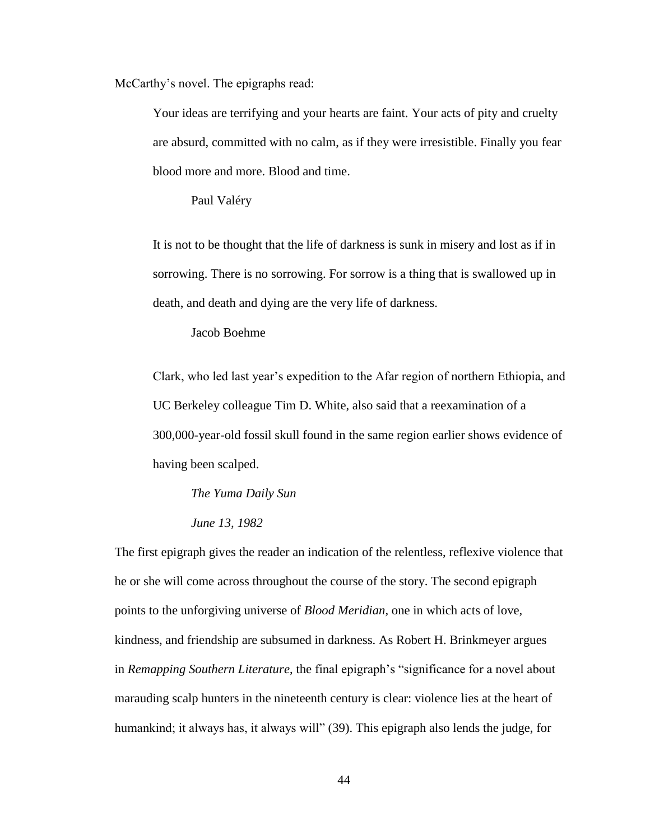McCarthy's novel. The epigraphs read:

Your ideas are terrifying and your hearts are faint. Your acts of pity and cruelty are absurd, committed with no calm, as if they were irresistible. Finally you fear blood more and more. Blood and time.

Paul Valéry

It is not to be thought that the life of darkness is sunk in misery and lost as if in sorrowing. There is no sorrowing. For sorrow is a thing that is swallowed up in death, and death and dying are the very life of darkness.

Jacob Boehme

Clark, who led last year's expedition to the Afar region of northern Ethiopia, and UC Berkeley colleague Tim D. White, also said that a reexamination of a 300,000-year-old fossil skull found in the same region earlier shows evidence of having been scalped.

*The Yuma Daily Sun June 13, 1982*

The first epigraph gives the reader an indication of the relentless, reflexive violence that he or she will come across throughout the course of the story. The second epigraph points to the unforgiving universe of *Blood Meridian*, one in which acts of love, kindness, and friendship are subsumed in darkness. As Robert H. Brinkmeyer argues in *Remapping Southern Literature*, the final epigraph's "significance for a novel about marauding scalp hunters in the nineteenth century is clear: violence lies at the heart of humankind; it always has, it always will" (39). This epigraph also lends the judge, for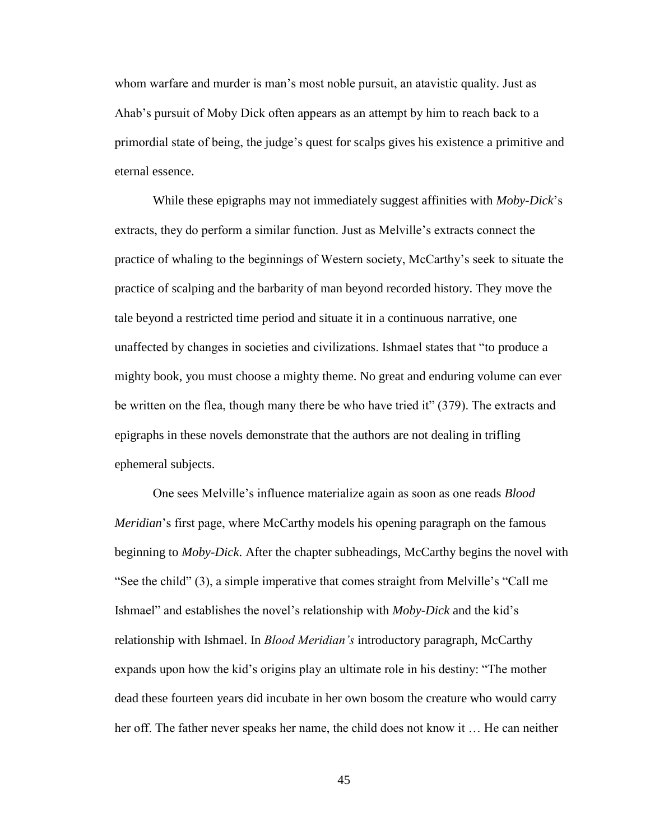whom warfare and murder is man's most noble pursuit, an atavistic quality. Just as Ahab's pursuit of Moby Dick often appears as an attempt by him to reach back to a primordial state of being, the judge's quest for scalps gives his existence a primitive and eternal essence.

While these epigraphs may not immediately suggest affinities with *Moby-Dick*'s extracts, they do perform a similar function. Just as Melville's extracts connect the practice of whaling to the beginnings of Western society, McCarthy's seek to situate the practice of scalping and the barbarity of man beyond recorded history. They move the tale beyond a restricted time period and situate it in a continuous narrative, one unaffected by changes in societies and civilizations. Ishmael states that "to produce a mighty book, you must choose a mighty theme. No great and enduring volume can ever be written on the flea, though many there be who have tried it" (379). The extracts and epigraphs in these novels demonstrate that the authors are not dealing in trifling ephemeral subjects.

One sees Melville's influence materialize again as soon as one reads *Blood Meridian*'s first page, where McCarthy models his opening paragraph on the famous beginning to *Moby-Dick*. After the chapter subheadings, McCarthy begins the novel with "See the child" (3), a simple imperative that comes straight from Melville's "Call me Ishmael" and establishes the novel's relationship with *Moby-Dick* and the kid's relationship with Ishmael. In *Blood Meridian's* introductory paragraph, McCarthy expands upon how the kid's origins play an ultimate role in his destiny: "The mother dead these fourteen years did incubate in her own bosom the creature who would carry her off. The father never speaks her name, the child does not know it … He can neither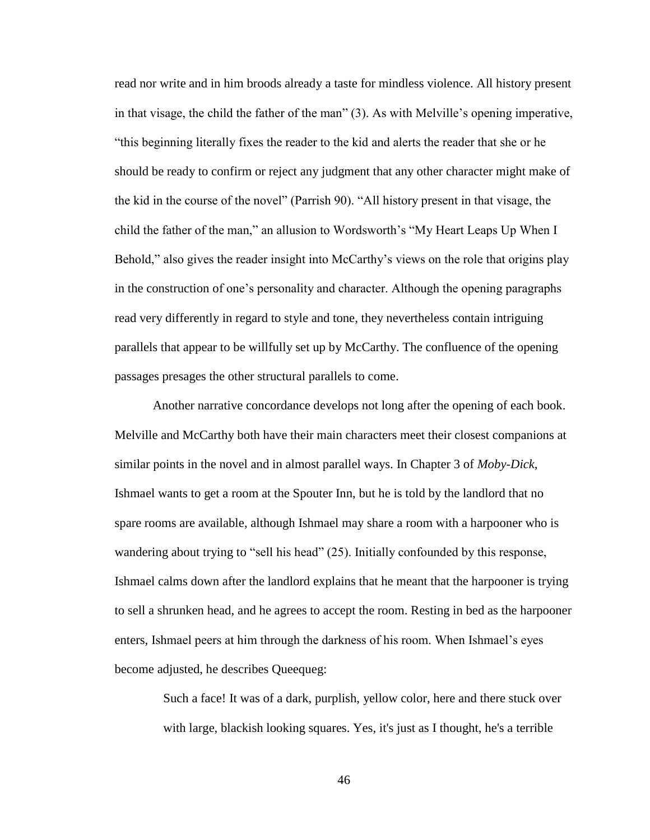read nor write and in him broods already a taste for mindless violence. All history present in that visage, the child the father of the man" (3). As with Melville's opening imperative, "this beginning literally fixes the reader to the kid and alerts the reader that she or he should be ready to confirm or reject any judgment that any other character might make of the kid in the course of the novel" (Parrish 90). "All history present in that visage, the child the father of the man," an allusion to Wordsworth's "My Heart Leaps Up When I Behold," also gives the reader insight into McCarthy's views on the role that origins play in the construction of one's personality and character. Although the opening paragraphs read very differently in regard to style and tone, they nevertheless contain intriguing parallels that appear to be willfully set up by McCarthy. The confluence of the opening passages presages the other structural parallels to come.

Another narrative concordance develops not long after the opening of each book. Melville and McCarthy both have their main characters meet their closest companions at similar points in the novel and in almost parallel ways. In Chapter 3 of *Moby-Dick*, Ishmael wants to get a room at the Spouter Inn, but he is told by the landlord that no spare rooms are available, although Ishmael may share a room with a harpooner who is wandering about trying to "sell his head" (25). Initially confounded by this response, Ishmael calms down after the landlord explains that he meant that the harpooner is trying to sell a shrunken head, and he agrees to accept the room. Resting in bed as the harpooner enters, Ishmael peers at him through the darkness of his room. When Ishmael's eyes become adjusted, he describes Queequeg:

> Such a face! It was of a dark, purplish, yellow color, here and there stuck over with large, blackish looking squares. Yes, it's just as I thought, he's a terrible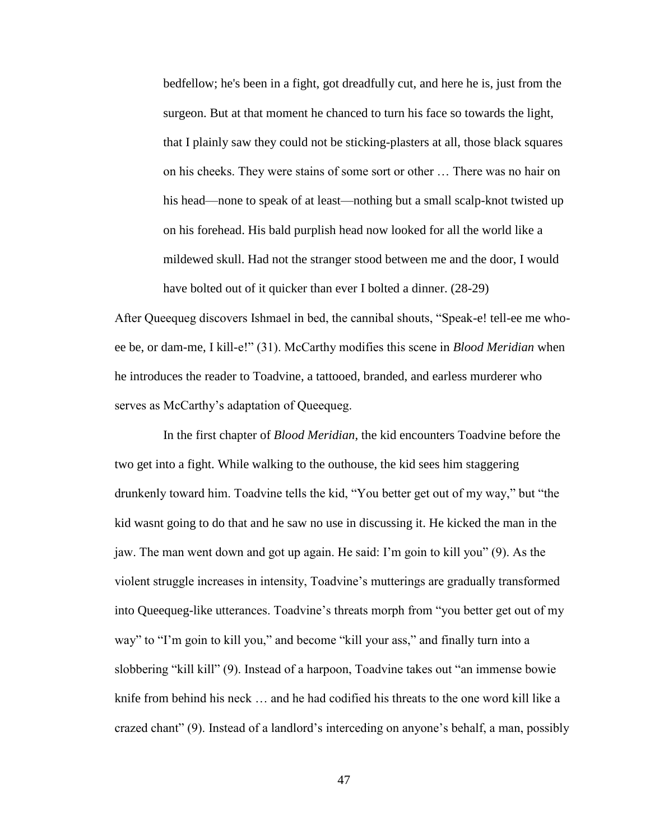bedfellow; he's been in a fight, got dreadfully cut, and here he is, just from the surgeon. But at that moment he chanced to turn his face so towards the light, that I plainly saw they could not be sticking-plasters at all, those black squares on his cheeks. They were stains of some sort or other … There was no hair on his head—none to speak of at least—nothing but a small scalp-knot twisted up on his forehead. His bald purplish head now looked for all the world like a mildewed skull. Had not the stranger stood between me and the door, I would have bolted out of it quicker than ever I bolted a dinner. (28-29)

After Queequeg discovers Ishmael in bed, the cannibal shouts, "Speak-e! tell-ee me whoee be, or dam-me, I kill-e!" (31). McCarthy modifies this scene in *Blood Meridian* when he introduces the reader to Toadvine, a tattooed, branded, and earless murderer who serves as McCarthy's adaptation of Queequeg.

In the first chapter of *Blood Meridian*, the kid encounters Toadvine before the two get into a fight. While walking to the outhouse, the kid sees him staggering drunkenly toward him. Toadvine tells the kid, "You better get out of my way," but "the kid wasnt going to do that and he saw no use in discussing it. He kicked the man in the jaw. The man went down and got up again. He said: I'm goin to kill you" (9). As the violent struggle increases in intensity, Toadvine's mutterings are gradually transformed into Queequeg-like utterances. Toadvine's threats morph from "you better get out of my way" to "I'm goin to kill you," and become "kill your ass," and finally turn into a slobbering "kill kill" (9). Instead of a harpoon, Toadvine takes out "an immense bowie knife from behind his neck … and he had codified his threats to the one word kill like a crazed chant" (9). Instead of a landlord's interceding on anyone's behalf, a man, possibly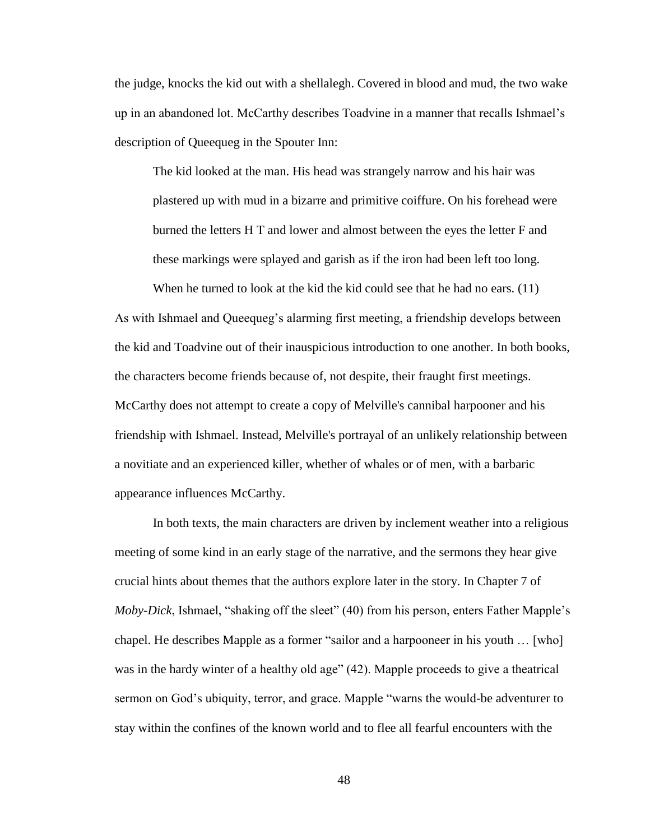the judge, knocks the kid out with a shellalegh. Covered in blood and mud, the two wake up in an abandoned lot. McCarthy describes Toadvine in a manner that recalls Ishmael's description of Queequeg in the Spouter Inn:

The kid looked at the man. His head was strangely narrow and his hair was plastered up with mud in a bizarre and primitive coiffure. On his forehead were burned the letters H T and lower and almost between the eyes the letter F and these markings were splayed and garish as if the iron had been left too long.

When he turned to look at the kid the kid could see that he had no ears. (11) As with Ishmael and Queequeg's alarming first meeting, a friendship develops between the kid and Toadvine out of their inauspicious introduction to one another. In both books, the characters become friends because of, not despite, their fraught first meetings. McCarthy does not attempt to create a copy of Melville's cannibal harpooner and his friendship with Ishmael. Instead, Melville's portrayal of an unlikely relationship between a novitiate and an experienced killer, whether of whales or of men, with a barbaric appearance influences McCarthy.

In both texts, the main characters are driven by inclement weather into a religious meeting of some kind in an early stage of the narrative, and the sermons they hear give crucial hints about themes that the authors explore later in the story. In Chapter 7 of *Moby-Dick*, Ishmael, "shaking off the sleet" (40) from his person, enters Father Mapple's chapel. He describes Mapple as a former "sailor and a harpooneer in his youth … [who] was in the hardy winter of a healthy old age" (42). Mapple proceeds to give a theatrical sermon on God's ubiquity, terror, and grace. Mapple "warns the would-be adventurer to stay within the confines of the known world and to flee all fearful encounters with the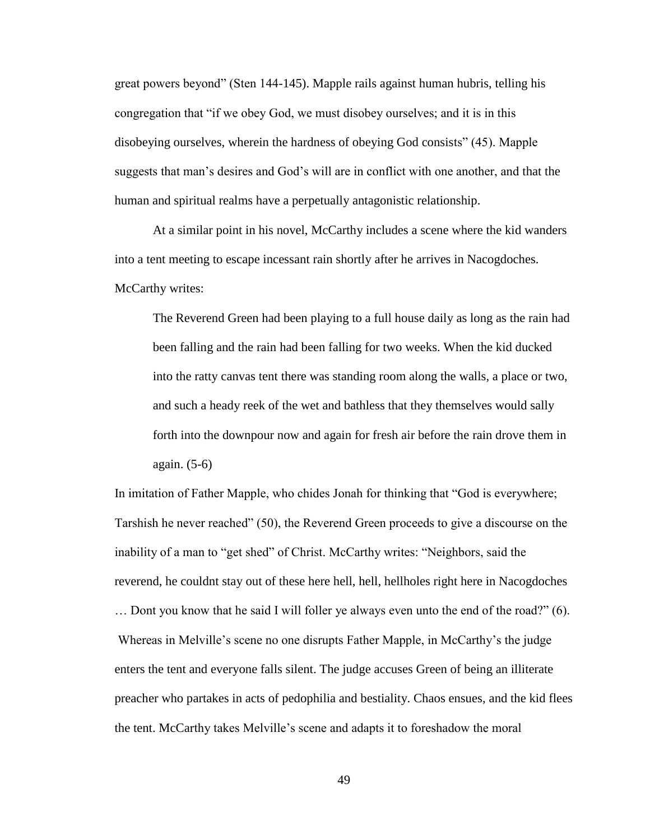great powers beyond" (Sten 144-145). Mapple rails against human hubris, telling his congregation that "if we obey God, we must disobey ourselves; and it is in this disobeying ourselves, wherein the hardness of obeying God consists" (45). Mapple suggests that man's desires and God's will are in conflict with one another, and that the human and spiritual realms have a perpetually antagonistic relationship.

At a similar point in his novel, McCarthy includes a scene where the kid wanders into a tent meeting to escape incessant rain shortly after he arrives in Nacogdoches. McCarthy writes:

The Reverend Green had been playing to a full house daily as long as the rain had been falling and the rain had been falling for two weeks. When the kid ducked into the ratty canvas tent there was standing room along the walls, a place or two, and such a heady reek of the wet and bathless that they themselves would sally forth into the downpour now and again for fresh air before the rain drove them in again. (5-6)

In imitation of Father Mapple, who chides Jonah for thinking that "God is everywhere; Tarshish he never reached" (50), the Reverend Green proceeds to give a discourse on the inability of a man to "get shed" of Christ. McCarthy writes: "Neighbors, said the reverend, he couldnt stay out of these here hell, hell, hellholes right here in Nacogdoches … Dont you know that he said I will foller ye always even unto the end of the road?" (6). Whereas in Melville's scene no one disrupts Father Mapple, in McCarthy's the judge enters the tent and everyone falls silent. The judge accuses Green of being an illiterate preacher who partakes in acts of pedophilia and bestiality. Chaos ensues, and the kid flees the tent. McCarthy takes Melville's scene and adapts it to foreshadow the moral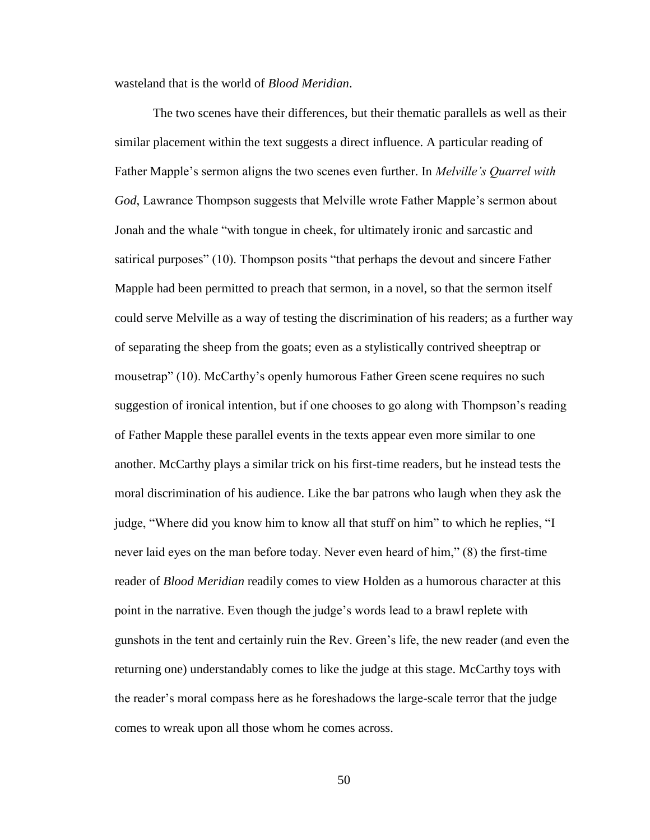wasteland that is the world of *Blood Meridian*.

The two scenes have their differences, but their thematic parallels as well as their similar placement within the text suggests a direct influence. A particular reading of Father Mapple's sermon aligns the two scenes even further. In *Melville's Quarrel with God*, Lawrance Thompson suggests that Melville wrote Father Mapple's sermon about Jonah and the whale "with tongue in cheek, for ultimately ironic and sarcastic and satirical purposes" (10). Thompson posits "that perhaps the devout and sincere Father Mapple had been permitted to preach that sermon, in a novel, so that the sermon itself could serve Melville as a way of testing the discrimination of his readers; as a further way of separating the sheep from the goats; even as a stylistically contrived sheeptrap or mousetrap" (10). McCarthy's openly humorous Father Green scene requires no such suggestion of ironical intention, but if one chooses to go along with Thompson's reading of Father Mapple these parallel events in the texts appear even more similar to one another. McCarthy plays a similar trick on his first-time readers, but he instead tests the moral discrimination of his audience. Like the bar patrons who laugh when they ask the judge, "Where did you know him to know all that stuff on him" to which he replies, "I never laid eyes on the man before today. Never even heard of him," (8) the first-time reader of *Blood Meridian* readily comes to view Holden as a humorous character at this point in the narrative. Even though the judge's words lead to a brawl replete with gunshots in the tent and certainly ruin the Rev. Green's life, the new reader (and even the returning one) understandably comes to like the judge at this stage. McCarthy toys with the reader's moral compass here as he foreshadows the large-scale terror that the judge comes to wreak upon all those whom he comes across.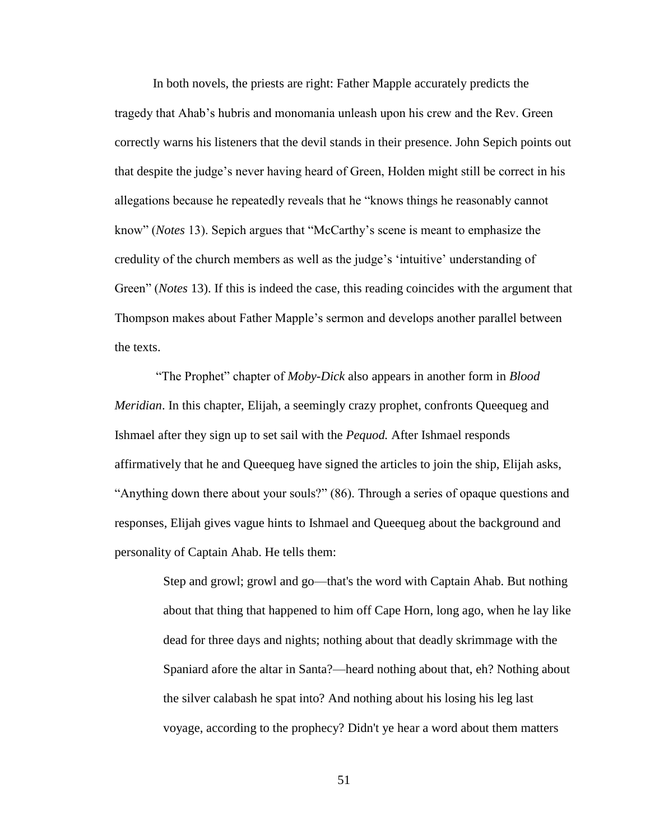In both novels, the priests are right: Father Mapple accurately predicts the tragedy that Ahab's hubris and monomania unleash upon his crew and the Rev. Green correctly warns his listeners that the devil stands in their presence. John Sepich points out that despite the judge's never having heard of Green, Holden might still be correct in his allegations because he repeatedly reveals that he "knows things he reasonably cannot know" (*Notes* 13). Sepich argues that "McCarthy's scene is meant to emphasize the credulity of the church members as well as the judge's 'intuitive' understanding of Green" (*Notes* 13). If this is indeed the case, this reading coincides with the argument that Thompson makes about Father Mapple's sermon and develops another parallel between the texts.

"The Prophet" chapter of *Moby-Dick* also appears in another form in *Blood Meridian*. In this chapter, Elijah, a seemingly crazy prophet, confronts Queequeg and Ishmael after they sign up to set sail with the *Pequod.* After Ishmael responds affirmatively that he and Queequeg have signed the articles to join the ship, Elijah asks, "Anything down there about your souls?" (86). Through a series of opaque questions and responses, Elijah gives vague hints to Ishmael and Queequeg about the background and personality of Captain Ahab. He tells them:

> Step and growl; growl and go—that's the word with Captain Ahab. But nothing about that thing that happened to him off Cape Horn, long ago, when he lay like dead for three days and nights; nothing about that deadly skrimmage with the Spaniard afore the altar in Santa?—heard nothing about that, eh? Nothing about the silver calabash he spat into? And nothing about his losing his leg last voyage, according to the prophecy? Didn't ye hear a word about them matters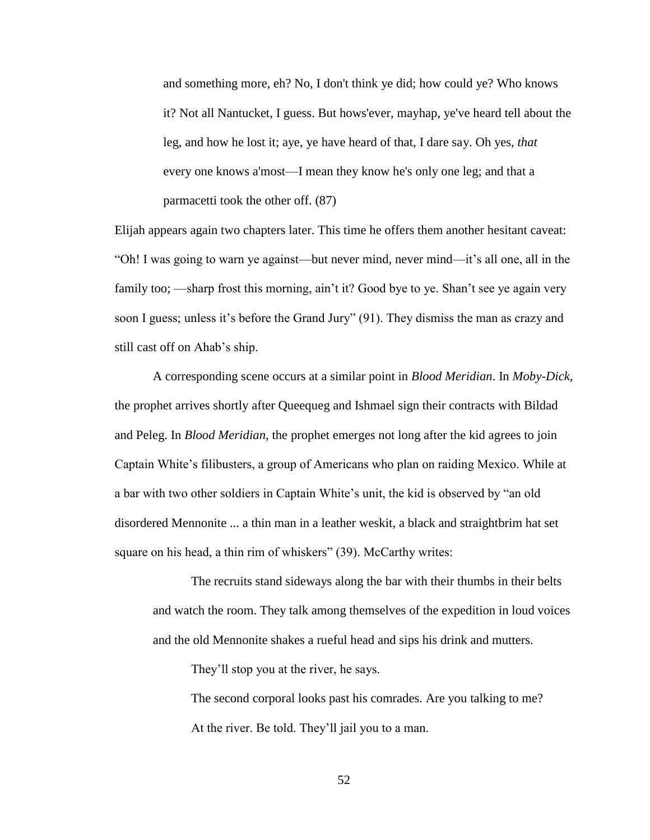and something more, eh? No, I don't think ye did; how could ye? Who knows it? Not all Nantucket, I guess. But hows'ever, mayhap, ye've heard tell about the leg, and how he lost it; aye, ye have heard of that, I dare say. Oh yes, *that* every one knows a'most—I mean they know he's only one leg; and that a parmacetti took the other off. (87)

Elijah appears again two chapters later. This time he offers them another hesitant caveat: "Oh! I was going to warn ye against—but never mind, never mind—it's all one, all in the family too; —sharp frost this morning, ain't it? Good bye to ye. Shan't see ye again very soon I guess; unless it's before the Grand Jury" (91). They dismiss the man as crazy and still cast off on Ahab's ship.

A corresponding scene occurs at a similar point in *Blood Meridian*. In *Moby-Dick*, the prophet arrives shortly after Queequeg and Ishmael sign their contracts with Bildad and Peleg. In *Blood Meridian*, the prophet emerges not long after the kid agrees to join Captain White's filibusters, a group of Americans who plan on raiding Mexico. While at a bar with two other soldiers in Captain White's unit, the kid is observed by "an old disordered Mennonite ... a thin man in a leather weskit, a black and straightbrim hat set square on his head, a thin rim of whiskers" (39). McCarthy writes:

The recruits stand sideways along the bar with their thumbs in their belts and watch the room. They talk among themselves of the expedition in loud voices and the old Mennonite shakes a rueful head and sips his drink and mutters.

They'll stop you at the river, he says.

The second corporal looks past his comrades. Are you talking to me? At the river. Be told. They'll jail you to a man.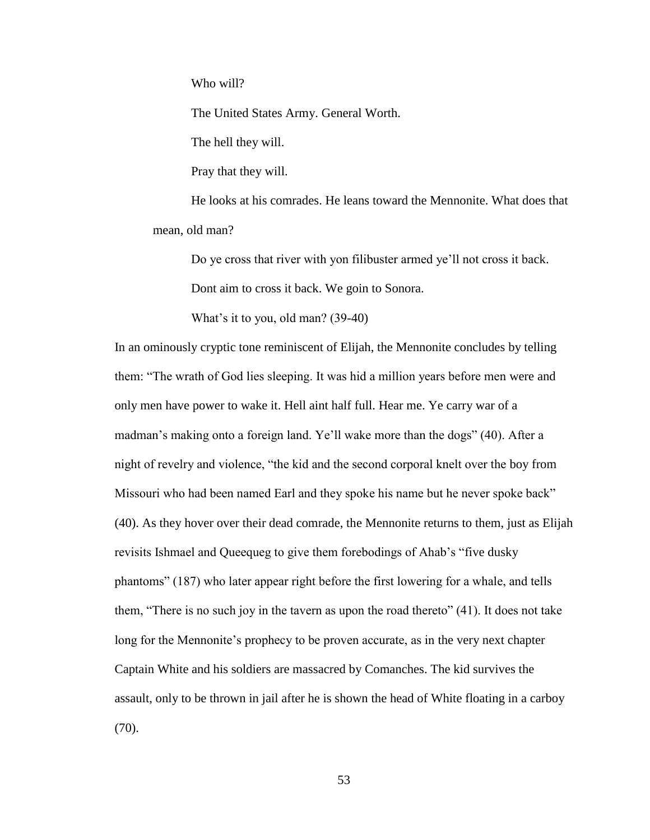Who will?

The United States Army. General Worth.

The hell they will.

Pray that they will.

He looks at his comrades. He leans toward the Mennonite. What does that mean, old man?

Do ye cross that river with yon filibuster armed ye'll not cross it back.

Dont aim to cross it back. We goin to Sonora.

What's it to you, old man? (39-40)

In an ominously cryptic tone reminiscent of Elijah, the Mennonite concludes by telling them: "The wrath of God lies sleeping. It was hid a million years before men were and only men have power to wake it. Hell aint half full. Hear me. Ye carry war of a madman's making onto a foreign land. Ye'll wake more than the dogs" (40). After a night of revelry and violence, "the kid and the second corporal knelt over the boy from Missouri who had been named Earl and they spoke his name but he never spoke back" (40). As they hover over their dead comrade, the Mennonite returns to them, just as Elijah revisits Ishmael and Queequeg to give them forebodings of Ahab's "five dusky phantoms" (187) who later appear right before the first lowering for a whale, and tells them, "There is no such joy in the tavern as upon the road thereto" (41). It does not take long for the Mennonite's prophecy to be proven accurate, as in the very next chapter Captain White and his soldiers are massacred by Comanches. The kid survives the assault, only to be thrown in jail after he is shown the head of White floating in a carboy (70).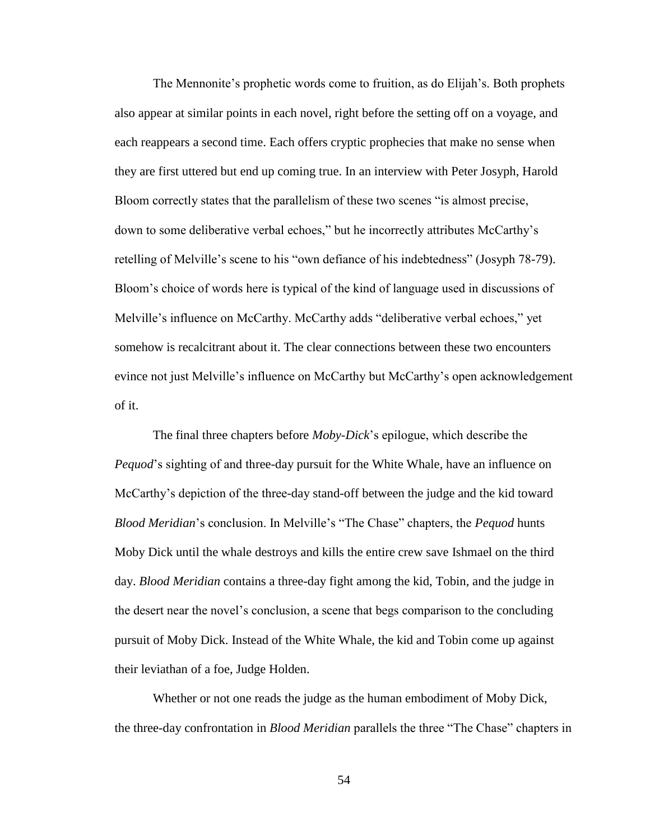The Mennonite's prophetic words come to fruition, as do Elijah's. Both prophets also appear at similar points in each novel, right before the setting off on a voyage, and each reappears a second time. Each offers cryptic prophecies that make no sense when they are first uttered but end up coming true. In an interview with Peter Josyph, Harold Bloom correctly states that the parallelism of these two scenes "is almost precise, down to some deliberative verbal echoes," but he incorrectly attributes McCarthy's retelling of Melville's scene to his "own defiance of his indebtedness" (Josyph 78-79). Bloom's choice of words here is typical of the kind of language used in discussions of Melville's influence on McCarthy. McCarthy adds "deliberative verbal echoes," yet somehow is recalcitrant about it. The clear connections between these two encounters evince not just Melville's influence on McCarthy but McCarthy's open acknowledgement of it.

The final three chapters before *Moby-Dick*'s epilogue, which describe the *Pequod*'s sighting of and three-day pursuit for the White Whale, have an influence on McCarthy's depiction of the three-day stand-off between the judge and the kid toward *Blood Meridian*'s conclusion. In Melville's "The Chase" chapters, the *Pequod* hunts Moby Dick until the whale destroys and kills the entire crew save Ishmael on the third day. *Blood Meridian* contains a three-day fight among the kid, Tobin, and the judge in the desert near the novel's conclusion, a scene that begs comparison to the concluding pursuit of Moby Dick. Instead of the White Whale, the kid and Tobin come up against their leviathan of a foe, Judge Holden.

Whether or not one reads the judge as the human embodiment of Moby Dick, the three-day confrontation in *Blood Meridian* parallels the three "The Chase" chapters in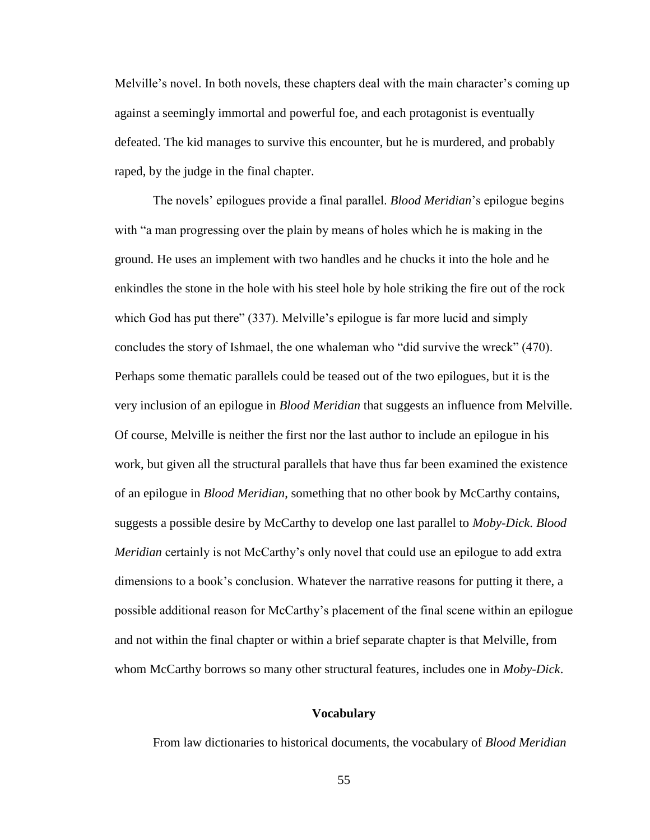Melville's novel. In both novels, these chapters deal with the main character's coming up against a seemingly immortal and powerful foe, and each protagonist is eventually defeated. The kid manages to survive this encounter, but he is murdered, and probably raped, by the judge in the final chapter.

The novels' epilogues provide a final parallel. *Blood Meridian*'s epilogue begins with "a man progressing over the plain by means of holes which he is making in the ground. He uses an implement with two handles and he chucks it into the hole and he enkindles the stone in the hole with his steel hole by hole striking the fire out of the rock which God has put there" (337). Melville's epilogue is far more lucid and simply concludes the story of Ishmael, the one whaleman who "did survive the wreck" (470). Perhaps some thematic parallels could be teased out of the two epilogues, but it is the very inclusion of an epilogue in *Blood Meridian* that suggests an influence from Melville. Of course, Melville is neither the first nor the last author to include an epilogue in his work, but given all the structural parallels that have thus far been examined the existence of an epilogue in *Blood Meridian*, something that no other book by McCarthy contains, suggests a possible desire by McCarthy to develop one last parallel to *Moby-Dick*. *Blood Meridian certainly is not McCarthy's only novel that could use an epilogue to add extra* dimensions to a book's conclusion. Whatever the narrative reasons for putting it there, a possible additional reason for McCarthy's placement of the final scene within an epilogue and not within the final chapter or within a brief separate chapter is that Melville, from whom McCarthy borrows so many other structural features, includes one in *Moby-Dick*.

## **Vocabulary**

From law dictionaries to historical documents, the vocabulary of *Blood Meridian*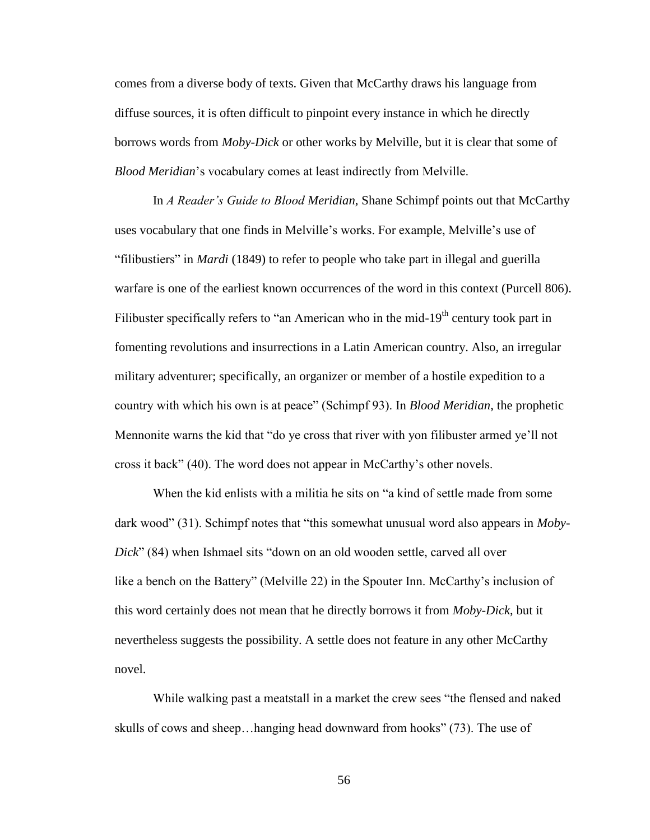comes from a diverse body of texts. Given that McCarthy draws his language from diffuse sources, it is often difficult to pinpoint every instance in which he directly borrows words from *Moby-Dick* or other works by Melville, but it is clear that some of *Blood Meridian*'s vocabulary comes at least indirectly from Melville.

In *A Reader's Guide to Blood Meridian*, Shane Schimpf points out that McCarthy uses vocabulary that one finds in Melville's works. For example, Melville's use of "filibustiers" in *Mardi* (1849) to refer to people who take part in illegal and guerilla warfare is one of the earliest known occurrences of the word in this context (Purcell 806). Filibuster specifically refers to "an American who in the mid-19<sup>th</sup> century took part in fomenting revolutions and insurrections in a Latin American country. Also, an irregular military adventurer; specifically, an organizer or member of a hostile expedition to a country with which his own is at peace" (Schimpf 93). In *Blood Meridian*, the prophetic Mennonite warns the kid that "do ye cross that river with yon filibuster armed ye'll not cross it back" (40). The word does not appear in McCarthy's other novels.

When the kid enlists with a militia he sits on "a kind of settle made from some dark wood" (31). Schimpf notes that "this somewhat unusual word also appears in *Moby-Dick*" (84) when Ishmael sits "down on an old wooden settle, carved all over like a bench on the Battery" (Melville 22) in the Spouter Inn. McCarthy's inclusion of this word certainly does not mean that he directly borrows it from *Moby-Dick*, but it nevertheless suggests the possibility. A settle does not feature in any other McCarthy novel.

While walking past a meatstall in a market the crew sees "the flensed and naked skulls of cows and sheep…hanging head downward from hooks" (73). The use of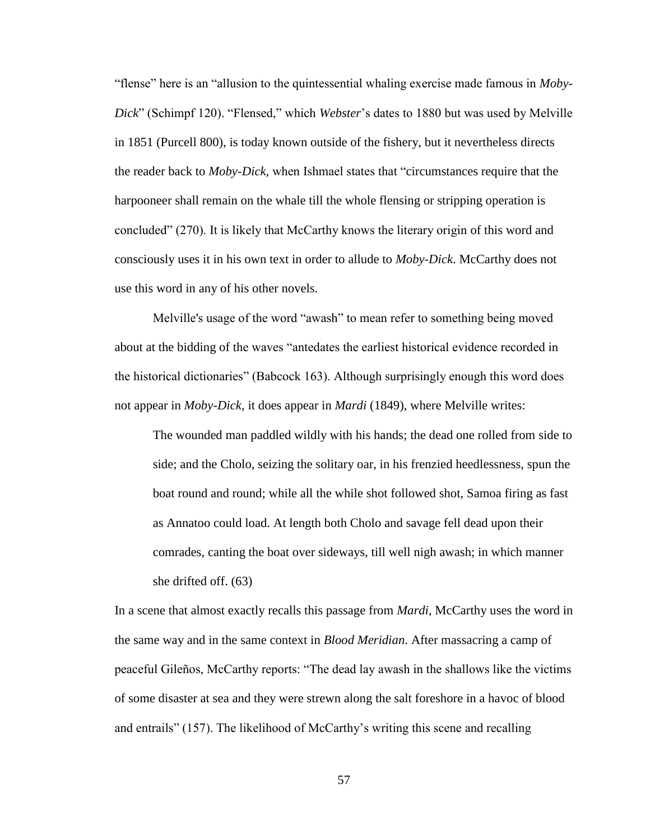"flense" here is an "allusion to the quintessential whaling exercise made famous in *Moby-Dick*" (Schimpf 120). "Flensed," which *Webster*'s dates to 1880 but was used by Melville in 1851 (Purcell 800), is today known outside of the fishery, but it nevertheless directs the reader back to *Moby-Dick*, when Ishmael states that "circumstances require that the harpooneer shall remain on the whale till the whole flensing or stripping operation is concluded" (270). It is likely that McCarthy knows the literary origin of this word and consciously uses it in his own text in order to allude to *Moby-Dick*. McCarthy does not use this word in any of his other novels.

Melville's usage of the word "awash" to mean refer to something being moved about at the bidding of the waves "antedates the earliest historical evidence recorded in the historical dictionaries" (Babcock 163). Although surprisingly enough this word does not appear in *Moby-Dick*, it does appear in *Mardi* (1849), where Melville writes:

The wounded man paddled wildly with his hands; the dead one rolled from side to side; and the Cholo, seizing the solitary oar, in his frenzied heedlessness, spun the boat round and round; while all the while shot followed shot, Samoa firing as fast as Annatoo could load. At length both Cholo and savage fell dead upon their comrades, canting the boat over sideways, till well nigh awash; in which manner she drifted off. (63)

In a scene that almost exactly recalls this passage from *Mardi*, McCarthy uses the word in the same way and in the same context in *Blood Meridian*. After massacring a camp of peaceful Gileños, McCarthy reports: "The dead lay awash in the shallows like the victims of some disaster at sea and they were strewn along the salt foreshore in a havoc of blood and entrails" (157). The likelihood of McCarthy's writing this scene and recalling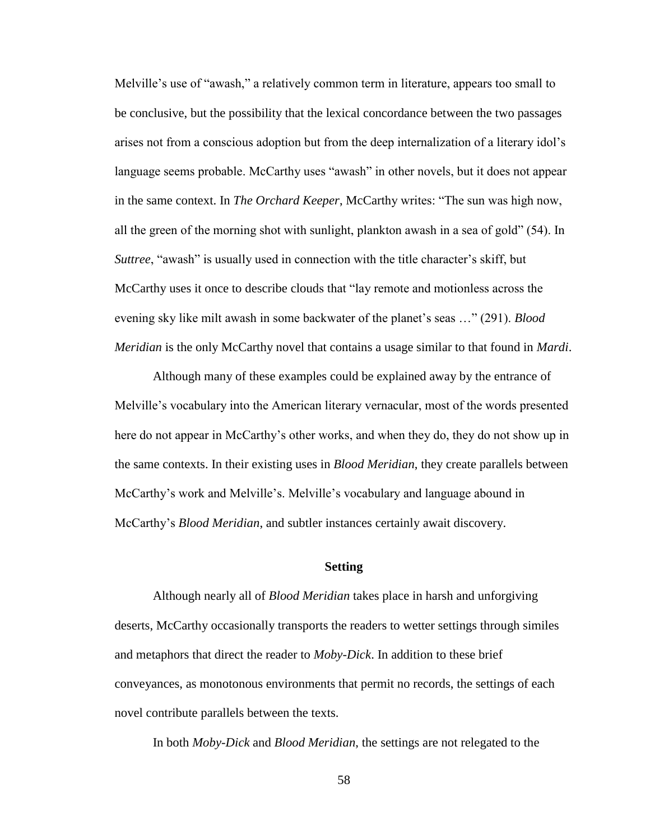Melville's use of "awash," a relatively common term in literature, appears too small to be conclusive, but the possibility that the lexical concordance between the two passages arises not from a conscious adoption but from the deep internalization of a literary idol's language seems probable. McCarthy uses "awash" in other novels, but it does not appear in the same context. In *The Orchard Keeper*, McCarthy writes: "The sun was high now, all the green of the morning shot with sunlight, plankton awash in a sea of gold" (54). In *Suttree*, "awash" is usually used in connection with the title character's skiff, but McCarthy uses it once to describe clouds that "lay remote and motionless across the evening sky like milt awash in some backwater of the planet's seas …" (291). *Blood Meridian* is the only McCarthy novel that contains a usage similar to that found in *Mardi*.

Although many of these examples could be explained away by the entrance of Melville's vocabulary into the American literary vernacular, most of the words presented here do not appear in McCarthy's other works, and when they do, they do not show up in the same contexts. In their existing uses in *Blood Meridian*, they create parallels between McCarthy's work and Melville's. Melville's vocabulary and language abound in McCarthy's *Blood Meridian*, and subtler instances certainly await discovery.

## **Setting**

Although nearly all of *Blood Meridian* takes place in harsh and unforgiving deserts, McCarthy occasionally transports the readers to wetter settings through similes and metaphors that direct the reader to *Moby-Dick*. In addition to these brief conveyances, as monotonous environments that permit no records, the settings of each novel contribute parallels between the texts.

In both *Moby-Dick* and *Blood Meridian*, the settings are not relegated to the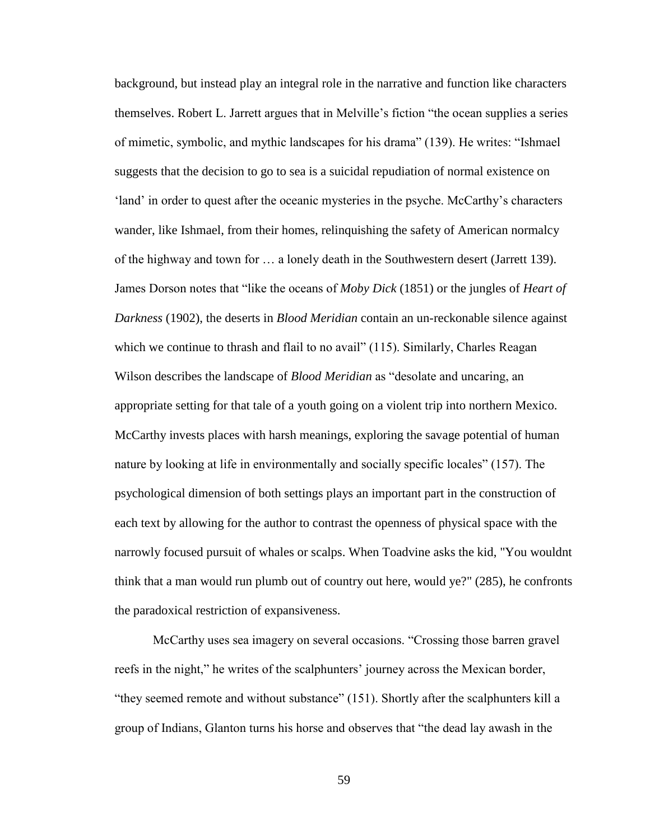background, but instead play an integral role in the narrative and function like characters themselves. Robert L. Jarrett argues that in Melville's fiction "the ocean supplies a series of mimetic, symbolic, and mythic landscapes for his drama" (139). He writes: "Ishmael suggests that the decision to go to sea is a suicidal repudiation of normal existence on 'land' in order to quest after the oceanic mysteries in the psyche. McCarthy's characters wander, like Ishmael, from their homes, relinquishing the safety of American normalcy of the highway and town for … a lonely death in the Southwestern desert (Jarrett 139). James Dorson notes that "like the oceans of *Moby Dick* (1851) or the jungles of *Heart of Darkness* (1902), the deserts in *Blood Meridian* contain an un-reckonable silence against which we continue to thrash and flail to no avail" (115). Similarly, Charles Reagan Wilson describes the landscape of *Blood Meridian* as "desolate and uncaring, an appropriate setting for that tale of a youth going on a violent trip into northern Mexico. McCarthy invests places with harsh meanings, exploring the savage potential of human nature by looking at life in environmentally and socially specific locales" (157). The psychological dimension of both settings plays an important part in the construction of each text by allowing for the author to contrast the openness of physical space with the narrowly focused pursuit of whales or scalps. When Toadvine asks the kid, "You wouldnt think that a man would run plumb out of country out here, would ye?" (285), he confronts the paradoxical restriction of expansiveness.

McCarthy uses sea imagery on several occasions. "Crossing those barren gravel reefs in the night," he writes of the scalphunters' journey across the Mexican border, "they seemed remote and without substance" (151). Shortly after the scalphunters kill a group of Indians, Glanton turns his horse and observes that "the dead lay awash in the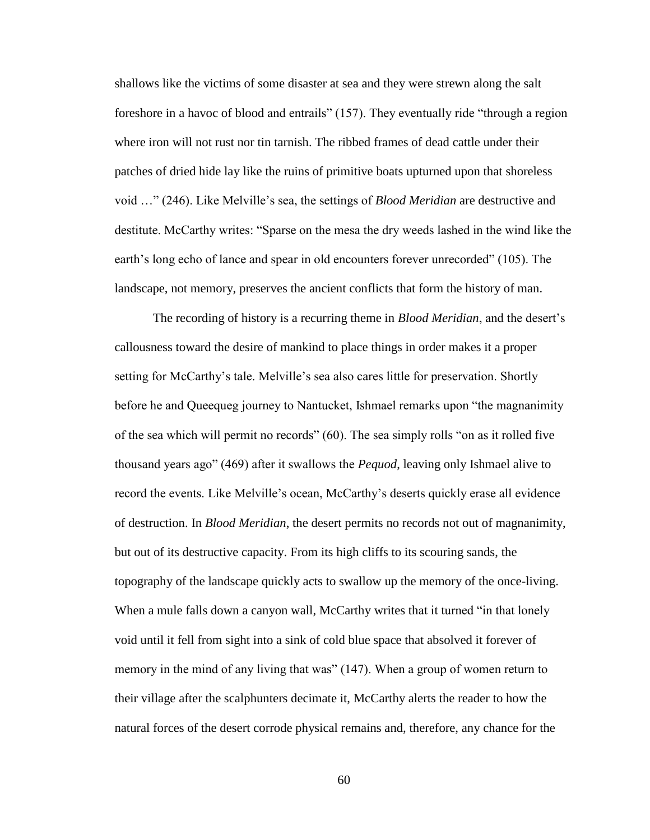shallows like the victims of some disaster at sea and they were strewn along the salt foreshore in a havoc of blood and entrails" (157). They eventually ride "through a region where iron will not rust nor tin tarnish. The ribbed frames of dead cattle under their patches of dried hide lay like the ruins of primitive boats upturned upon that shoreless void …" (246). Like Melville's sea, the settings of *Blood Meridian* are destructive and destitute. McCarthy writes: "Sparse on the mesa the dry weeds lashed in the wind like the earth's long echo of lance and spear in old encounters forever unrecorded" (105). The landscape, not memory, preserves the ancient conflicts that form the history of man.

The recording of history is a recurring theme in *Blood Meridian*, and the desert's callousness toward the desire of mankind to place things in order makes it a proper setting for McCarthy's tale. Melville's sea also cares little for preservation. Shortly before he and Queequeg journey to Nantucket, Ishmael remarks upon "the magnanimity of the sea which will permit no records" (60). The sea simply rolls "on as it rolled five thousand years ago" (469) after it swallows the *Pequod*, leaving only Ishmael alive to record the events. Like Melville's ocean, McCarthy's deserts quickly erase all evidence of destruction. In *Blood Meridian*, the desert permits no records not out of magnanimity, but out of its destructive capacity. From its high cliffs to its scouring sands, the topography of the landscape quickly acts to swallow up the memory of the once-living. When a mule falls down a canyon wall, McCarthy writes that it turned "in that lonely" void until it fell from sight into a sink of cold blue space that absolved it forever of memory in the mind of any living that was" (147). When a group of women return to their village after the scalphunters decimate it, McCarthy alerts the reader to how the natural forces of the desert corrode physical remains and, therefore, any chance for the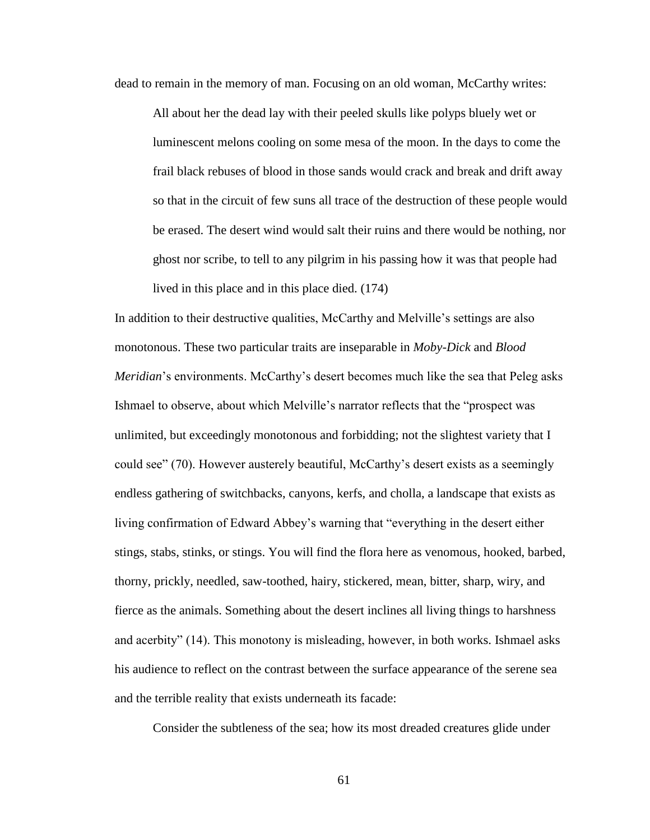dead to remain in the memory of man. Focusing on an old woman, McCarthy writes:

All about her the dead lay with their peeled skulls like polyps bluely wet or luminescent melons cooling on some mesa of the moon. In the days to come the frail black rebuses of blood in those sands would crack and break and drift away so that in the circuit of few suns all trace of the destruction of these people would be erased. The desert wind would salt their ruins and there would be nothing, nor ghost nor scribe, to tell to any pilgrim in his passing how it was that people had lived in this place and in this place died. (174)

In addition to their destructive qualities, McCarthy and Melville's settings are also monotonous. These two particular traits are inseparable in *Moby-Dick* and *Blood Meridian*'s environments. McCarthy's desert becomes much like the sea that Peleg asks Ishmael to observe, about which Melville's narrator reflects that the "prospect was unlimited, but exceedingly monotonous and forbidding; not the slightest variety that I could see" (70). However austerely beautiful, McCarthy's desert exists as a seemingly endless gathering of switchbacks, canyons, kerfs, and cholla, a landscape that exists as living confirmation of Edward Abbey's warning that "everything in the desert either stings, stabs, stinks, or stings. You will find the flora here as venomous, hooked, barbed, thorny, prickly, needled, saw-toothed, hairy, stickered, mean, bitter, sharp, wiry, and fierce as the animals. Something about the desert inclines all living things to harshness and acerbity" (14). This monotony is misleading, however, in both works. Ishmael asks his audience to reflect on the contrast between the surface appearance of the serene sea and the terrible reality that exists underneath its facade:

Consider the subtleness of the sea; how its most dreaded creatures glide under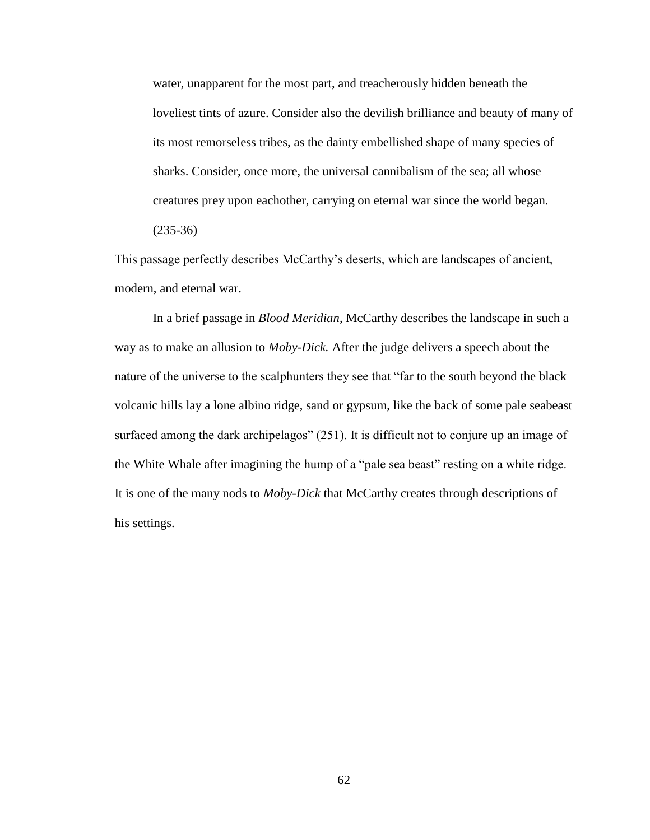water, unapparent for the most part, and treacherously hidden beneath the loveliest tints of azure. Consider also the devilish brilliance and beauty of many of its most remorseless tribes, as the dainty embellished shape of many species of sharks. Consider, once more, the universal cannibalism of the sea; all whose creatures prey upon eachother, carrying on eternal war since the world began. (235-36)

This passage perfectly describes McCarthy's deserts, which are landscapes of ancient, modern, and eternal war.

In a brief passage in *Blood Meridian*, McCarthy describes the landscape in such a way as to make an allusion to *Moby-Dick.* After the judge delivers a speech about the nature of the universe to the scalphunters they see that "far to the south beyond the black volcanic hills lay a lone albino ridge, sand or gypsum, like the back of some pale seabeast surfaced among the dark archipelagos" (251). It is difficult not to conjure up an image of the White Whale after imagining the hump of a "pale sea beast" resting on a white ridge. It is one of the many nods to *Moby-Dick* that McCarthy creates through descriptions of his settings.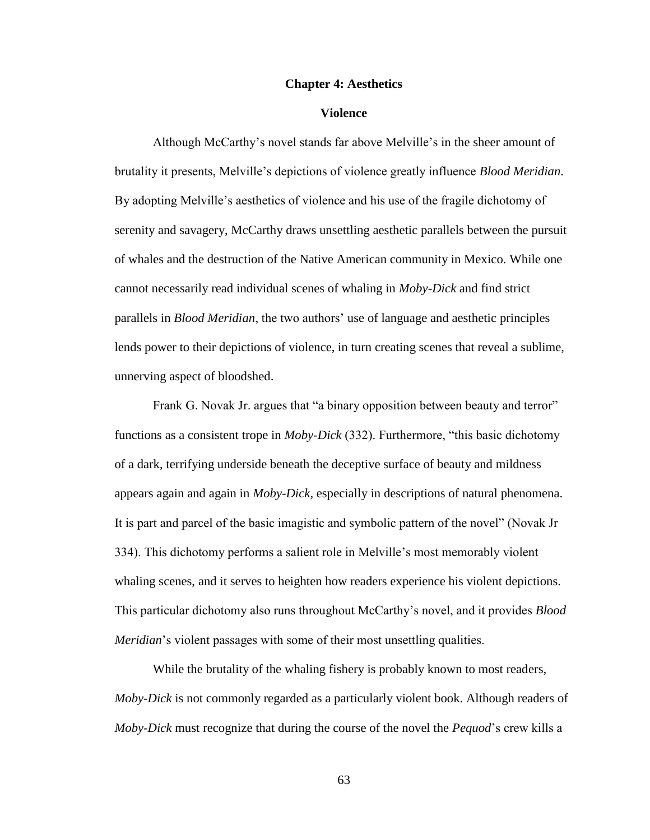#### **Chapter 4: Aesthetics**

# **Violence**

Although McCarthy's novel stands far above Melville's in the sheer amount of brutality it presents, Melville's depictions of violence greatly influence *Blood Meridian*. By adopting Melville's aesthetics of violence and his use of the fragile dichotomy of serenity and savagery, McCarthy draws unsettling aesthetic parallels between the pursuit of whales and the destruction of the Native American community in Mexico. While one cannot necessarily read individual scenes of whaling in *Moby-Dick* and find strict parallels in *Blood Meridian*, the two authors' use of language and aesthetic principles lends power to their depictions of violence, in turn creating scenes that reveal a sublime, unnerving aspect of bloodshed.

Frank G. Novak Jr. argues that "a binary opposition between beauty and terror" functions as a consistent trope in *Moby-Dick* (332). Furthermore, "this basic dichotomy of a dark, terrifying underside beneath the deceptive surface of beauty and mildness appears again and again in *Moby-Dick*, especially in descriptions of natural phenomena. It is part and parcel of the basic imagistic and symbolic pattern of the novel" (Novak Jr 334). This dichotomy performs a salient role in Melville's most memorably violent whaling scenes, and it serves to heighten how readers experience his violent depictions. This particular dichotomy also runs throughout McCarthy's novel, and it provides *Blood Meridian*'s violent passages with some of their most unsettling qualities.

While the brutality of the whaling fishery is probably known to most readers, *Moby-Dick* is not commonly regarded as a particularly violent book. Although readers of *Moby-Dick* must recognize that during the course of the novel the *Pequod*'s crew kills a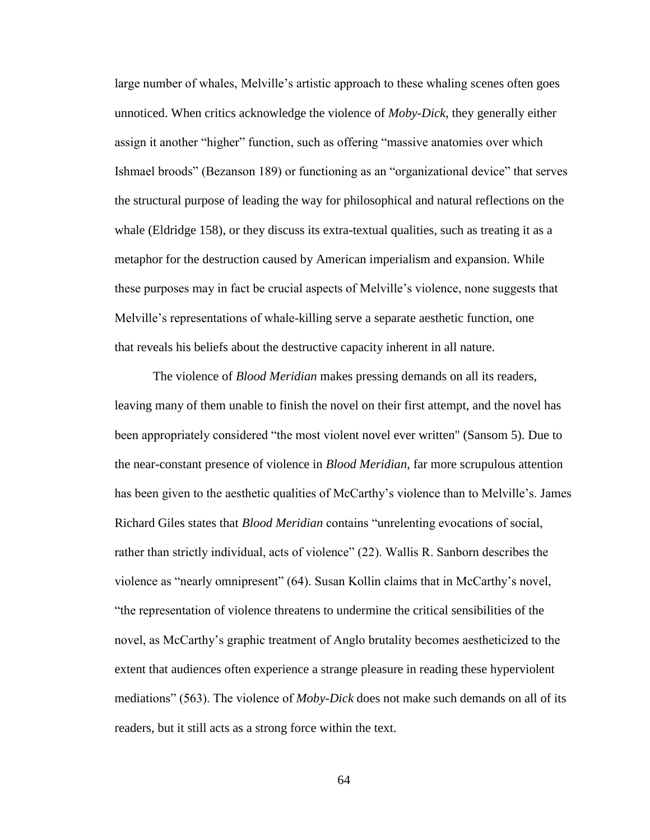large number of whales, Melville's artistic approach to these whaling scenes often goes unnoticed. When critics acknowledge the violence of *Moby-Dick*, they generally either assign it another "higher" function, such as offering "massive anatomies over which Ishmael broods" (Bezanson 189) or functioning as an "organizational device" that serves the structural purpose of leading the way for philosophical and natural reflections on the whale (Eldridge 158), or they discuss its extra-textual qualities, such as treating it as a metaphor for the destruction caused by American imperialism and expansion. While these purposes may in fact be crucial aspects of Melville's violence, none suggests that Melville's representations of whale-killing serve a separate aesthetic function, one that reveals his beliefs about the destructive capacity inherent in all nature.

The violence of *Blood Meridian* makes pressing demands on all its readers, leaving many of them unable to finish the novel on their first attempt, and the novel has been appropriately considered "the most violent novel ever written" (Sansom 5). Due to the near-constant presence of violence in *Blood Meridian*, far more scrupulous attention has been given to the aesthetic qualities of McCarthy's violence than to Melville's. James Richard Giles states that *Blood Meridian* contains "unrelenting evocations of social, rather than strictly individual, acts of violence" (22). Wallis R. Sanborn describes the violence as "nearly omnipresent" (64). Susan Kollin claims that in McCarthy's novel, "the representation of violence threatens to undermine the critical sensibilities of the novel, as McCarthy's graphic treatment of Anglo brutality becomes aestheticized to the extent that audiences often experience a strange pleasure in reading these hyperviolent mediations" (563). The violence of *Moby-Dick* does not make such demands on all of its readers, but it still acts as a strong force within the text.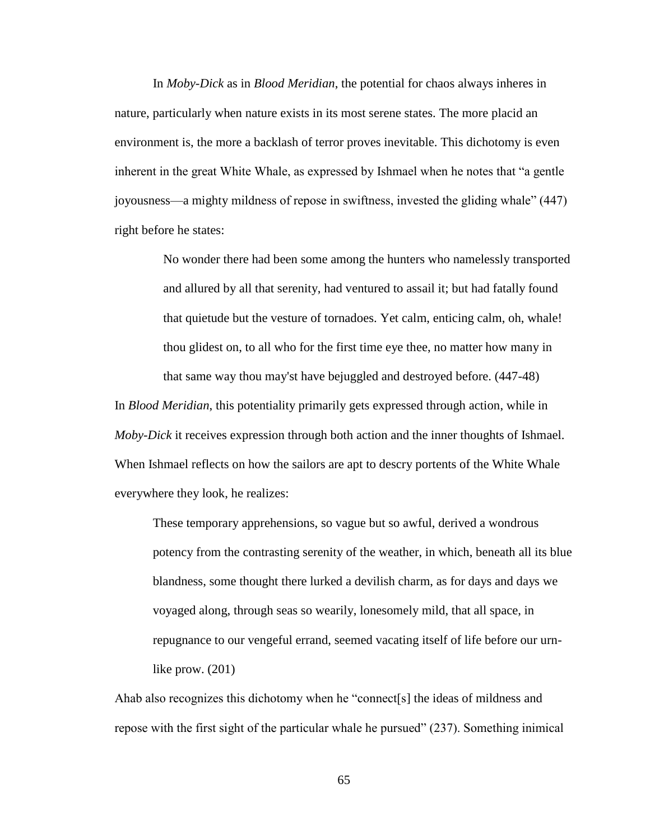In *Moby-Dick* as in *Blood Meridian*, the potential for chaos always inheres in nature, particularly when nature exists in its most serene states. The more placid an environment is, the more a backlash of terror proves inevitable. This dichotomy is even inherent in the great White Whale, as expressed by Ishmael when he notes that "a gentle joyousness—a mighty mildness of repose in swiftness, invested the gliding whale" (447) right before he states:

> No wonder there had been some among the hunters who namelessly transported and allured by all that serenity, had ventured to assail it; but had fatally found that quietude but the vesture of tornadoes. Yet calm, enticing calm, oh, whale! thou glidest on, to all who for the first time eye thee, no matter how many in that same way thou may'st have bejuggled and destroyed before. (447-48)

In *Blood Meridian*, this potentiality primarily gets expressed through action, while in *Moby-Dick* it receives expression through both action and the inner thoughts of Ishmael. When Ishmael reflects on how the sailors are apt to descry portents of the White Whale everywhere they look, he realizes:

These temporary apprehensions, so vague but so awful, derived a wondrous potency from the contrasting serenity of the weather, in which, beneath all its blue blandness, some thought there lurked a devilish charm, as for days and days we voyaged along, through seas so wearily, lonesomely mild, that all space, in repugnance to our vengeful errand, seemed vacating itself of life before our urnlike prow. (201)

Ahab also recognizes this dichotomy when he "connect[s] the ideas of mildness and repose with the first sight of the particular whale he pursued" (237). Something inimical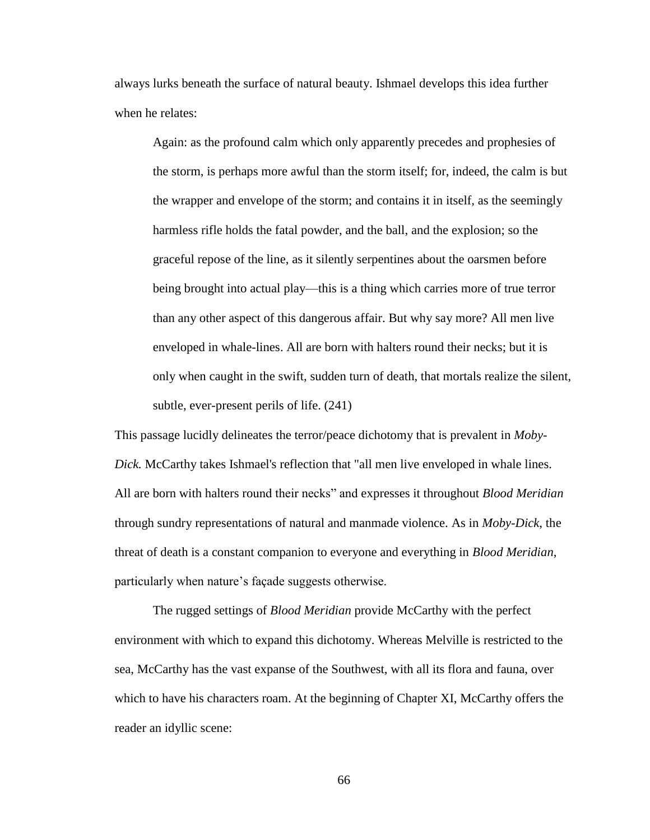always lurks beneath the surface of natural beauty. Ishmael develops this idea further when he relates:

Again: as the profound calm which only apparently precedes and prophesies of the storm, is perhaps more awful than the storm itself; for, indeed, the calm is but the wrapper and envelope of the storm; and contains it in itself, as the seemingly harmless rifle holds the fatal powder, and the ball, and the explosion; so the graceful repose of the line, as it silently serpentines about the oarsmen before being brought into actual play—this is a thing which carries more of true terror than any other aspect of this dangerous affair. But why say more? All men live enveloped in whale-lines. All are born with halters round their necks; but it is only when caught in the swift, sudden turn of death, that mortals realize the silent, subtle, ever-present perils of life. (241)

This passage lucidly delineates the terror/peace dichotomy that is prevalent in *Moby-Dick.* McCarthy takes Ishmael's reflection that "all men live enveloped in whale lines. All are born with halters round their necks" and expresses it throughout *Blood Meridian* through sundry representations of natural and manmade violence. As in *Moby-Dick*, the threat of death is a constant companion to everyone and everything in *Blood Meridian*, particularly when nature's façade suggests otherwise.

The rugged settings of *Blood Meridian* provide McCarthy with the perfect environment with which to expand this dichotomy. Whereas Melville is restricted to the sea, McCarthy has the vast expanse of the Southwest, with all its flora and fauna, over which to have his characters roam. At the beginning of Chapter XI, McCarthy offers the reader an idyllic scene: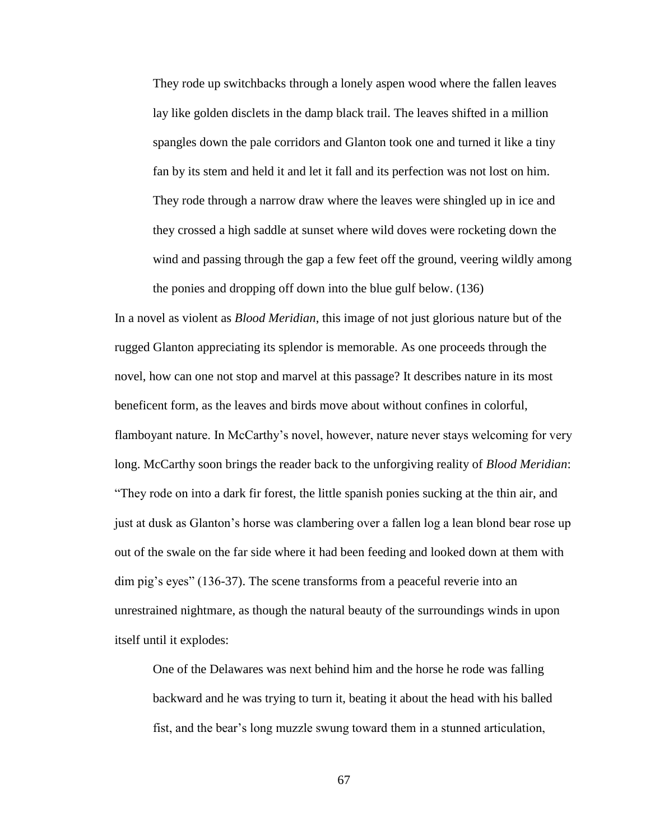They rode up switchbacks through a lonely aspen wood where the fallen leaves lay like golden disclets in the damp black trail. The leaves shifted in a million spangles down the pale corridors and Glanton took one and turned it like a tiny fan by its stem and held it and let it fall and its perfection was not lost on him. They rode through a narrow draw where the leaves were shingled up in ice and they crossed a high saddle at sunset where wild doves were rocketing down the wind and passing through the gap a few feet off the ground, veering wildly among the ponies and dropping off down into the blue gulf below. (136)

In a novel as violent as *Blood Meridian*, this image of not just glorious nature but of the rugged Glanton appreciating its splendor is memorable. As one proceeds through the novel, how can one not stop and marvel at this passage? It describes nature in its most beneficent form, as the leaves and birds move about without confines in colorful, flamboyant nature. In McCarthy's novel, however, nature never stays welcoming for very long. McCarthy soon brings the reader back to the unforgiving reality of *Blood Meridian*: "They rode on into a dark fir forest, the little spanish ponies sucking at the thin air, and just at dusk as Glanton's horse was clambering over a fallen log a lean blond bear rose up out of the swale on the far side where it had been feeding and looked down at them with dim pig's eyes" (136-37). The scene transforms from a peaceful reverie into an unrestrained nightmare, as though the natural beauty of the surroundings winds in upon itself until it explodes:

One of the Delawares was next behind him and the horse he rode was falling backward and he was trying to turn it, beating it about the head with his balled fist, and the bear's long muzzle swung toward them in a stunned articulation,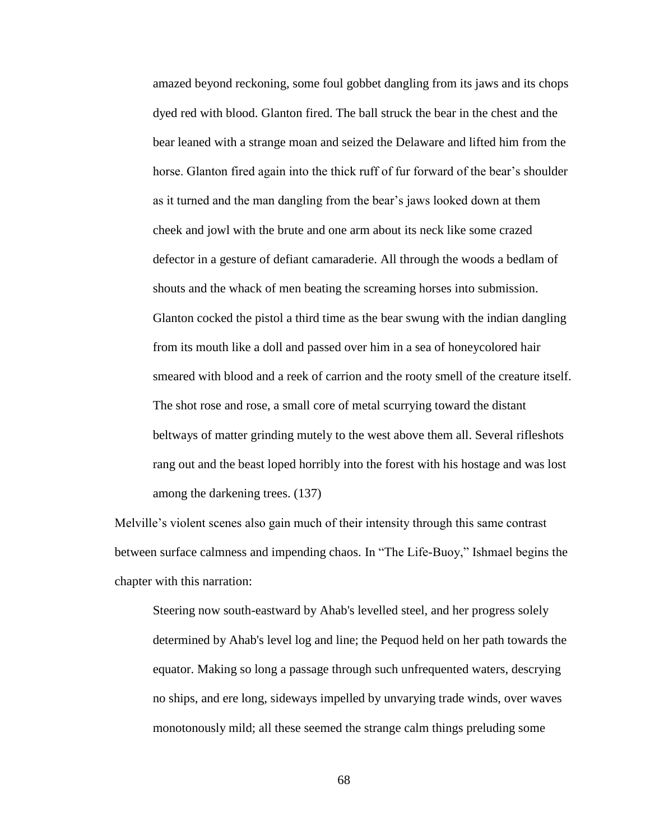amazed beyond reckoning, some foul gobbet dangling from its jaws and its chops dyed red with blood. Glanton fired. The ball struck the bear in the chest and the bear leaned with a strange moan and seized the Delaware and lifted him from the horse. Glanton fired again into the thick ruff of fur forward of the bear's shoulder as it turned and the man dangling from the bear's jaws looked down at them cheek and jowl with the brute and one arm about its neck like some crazed defector in a gesture of defiant camaraderie. All through the woods a bedlam of shouts and the whack of men beating the screaming horses into submission. Glanton cocked the pistol a third time as the bear swung with the indian dangling from its mouth like a doll and passed over him in a sea of honeycolored hair smeared with blood and a reek of carrion and the rooty smell of the creature itself. The shot rose and rose, a small core of metal scurrying toward the distant beltways of matter grinding mutely to the west above them all. Several rifleshots rang out and the beast loped horribly into the forest with his hostage and was lost among the darkening trees. (137)

Melville's violent scenes also gain much of their intensity through this same contrast between surface calmness and impending chaos. In "The Life-Buoy," Ishmael begins the chapter with this narration:

Steering now south-eastward by Ahab's levelled steel, and her progress solely determined by Ahab's level log and line; the Pequod held on her path towards the equator. Making so long a passage through such unfrequented waters, descrying no ships, and ere long, sideways impelled by unvarying trade winds, over waves monotonously mild; all these seemed the strange calm things preluding some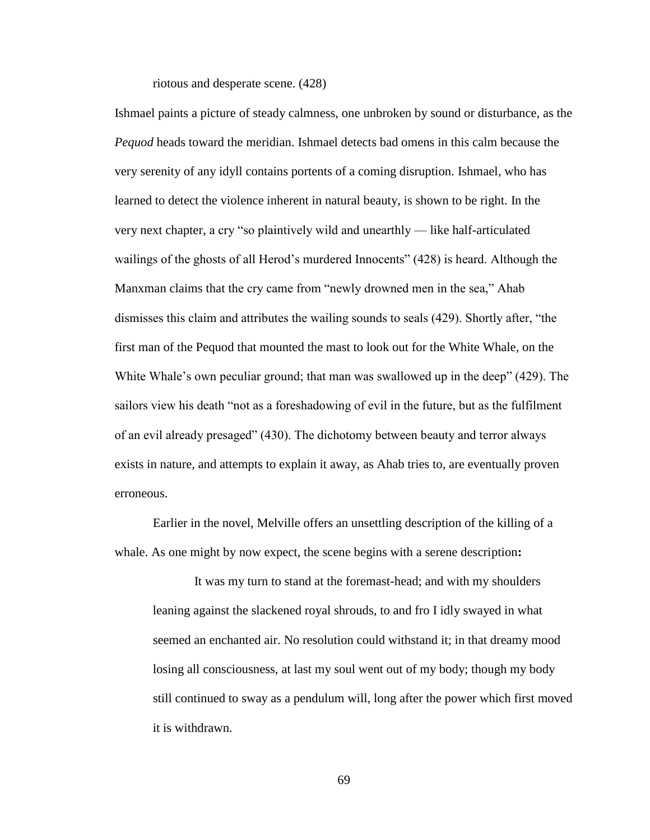riotous and desperate scene. (428)

Ishmael paints a picture of steady calmness, one unbroken by sound or disturbance, as the *Pequod* heads toward the meridian. Ishmael detects bad omens in this calm because the very serenity of any idyll contains portents of a coming disruption. Ishmael, who has learned to detect the violence inherent in natural beauty, is shown to be right. In the very next chapter, a cry "so plaintively wild and unearthly — like half-articulated wailings of the ghosts of all Herod's murdered Innocents" (428) is heard. Although the Manxman claims that the cry came from "newly drowned men in the sea," Ahab dismisses this claim and attributes the wailing sounds to seals (429). Shortly after, "the first man of the Pequod that mounted the mast to look out for the White Whale, on the White Whale's own peculiar ground; that man was swallowed up in the deep" (429). The sailors view his death "not as a foreshadowing of evil in the future, but as the fulfilment of an evil already presaged" (430). The dichotomy between beauty and terror always exists in nature, and attempts to explain it away, as Ahab tries to, are eventually proven erroneous.

Earlier in the novel, Melville offers an unsettling description of the killing of a whale. As one might by now expect, the scene begins with a serene description**:** 

It was my turn to stand at the foremast-head; and with my shoulders leaning against the slackened royal shrouds, to and fro I idly swayed in what seemed an enchanted air. No resolution could withstand it; in that dreamy mood losing all consciousness, at last my soul went out of my body; though my body still continued to sway as a pendulum will, long after the power which first moved it is withdrawn.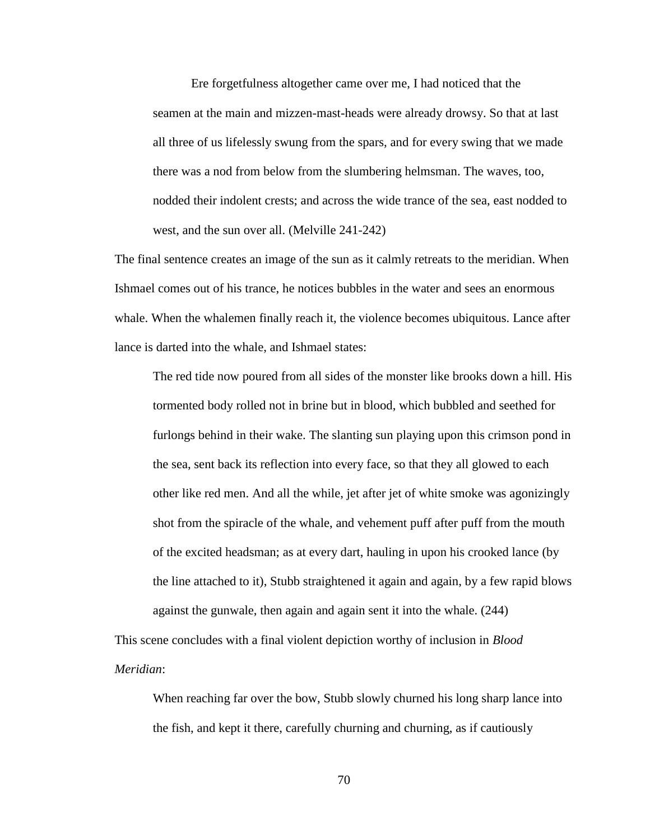Ere forgetfulness altogether came over me, I had noticed that the seamen at the main and mizzen-mast-heads were already drowsy. So that at last all three of us lifelessly swung from the spars, and for every swing that we made there was a nod from below from the slumbering helmsman. The waves, too, nodded their indolent crests; and across the wide trance of the sea, east nodded to west, and the sun over all. (Melville 241-242)

The final sentence creates an image of the sun as it calmly retreats to the meridian. When Ishmael comes out of his trance, he notices bubbles in the water and sees an enormous whale. When the whalemen finally reach it, the violence becomes ubiquitous. Lance after lance is darted into the whale, and Ishmael states:

The red tide now poured from all sides of the monster like brooks down a hill. His tormented body rolled not in brine but in blood, which bubbled and seethed for furlongs behind in their wake. The slanting sun playing upon this crimson pond in the sea, sent back its reflection into every face, so that they all glowed to each other like red men. And all the while, jet after jet of white smoke was agonizingly shot from the spiracle of the whale, and vehement puff after puff from the mouth of the excited headsman; as at every dart, hauling in upon his crooked lance (by the line attached to it), Stubb straightened it again and again, by a few rapid blows against the gunwale, then again and again sent it into the whale. (244)

This scene concludes with a final violent depiction worthy of inclusion in *Blood Meridian*:

When reaching far over the bow, Stubb slowly churned his long sharp lance into the fish, and kept it there, carefully churning and churning, as if cautiously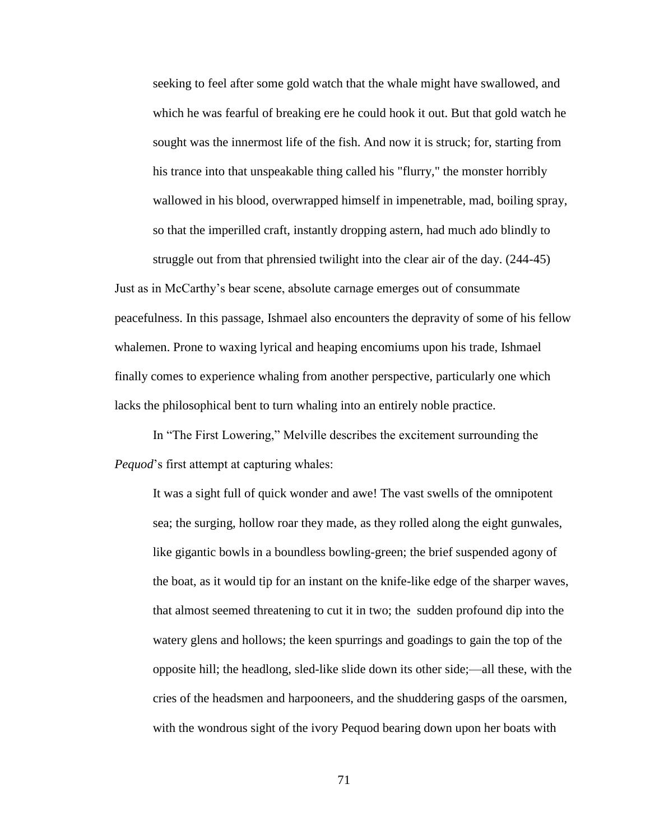seeking to feel after some gold watch that the whale might have swallowed, and which he was fearful of breaking ere he could hook it out. But that gold watch he sought was the innermost life of the fish. And now it is struck; for, starting from his trance into that unspeakable thing called his "flurry," the monster horribly wallowed in his blood, overwrapped himself in impenetrable, mad, boiling spray, so that the imperilled craft, instantly dropping astern, had much ado blindly to

struggle out from that phrensied twilight into the clear air of the day. (244-45) Just as in McCarthy's bear scene, absolute carnage emerges out of consummate peacefulness. In this passage, Ishmael also encounters the depravity of some of his fellow whalemen. Prone to waxing lyrical and heaping encomiums upon his trade, Ishmael finally comes to experience whaling from another perspective, particularly one which lacks the philosophical bent to turn whaling into an entirely noble practice.

In "The First Lowering," Melville describes the excitement surrounding the *Pequod*'s first attempt at capturing whales:

It was a sight full of quick wonder and awe! The vast swells of the omnipotent sea; the surging, hollow roar they made, as they rolled along the eight gunwales, like gigantic bowls in a boundless bowling-green; the brief suspended agony of the boat, as it would tip for an instant on the knife-like edge of the sharper waves, that almost seemed threatening to cut it in two; the sudden profound dip into the watery glens and hollows; the keen spurrings and goadings to gain the top of the opposite hill; the headlong, sled-like slide down its other side;—all these, with the cries of the headsmen and harpooneers, and the shuddering gasps of the oarsmen, with the wondrous sight of the ivory Pequod bearing down upon her boats with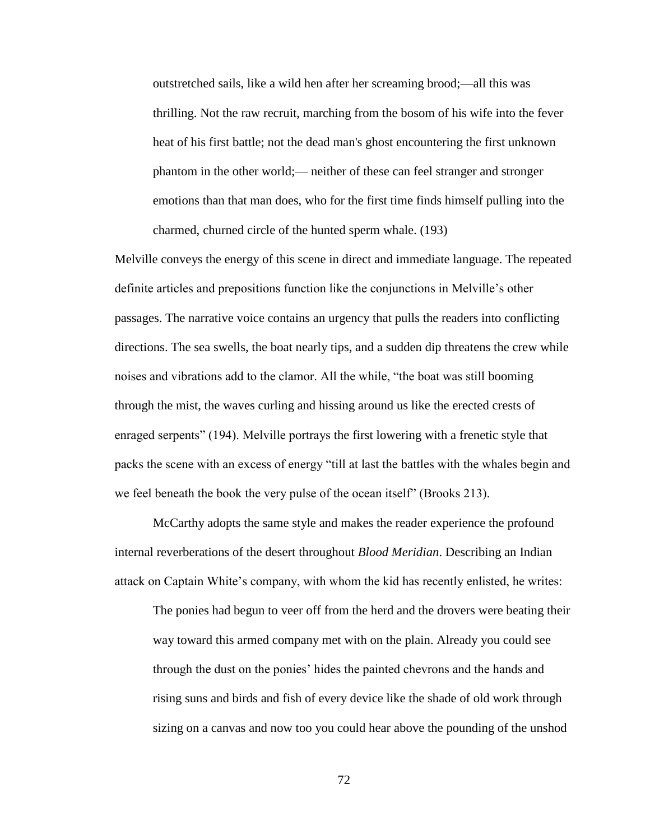outstretched sails, like a wild hen after her screaming brood;—all this was thrilling. Not the raw recruit, marching from the bosom of his wife into the fever heat of his first battle; not the dead man's ghost encountering the first unknown phantom in the other world;— neither of these can feel stranger and stronger emotions than that man does, who for the first time finds himself pulling into the charmed, churned circle of the hunted sperm whale. (193)

Melville conveys the energy of this scene in direct and immediate language. The repeated definite articles and prepositions function like the conjunctions in Melville's other passages. The narrative voice contains an urgency that pulls the readers into conflicting directions. The sea swells, the boat nearly tips, and a sudden dip threatens the crew while noises and vibrations add to the clamor. All the while, "the boat was still booming through the mist, the waves curling and hissing around us like the erected crests of enraged serpents" (194). Melville portrays the first lowering with a frenetic style that packs the scene with an excess of energy "till at last the battles with the whales begin and we feel beneath the book the very pulse of the ocean itself" (Brooks 213).

McCarthy adopts the same style and makes the reader experience the profound internal reverberations of the desert throughout *Blood Meridian*. Describing an Indian attack on Captain White's company, with whom the kid has recently enlisted, he writes:

The ponies had begun to veer off from the herd and the drovers were beating their way toward this armed company met with on the plain. Already you could see through the dust on the ponies' hides the painted chevrons and the hands and rising suns and birds and fish of every device like the shade of old work through sizing on a canvas and now too you could hear above the pounding of the unshod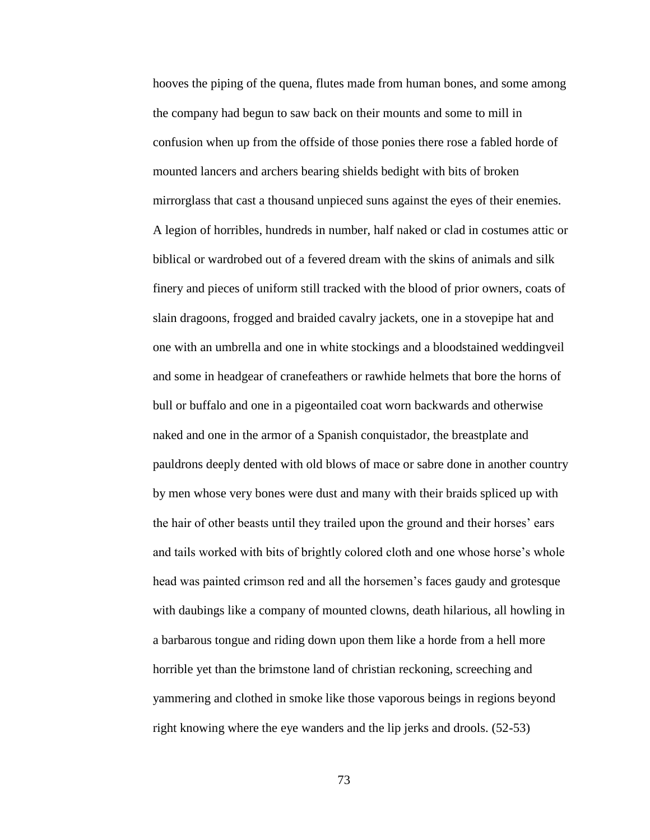hooves the piping of the quena, flutes made from human bones, and some among the company had begun to saw back on their mounts and some to mill in confusion when up from the offside of those ponies there rose a fabled horde of mounted lancers and archers bearing shields bedight with bits of broken mirrorglass that cast a thousand unpieced suns against the eyes of their enemies. A legion of horribles, hundreds in number, half naked or clad in costumes attic or biblical or wardrobed out of a fevered dream with the skins of animals and silk finery and pieces of uniform still tracked with the blood of prior owners, coats of slain dragoons, frogged and braided cavalry jackets, one in a stovepipe hat and one with an umbrella and one in white stockings and a bloodstained weddingveil and some in headgear of cranefeathers or rawhide helmets that bore the horns of bull or buffalo and one in a pigeontailed coat worn backwards and otherwise naked and one in the armor of a Spanish conquistador, the breastplate and pauldrons deeply dented with old blows of mace or sabre done in another country by men whose very bones were dust and many with their braids spliced up with the hair of other beasts until they trailed upon the ground and their horses' ears and tails worked with bits of brightly colored cloth and one whose horse's whole head was painted crimson red and all the horsemen's faces gaudy and grotesque with daubings like a company of mounted clowns, death hilarious, all howling in a barbarous tongue and riding down upon them like a horde from a hell more horrible yet than the brimstone land of christian reckoning, screeching and yammering and clothed in smoke like those vaporous beings in regions beyond right knowing where the eye wanders and the lip jerks and drools. (52-53)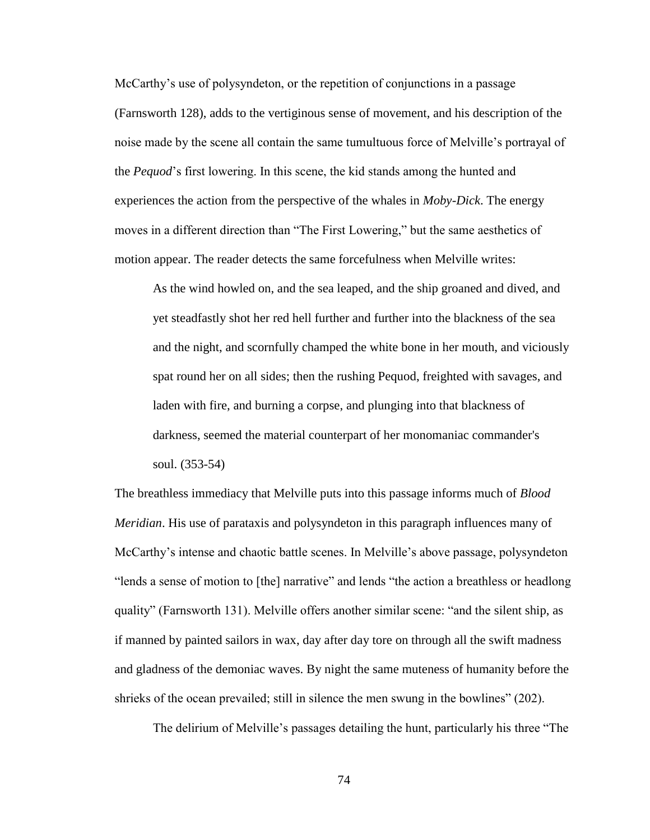McCarthy's use of polysyndeton, or the repetition of conjunctions in a passage (Farnsworth 128), adds to the vertiginous sense of movement, and his description of the noise made by the scene all contain the same tumultuous force of Melville's portrayal of the *Pequod*'s first lowering. In this scene, the kid stands among the hunted and experiences the action from the perspective of the whales in *Moby-Dick*. The energy moves in a different direction than "The First Lowering," but the same aesthetics of motion appear. The reader detects the same forcefulness when Melville writes:

As the wind howled on, and the sea leaped, and the ship groaned and dived, and yet steadfastly shot her red hell further and further into the blackness of the sea and the night, and scornfully champed the white bone in her mouth, and viciously spat round her on all sides; then the rushing Pequod, freighted with savages, and laden with fire, and burning a corpse, and plunging into that blackness of darkness, seemed the material counterpart of her monomaniac commander's soul. (353-54)

The breathless immediacy that Melville puts into this passage informs much of *Blood Meridian*. His use of parataxis and polysyndeton in this paragraph influences many of McCarthy's intense and chaotic battle scenes. In Melville's above passage, polysyndeton "lends a sense of motion to [the] narrative" and lends "the action a breathless or headlong quality" (Farnsworth 131). Melville offers another similar scene: "and the silent ship, as if manned by painted sailors in wax, day after day tore on through all the swift madness and gladness of the demoniac waves. By night the same muteness of humanity before the shrieks of the ocean prevailed; still in silence the men swung in the bowlines" (202).

The delirium of Melville's passages detailing the hunt, particularly his three "The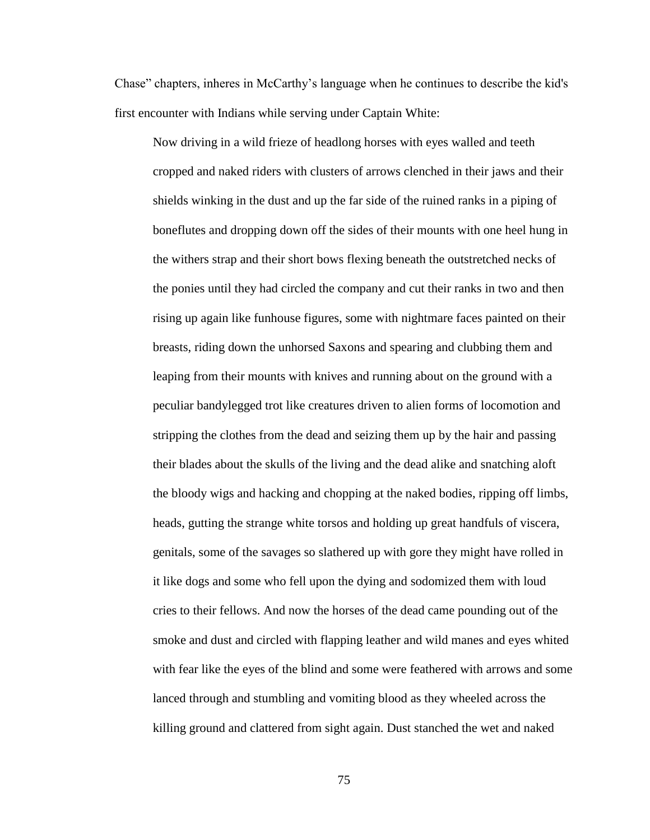Chase" chapters, inheres in McCarthy's language when he continues to describe the kid's first encounter with Indians while serving under Captain White:

Now driving in a wild frieze of headlong horses with eyes walled and teeth cropped and naked riders with clusters of arrows clenched in their jaws and their shields winking in the dust and up the far side of the ruined ranks in a piping of boneflutes and dropping down off the sides of their mounts with one heel hung in the withers strap and their short bows flexing beneath the outstretched necks of the ponies until they had circled the company and cut their ranks in two and then rising up again like funhouse figures, some with nightmare faces painted on their breasts, riding down the unhorsed Saxons and spearing and clubbing them and leaping from their mounts with knives and running about on the ground with a peculiar bandylegged trot like creatures driven to alien forms of locomotion and stripping the clothes from the dead and seizing them up by the hair and passing their blades about the skulls of the living and the dead alike and snatching aloft the bloody wigs and hacking and chopping at the naked bodies, ripping off limbs, heads, gutting the strange white torsos and holding up great handfuls of viscera, genitals, some of the savages so slathered up with gore they might have rolled in it like dogs and some who fell upon the dying and sodomized them with loud cries to their fellows. And now the horses of the dead came pounding out of the smoke and dust and circled with flapping leather and wild manes and eyes whited with fear like the eyes of the blind and some were feathered with arrows and some lanced through and stumbling and vomiting blood as they wheeled across the killing ground and clattered from sight again. Dust stanched the wet and naked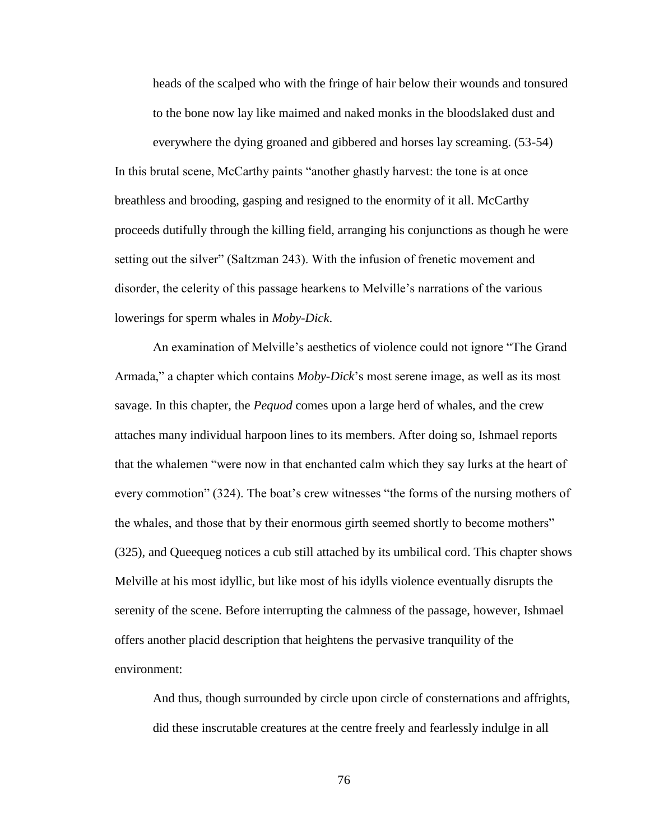heads of the scalped who with the fringe of hair below their wounds and tonsured to the bone now lay like maimed and naked monks in the bloodslaked dust and

everywhere the dying groaned and gibbered and horses lay screaming. (53-54) In this brutal scene, McCarthy paints "another ghastly harvest: the tone is at once breathless and brooding, gasping and resigned to the enormity of it all. McCarthy proceeds dutifully through the killing field, arranging his conjunctions as though he were setting out the silver" (Saltzman 243). With the infusion of frenetic movement and disorder, the celerity of this passage hearkens to Melville's narrations of the various lowerings for sperm whales in *Moby-Dick*.

An examination of Melville's aesthetics of violence could not ignore "The Grand Armada," a chapter which contains *Moby-Dick*'s most serene image, as well as its most savage. In this chapter, the *Pequod* comes upon a large herd of whales, and the crew attaches many individual harpoon lines to its members. After doing so, Ishmael reports that the whalemen "were now in that enchanted calm which they say lurks at the heart of every commotion" (324). The boat's crew witnesses "the forms of the nursing mothers of the whales, and those that by their enormous girth seemed shortly to become mothers" (325), and Queequeg notices a cub still attached by its umbilical cord. This chapter shows Melville at his most idyllic, but like most of his idylls violence eventually disrupts the serenity of the scene. Before interrupting the calmness of the passage, however, Ishmael offers another placid description that heightens the pervasive tranquility of the environment:

And thus, though surrounded by circle upon circle of consternations and affrights, did these inscrutable creatures at the centre freely and fearlessly indulge in all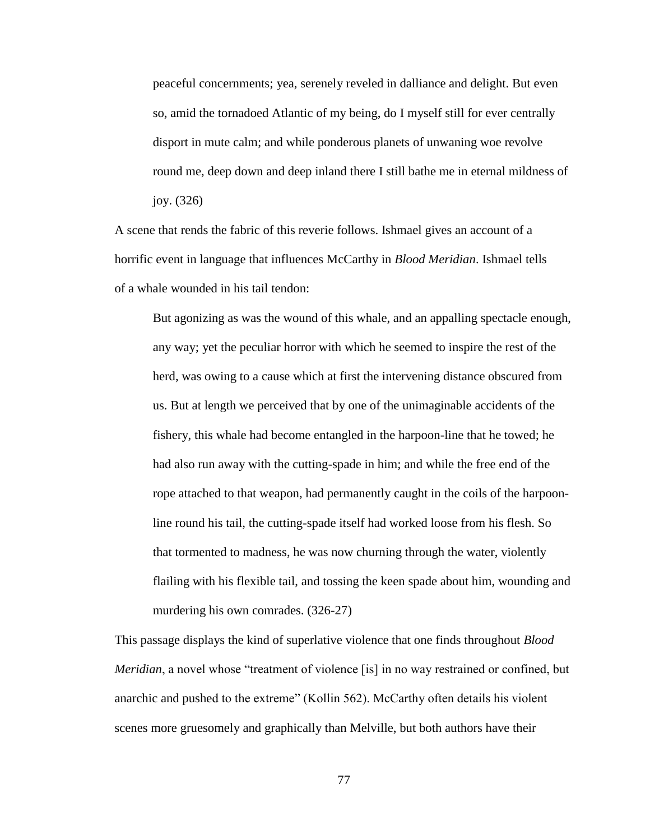peaceful concernments; yea, serenely reveled in dalliance and delight. But even so, amid the tornadoed Atlantic of my being, do I myself still for ever centrally disport in mute calm; and while ponderous planets of unwaning woe revolve round me, deep down and deep inland there I still bathe me in eternal mildness of joy. (326)

A scene that rends the fabric of this reverie follows. Ishmael gives an account of a horrific event in language that influences McCarthy in *Blood Meridian*. Ishmael tells of a whale wounded in his tail tendon:

But agonizing as was the wound of this whale, and an appalling spectacle enough, any way; yet the peculiar horror with which he seemed to inspire the rest of the herd, was owing to a cause which at first the intervening distance obscured from us. But at length we perceived that by one of the unimaginable accidents of the fishery, this whale had become entangled in the harpoon-line that he towed; he had also run away with the cutting-spade in him; and while the free end of the rope attached to that weapon, had permanently caught in the coils of the harpoonline round his tail, the cutting-spade itself had worked loose from his flesh. So that tormented to madness, he was now churning through the water, violently flailing with his flexible tail, and tossing the keen spade about him, wounding and murdering his own comrades. (326-27)

This passage displays the kind of superlative violence that one finds throughout *Blood Meridian*, a novel whose "treatment of violence [is] in no way restrained or confined, but anarchic and pushed to the extreme" (Kollin 562). McCarthy often details his violent scenes more gruesomely and graphically than Melville, but both authors have their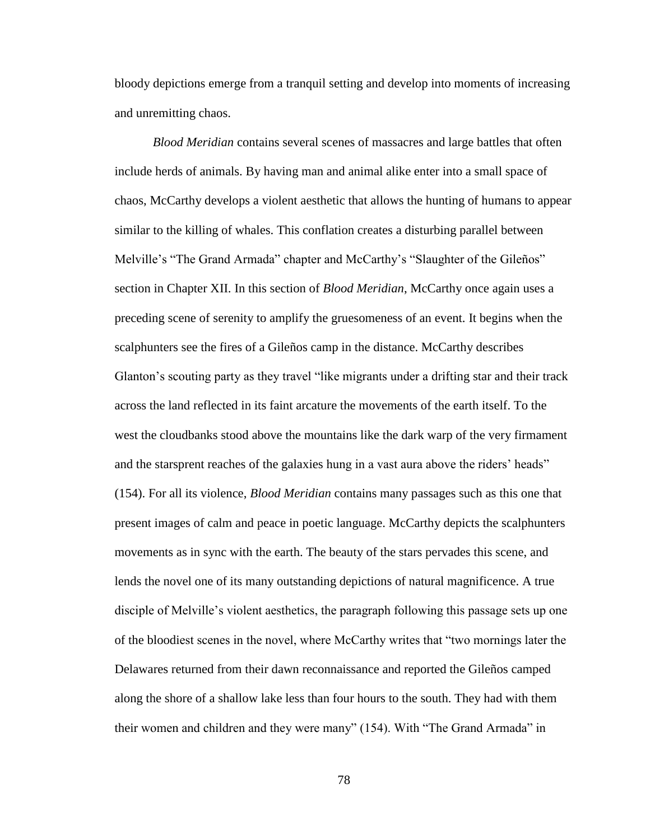bloody depictions emerge from a tranquil setting and develop into moments of increasing and unremitting chaos.

*Blood Meridian* contains several scenes of massacres and large battles that often include herds of animals. By having man and animal alike enter into a small space of chaos, McCarthy develops a violent aesthetic that allows the hunting of humans to appear similar to the killing of whales. This conflation creates a disturbing parallel between Melville's "The Grand Armada" chapter and McCarthy's "Slaughter of the Gileños" section in Chapter XII. In this section of *Blood Meridian*, McCarthy once again uses a preceding scene of serenity to amplify the gruesomeness of an event. It begins when the scalphunters see the fires of a Gileños camp in the distance. McCarthy describes Glanton's scouting party as they travel "like migrants under a drifting star and their track across the land reflected in its faint arcature the movements of the earth itself. To the west the cloudbanks stood above the mountains like the dark warp of the very firmament and the starsprent reaches of the galaxies hung in a vast aura above the riders' heads" (154). For all its violence, *Blood Meridian* contains many passages such as this one that present images of calm and peace in poetic language. McCarthy depicts the scalphunters movements as in sync with the earth. The beauty of the stars pervades this scene, and lends the novel one of its many outstanding depictions of natural magnificence. A true disciple of Melville's violent aesthetics, the paragraph following this passage sets up one of the bloodiest scenes in the novel, where McCarthy writes that "two mornings later the Delawares returned from their dawn reconnaissance and reported the Gileños camped along the shore of a shallow lake less than four hours to the south. They had with them their women and children and they were many" (154). With "The Grand Armada" in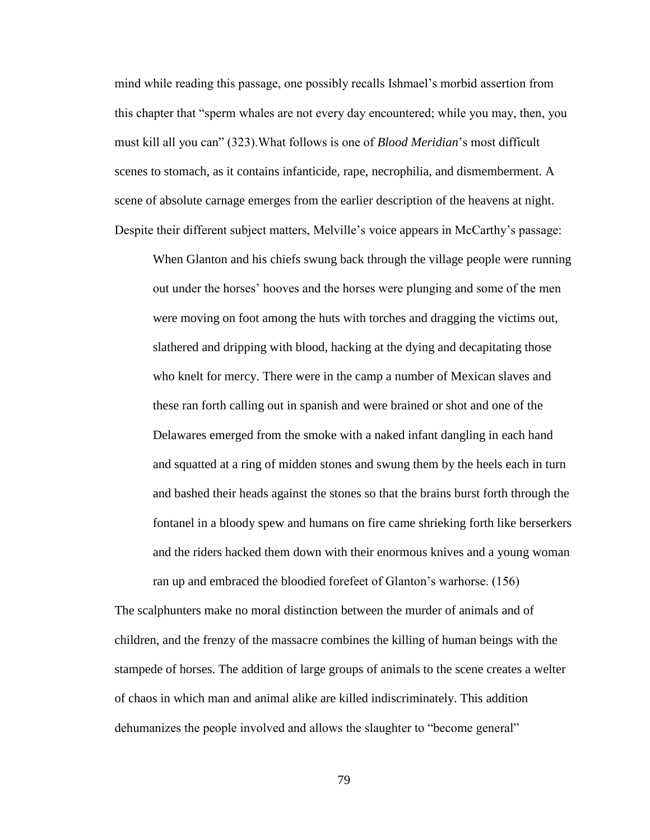mind while reading this passage, one possibly recalls Ishmael's morbid assertion from this chapter that "sperm whales are not every day encountered; while you may, then, you must kill all you can" (323).What follows is one of *Blood Meridian*'s most difficult scenes to stomach, as it contains infanticide, rape, necrophilia, and dismemberment. A scene of absolute carnage emerges from the earlier description of the heavens at night. Despite their different subject matters, Melville's voice appears in McCarthy's passage:

When Glanton and his chiefs swung back through the village people were running out under the horses' hooves and the horses were plunging and some of the men were moving on foot among the huts with torches and dragging the victims out, slathered and dripping with blood, hacking at the dying and decapitating those who knelt for mercy. There were in the camp a number of Mexican slaves and these ran forth calling out in spanish and were brained or shot and one of the Delawares emerged from the smoke with a naked infant dangling in each hand and squatted at a ring of midden stones and swung them by the heels each in turn and bashed their heads against the stones so that the brains burst forth through the fontanel in a bloody spew and humans on fire came shrieking forth like berserkers and the riders hacked them down with their enormous knives and a young woman ran up and embraced the bloodied forefeet of Glanton's warhorse. (156)

The scalphunters make no moral distinction between the murder of animals and of children, and the frenzy of the massacre combines the killing of human beings with the stampede of horses. The addition of large groups of animals to the scene creates a welter of chaos in which man and animal alike are killed indiscriminately. This addition dehumanizes the people involved and allows the slaughter to "become general"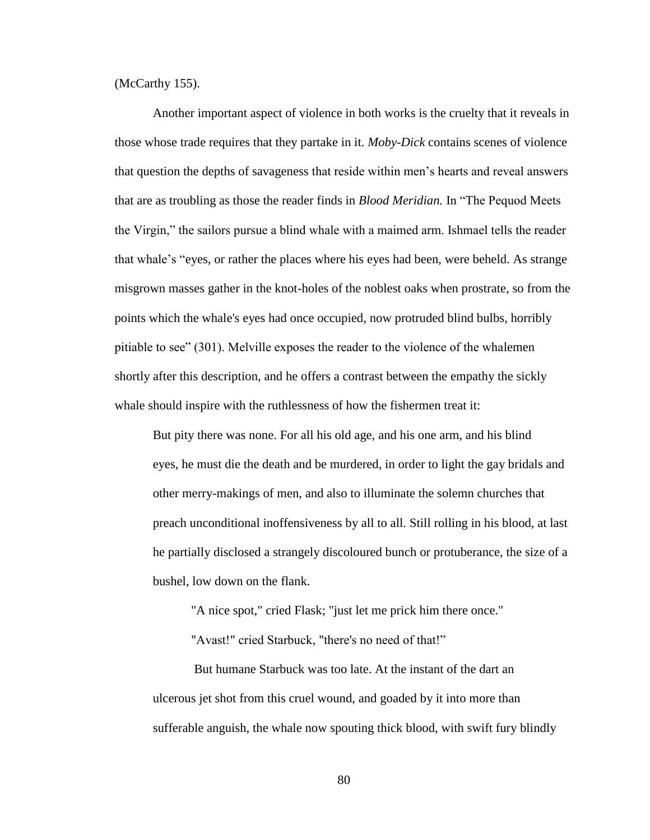(McCarthy 155).

Another important aspect of violence in both works is the cruelty that it reveals in those whose trade requires that they partake in it. *Moby-Dick* contains scenes of violence that question the depths of savageness that reside within men's hearts and reveal answers that are as troubling as those the reader finds in *Blood Meridian.* In "The Pequod Meets the Virgin," the sailors pursue a blind whale with a maimed arm. Ishmael tells the reader that whale's "eyes, or rather the places where his eyes had been, were beheld. As strange misgrown masses gather in the knot-holes of the noblest oaks when prostrate, so from the points which the whale's eyes had once occupied, now protruded blind bulbs, horribly pitiable to see" (301). Melville exposes the reader to the violence of the whalemen shortly after this description, and he offers a contrast between the empathy the sickly whale should inspire with the ruthlessness of how the fishermen treat it:

But pity there was none. For all his old age, and his one arm, and his blind eyes, he must die the death and be murdered, in order to light the gay bridals and other merry-makings of men, and also to illuminate the solemn churches that preach unconditional inoffensiveness by all to all. Still rolling in his blood, at last he partially disclosed a strangely discoloured bunch or protuberance, the size of a bushel, low down on the flank.

"A nice spot," cried Flask; "just let me prick him there once."

"Avast!" cried Starbuck, "there's no need of that!"

But humane Starbuck was too late. At the instant of the dart an ulcerous jet shot from this cruel wound, and goaded by it into more than sufferable anguish, the whale now spouting thick blood, with swift fury blindly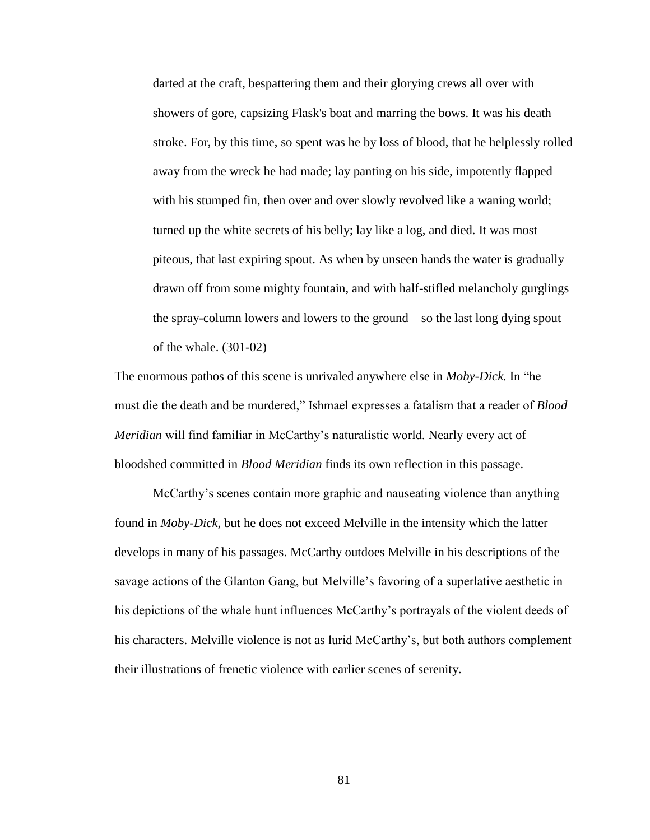darted at the craft, bespattering them and their glorying crews all over with showers of gore, capsizing Flask's boat and marring the bows. It was his death stroke. For, by this time, so spent was he by loss of blood, that he helplessly rolled away from the wreck he had made; lay panting on his side, impotently flapped with his stumped fin, then over and over slowly revolved like a waning world; turned up the white secrets of his belly; lay like a log, and died. It was most piteous, that last expiring spout. As when by unseen hands the water is gradually drawn off from some mighty fountain, and with half-stifled melancholy gurglings the spray-column lowers and lowers to the ground—so the last long dying spout of the whale. (301-02)

The enormous pathos of this scene is unrivaled anywhere else in *Moby-Dick.* In "he must die the death and be murdered," Ishmael expresses a fatalism that a reader of *Blood Meridian* will find familiar in McCarthy's naturalistic world. Nearly every act of bloodshed committed in *Blood Meridian* finds its own reflection in this passage.

McCarthy's scenes contain more graphic and nauseating violence than anything found in *Moby-Dick*, but he does not exceed Melville in the intensity which the latter develops in many of his passages. McCarthy outdoes Melville in his descriptions of the savage actions of the Glanton Gang, but Melville's favoring of a superlative aesthetic in his depictions of the whale hunt influences McCarthy's portrayals of the violent deeds of his characters. Melville violence is not as lurid McCarthy's, but both authors complement their illustrations of frenetic violence with earlier scenes of serenity.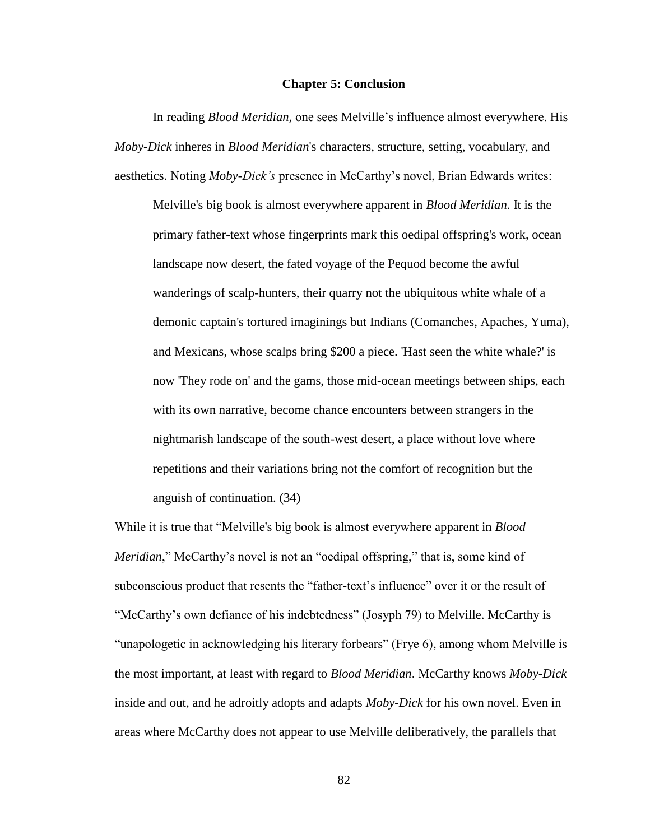## **Chapter 5: Conclusion**

In reading *Blood Meridian,* one sees Melville's influence almost everywhere. His *Moby-Dick* inheres in *Blood Meridian*'s characters, structure, setting, vocabulary, and aesthetics. Noting *Moby-Dick's* presence in McCarthy's novel, Brian Edwards writes:

Melville's big book is almost everywhere apparent in *Blood Meridian*. It is the primary father-text whose fingerprints mark this oedipal offspring's work, ocean landscape now desert, the fated voyage of the Pequod become the awful wanderings of scalp-hunters, their quarry not the ubiquitous white whale of a demonic captain's tortured imaginings but Indians (Comanches, Apaches, Yuma), and Mexicans, whose scalps bring \$200 a piece. 'Hast seen the white whale?' is now 'They rode on' and the gams, those mid-ocean meetings between ships, each with its own narrative, become chance encounters between strangers in the nightmarish landscape of the south-west desert, a place without love where repetitions and their variations bring not the comfort of recognition but the anguish of continuation. (34)

While it is true that "Melville's big book is almost everywhere apparent in *Blood Meridian*," McCarthy's novel is not an "oedipal offspring," that is, some kind of subconscious product that resents the "father-text's influence" over it or the result of "McCarthy's own defiance of his indebtedness" (Josyph 79) to Melville. McCarthy is "unapologetic in acknowledging his literary forbears" (Frye 6), among whom Melville is the most important, at least with regard to *Blood Meridian*. McCarthy knows *Moby-Dick*  inside and out, and he adroitly adopts and adapts *Moby-Dick* for his own novel. Even in areas where McCarthy does not appear to use Melville deliberatively, the parallels that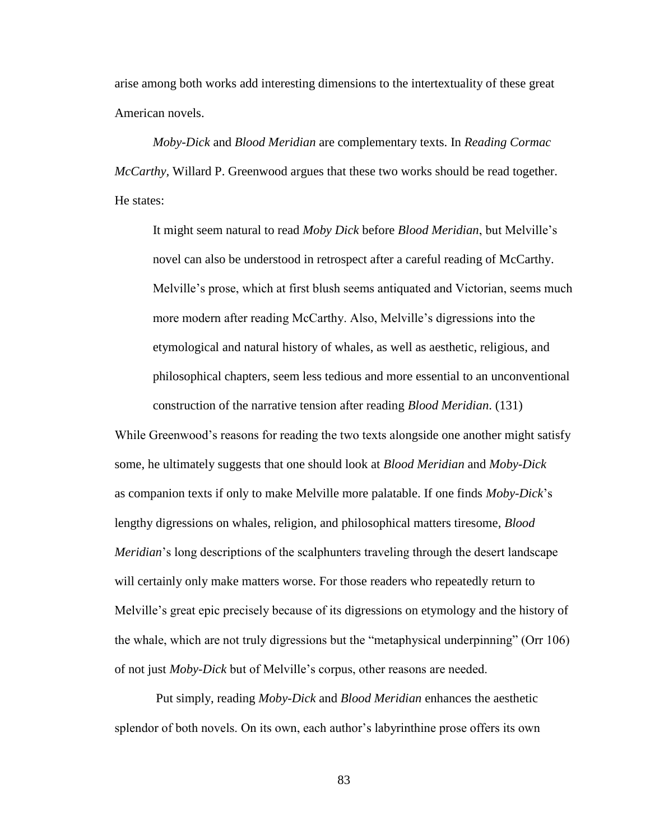arise among both works add interesting dimensions to the intertextuality of these great American novels.

*Moby-Dick* and *Blood Meridian* are complementary texts. In *Reading Cormac McCarthy,* Willard P. Greenwood argues that these two works should be read together. He states:

It might seem natural to read *Moby Dick* before *Blood Meridian*, but Melville's novel can also be understood in retrospect after a careful reading of McCarthy. Melville's prose, which at first blush seems antiquated and Victorian, seems much more modern after reading McCarthy. Also, Melville's digressions into the etymological and natural history of whales, as well as aesthetic, religious, and philosophical chapters, seem less tedious and more essential to an unconventional construction of the narrative tension after reading *Blood Meridian*. (131)

While Greenwood's reasons for reading the two texts alongside one another might satisfy some, he ultimately suggests that one should look at *Blood Meridian* and *Moby-Dick*  as companion texts if only to make Melville more palatable. If one finds *Moby-Dick*'s lengthy digressions on whales, religion, and philosophical matters tiresome, *Blood Meridian*'s long descriptions of the scalphunters traveling through the desert landscape will certainly only make matters worse. For those readers who repeatedly return to Melville's great epic precisely because of its digressions on etymology and the history of the whale, which are not truly digressions but the "metaphysical underpinning" (Orr 106) of not just *Moby-Dick* but of Melville's corpus, other reasons are needed.

Put simply, reading *Moby-Dick* and *Blood Meridian* enhances the aesthetic splendor of both novels. On its own, each author's labyrinthine prose offers its own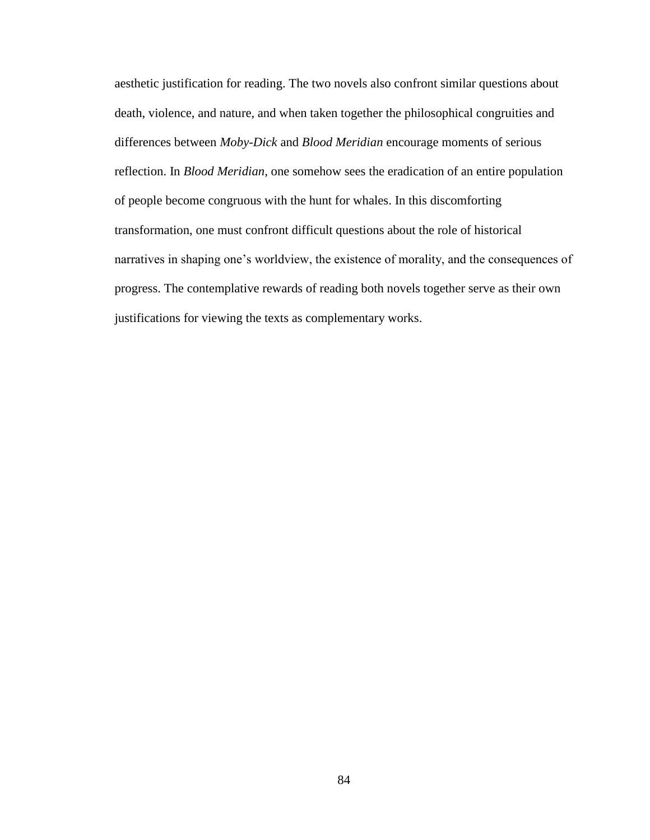aesthetic justification for reading. The two novels also confront similar questions about death, violence, and nature, and when taken together the philosophical congruities and differences between *Moby-Dick* and *Blood Meridian* encourage moments of serious reflection. In *Blood Meridian*, one somehow sees the eradication of an entire population of people become congruous with the hunt for whales. In this discomforting transformation, one must confront difficult questions about the role of historical narratives in shaping one's worldview, the existence of morality, and the consequences of progress. The contemplative rewards of reading both novels together serve as their own justifications for viewing the texts as complementary works.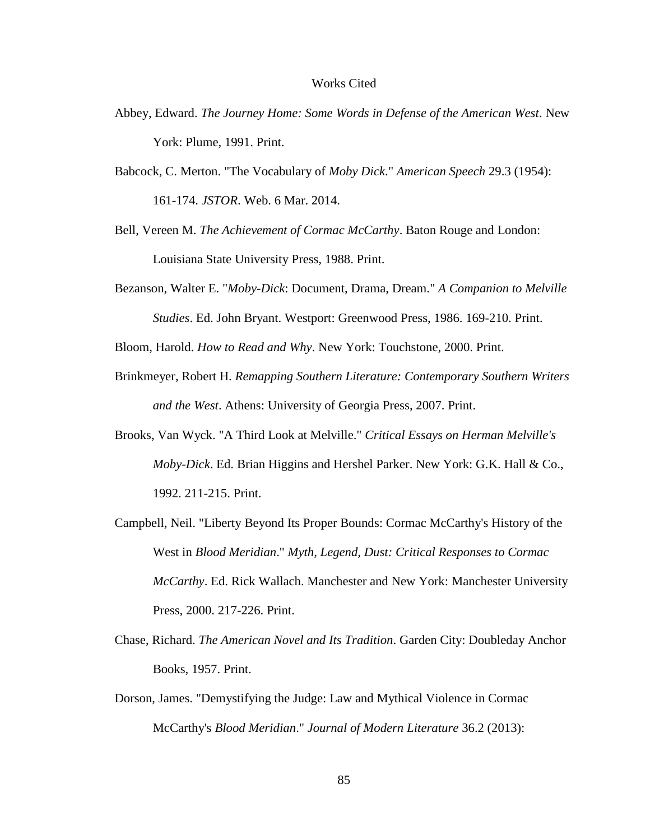## Works Cited

- Abbey, Edward. *The Journey Home: Some Words in Defense of the American West*. New York: Plume, 1991. Print.
- Babcock, C. Merton. "The Vocabulary of *Moby Dick*." *American Speech* 29.3 (1954): 161-174. *JSTOR*. Web. 6 Mar. 2014.
- Bell, Vereen M. *The Achievement of Cormac McCarthy*. Baton Rouge and London: Louisiana State University Press, 1988. Print.
- Bezanson, Walter E. "*Moby-Dick*: Document, Drama, Dream." *A Companion to Melville Studies*. Ed. John Bryant. Westport: Greenwood Press, 1986. 169-210. Print.

Bloom, Harold. *How to Read and Why*. New York: Touchstone, 2000. Print.

- Brinkmeyer, Robert H. *Remapping Southern Literature: Contemporary Southern Writers and the West*. Athens: University of Georgia Press, 2007. Print.
- Brooks, Van Wyck. "A Third Look at Melville." *Critical Essays on Herman Melville's Moby-Dick*. Ed. Brian Higgins and Hershel Parker. New York: G.K. Hall & Co., 1992. 211-215. Print.
- Campbell, Neil. "Liberty Beyond Its Proper Bounds: Cormac McCarthy's History of the West in *Blood Meridian*." *Myth, Legend, Dust: Critical Responses to Cormac McCarthy*. Ed. Rick Wallach. Manchester and New York: Manchester University Press, 2000. 217-226. Print.
- Chase, Richard. *The American Novel and Its Tradition*. Garden City: Doubleday Anchor Books, 1957. Print.
- Dorson, James. "Demystifying the Judge: Law and Mythical Violence in Cormac McCarthy's *Blood Meridian*." *Journal of Modern Literature* 36.2 (2013):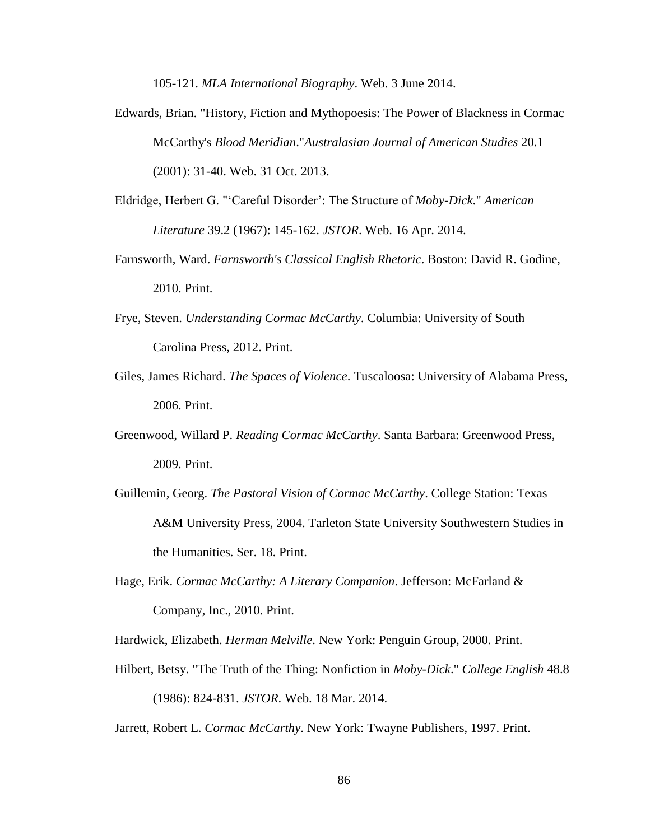105-121. *MLA International Biography*. Web. 3 June 2014.

- Edwards, Brian. "History, Fiction and Mythopoesis: The Power of Blackness in Cormac McCarthy's *Blood Meridian*."*Australasian Journal of American Studies* 20.1 (2001): 31-40. Web. 31 Oct. 2013.
- Eldridge, Herbert G. "'Careful Disorder': The Structure of *Moby-Dick*." *American Literature* 39.2 (1967): 145-162. *JSTOR*. Web. 16 Apr. 2014.
- Farnsworth, Ward. *Farnsworth's Classical English Rhetoric*. Boston: David R. Godine, 2010. Print.
- Frye, Steven. *Understanding Cormac McCarthy*. Columbia: University of South Carolina Press, 2012. Print.
- Giles, James Richard. *The Spaces of Violence*. Tuscaloosa: University of Alabama Press, 2006. Print.
- Greenwood, Willard P. *Reading Cormac McCarthy*. Santa Barbara: Greenwood Press, 2009. Print.
- Guillemin, Georg. *The Pastoral Vision of Cormac McCarthy*. College Station: Texas A&M University Press, 2004. Tarleton State University Southwestern Studies in the Humanities. Ser. 18. Print.
- Hage, Erik. *Cormac McCarthy: A Literary Companion*. Jefferson: McFarland & Company, Inc., 2010. Print.

Hardwick, Elizabeth. *Herman Melville*. New York: Penguin Group, 2000. Print.

Hilbert, Betsy. "The Truth of the Thing: Nonfiction in *Moby-Dick*." *College English* 48.8 (1986): 824-831. *JSTOR*. Web. 18 Mar. 2014.

Jarrett, Robert L. *Cormac McCarthy*. New York: Twayne Publishers, 1997. Print.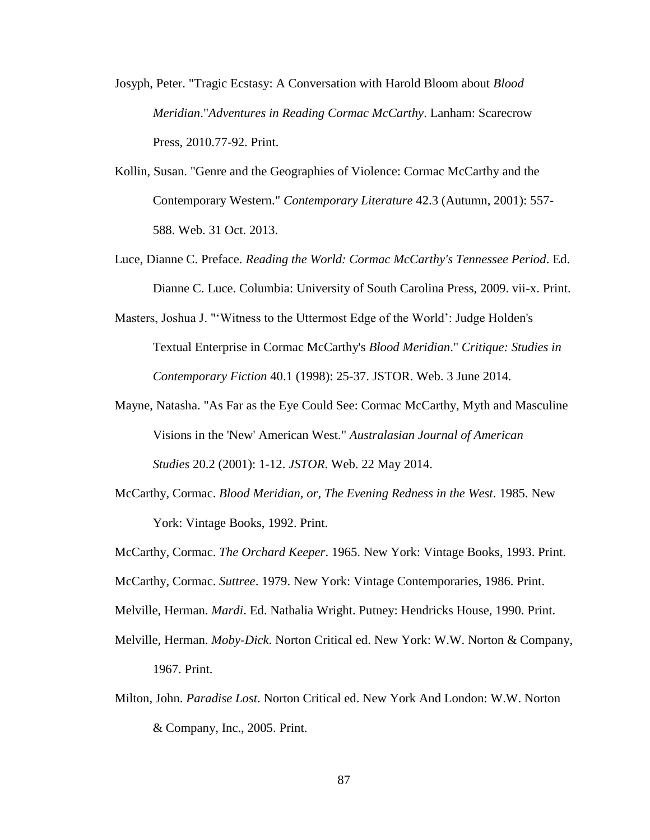- Josyph, Peter. "Tragic Ecstasy: A Conversation with Harold Bloom about *Blood Meridian*."*Adventures in Reading Cormac McCarthy*. Lanham: Scarecrow Press, 2010.77-92. Print.
- Kollin, Susan. "Genre and the Geographies of Violence: Cormac McCarthy and the Contemporary Western." *Contemporary Literature* 42.3 (Autumn, 2001): 557- 588. Web. 31 Oct. 2013.
- Luce, Dianne C. Preface. *Reading the World: Cormac McCarthy's Tennessee Period*. Ed. Dianne C. Luce. Columbia: University of South Carolina Press, 2009. vii-x. Print.
- Masters, Joshua J. "'Witness to the Uttermost Edge of the World': Judge Holden's Textual Enterprise in Cormac McCarthy's *Blood Meridian*." *Critique: Studies in Contemporary Fiction* 40.1 (1998): 25-37. JSTOR. Web. 3 June 2014*.*
- Mayne, Natasha. "As Far as the Eye Could See: Cormac McCarthy, Myth and Masculine Visions in the 'New' American West." *Australasian Journal of American Studies* 20.2 (2001): 1-12. *JSTOR*. Web. 22 May 2014.
- McCarthy, Cormac. *Blood Meridian, or, The Evening Redness in the West*. 1985. New York: Vintage Books, 1992. Print.
- McCarthy, Cormac. *The Orchard Keeper*. 1965. New York: Vintage Books, 1993. Print.

McCarthy, Cormac. *Suttree*. 1979. New York: Vintage Contemporaries, 1986. Print.

- Melville, Herman. *Mardi*. Ed. Nathalia Wright. Putney: Hendricks House, 1990. Print.
- Melville, Herman. *Moby-Dick*. Norton Critical ed. New York: W.W. Norton & Company, 1967. Print.
- Milton, John. *Paradise Lost*. Norton Critical ed. New York And London: W.W. Norton & Company, Inc., 2005. Print.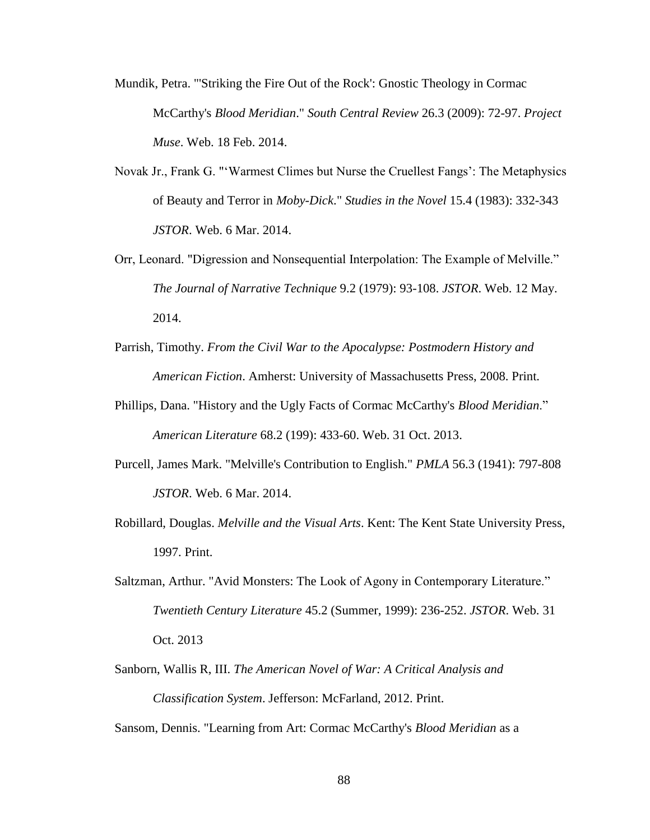- Mundik, Petra. "'Striking the Fire Out of the Rock': Gnostic Theology in Cormac McCarthy's *Blood Meridian*." *South Central Review* 26.3 (2009): 72-97. *Project Muse*. Web. 18 Feb. 2014.
- Novak Jr., Frank G. "'Warmest Climes but Nurse the Cruellest Fangs': The Metaphysics of Beauty and Terror in *Moby-Dick*." *Studies in the Novel* 15.4 (1983): 332-343 *JSTOR*. Web. 6 Mar. 2014.
- Orr, Leonard. "Digression and Nonsequential Interpolation: The Example of Melville." *The Journal of Narrative Technique* 9.2 (1979): 93-108. *JSTOR*. Web. 12 May. 2014.
- Parrish, Timothy. *From the Civil War to the Apocalypse: Postmodern History and American Fiction*. Amherst: University of Massachusetts Press, 2008. Print.
- Phillips, Dana. "History and the Ugly Facts of Cormac McCarthy's *Blood Meridian*." *American Literature* 68.2 (199): 433-60. Web. 31 Oct. 2013.
- Purcell, James Mark. "Melville's Contribution to English." *PMLA* 56.3 (1941): 797-808 *JSTOR*. Web. 6 Mar. 2014.
- Robillard, Douglas. *Melville and the Visual Arts*. Kent: The Kent State University Press, 1997. Print.
- Saltzman, Arthur. "Avid Monsters: The Look of Agony in Contemporary Literature." *Twentieth Century Literature* 45.2 (Summer, 1999): 236-252. *JSTOR*. Web. 31 Oct. 2013
- Sanborn, Wallis R, III. *The American Novel of War: A Critical Analysis and Classification System*. Jefferson: McFarland, 2012. Print.

Sansom, Dennis. "Learning from Art: Cormac McCarthy's *Blood Meridian* as a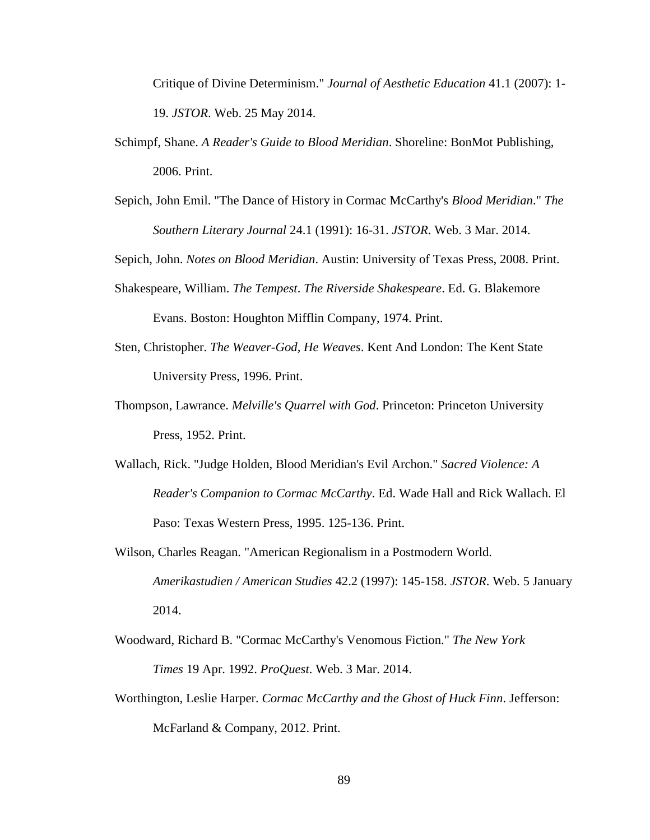Critique of Divine Determinism." *Journal of Aesthetic Education* 41.1 (2007): 1- 19. *JSTOR*. Web. 25 May 2014.

- Schimpf, Shane. *A Reader's Guide to Blood Meridian*. Shoreline: BonMot Publishing, 2006. Print.
- Sepich, John Emil. "The Dance of History in Cormac McCarthy's *Blood Meridian*." *The Southern Literary Journal* 24.1 (1991): 16-31. *JSTOR*. Web. 3 Mar. 2014.

Sepich, John. *Notes on Blood Meridian*. Austin: University of Texas Press, 2008. Print.

- Shakespeare, William. *The Tempest*. *The Riverside Shakespeare*. Ed. G. Blakemore Evans. Boston: Houghton Mifflin Company, 1974. Print.
- Sten, Christopher. *The Weaver-God, He Weaves*. Kent And London: The Kent State University Press, 1996. Print.
- Thompson, Lawrance. *Melville's Quarrel with God*. Princeton: Princeton University Press, 1952. Print.
- Wallach, Rick. "Judge Holden, Blood Meridian's Evil Archon." *Sacred Violence: A Reader's Companion to Cormac McCarthy*. Ed. Wade Hall and Rick Wallach. El Paso: Texas Western Press, 1995. 125-136. Print.
- Wilson, Charles Reagan. "American Regionalism in a Postmodern World. *Amerikastudien / American Studies* 42.2 (1997): 145-158. *JSTOR*. Web. 5 January 2014.
- Woodward, Richard B. "Cormac McCarthy's Venomous Fiction." *The New York Times* 19 Apr. 1992. *ProQuest*. Web. 3 Mar. 2014.
- Worthington, Leslie Harper. *Cormac McCarthy and the Ghost of Huck Finn*. Jefferson: McFarland & Company, 2012. Print.